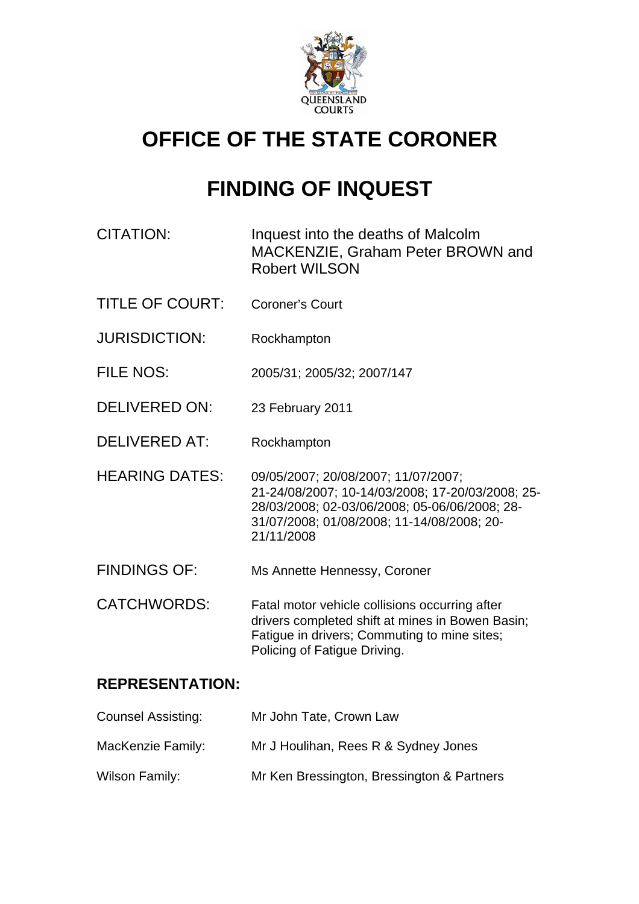

# **OFFICE OF THE STATE CORONER**

# **FINDING OF INQUEST**

| CITATION: | Inquest into the deaths of Malcolm |
|-----------|------------------------------------|
|           | MACKENZIE, Graham Peter BROWN and  |
|           | <b>Robert WILSON</b>               |

- TITLE OF COURT: Coroner's Court
- JURISDICTION: Rockhampton
- FILE NOS: 2005/31; 2005/32; 2007/147
- DELIVERED ON: 23 February 2011
- DELIVERED AT: Rockhampton
- HEARING DATES: 09/05/2007; 20/08/2007; 11/07/2007; 21-24/08/2007; 10-14/03/2008; 17-20/03/2008; 25- 28/03/2008; 02-03/06/2008; 05-06/06/2008; 28- 31/07/2008; 01/08/2008; 11-14/08/2008; 20- 21/11/2008
- FINDINGS OF: Ms Annette Hennessy, Coroner
- CATCHWORDS: Fatal motor vehicle collisions occurring after drivers completed shift at mines in Bowen Basin; Fatigue in drivers; Commuting to mine sites; Policing of Fatigue Driving.

# **REPRESENTATION:**

| <b>Counsel Assisting:</b> | Mr John Tate, Crown Law                    |
|---------------------------|--------------------------------------------|
| MacKenzie Family:         | Mr J Houlihan, Rees R & Sydney Jones       |
| Wilson Family:            | Mr Ken Bressington, Bressington & Partners |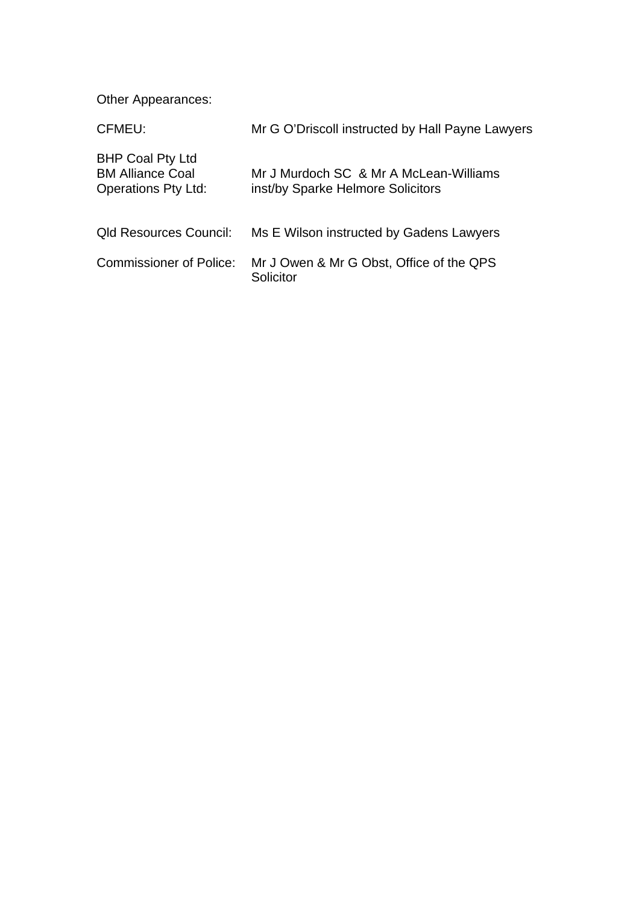Other Appearances:

| CFMEU:                                                                           | Mr G O'Driscoll instructed by Hall Payne Lawyers                            |
|----------------------------------------------------------------------------------|-----------------------------------------------------------------------------|
| <b>BHP Coal Pty Ltd</b><br><b>BM Alliance Coal</b><br><b>Operations Pty Ltd:</b> | Mr J Murdoch SC & Mr A McLean-Williams<br>inst/by Sparke Helmore Solicitors |
| <b>Qld Resources Council:</b>                                                    | Ms E Wilson instructed by Gadens Lawyers                                    |
| <b>Commissioner of Police:</b>                                                   | Mr J Owen & Mr G Obst, Office of the QPS<br>Solicitor                       |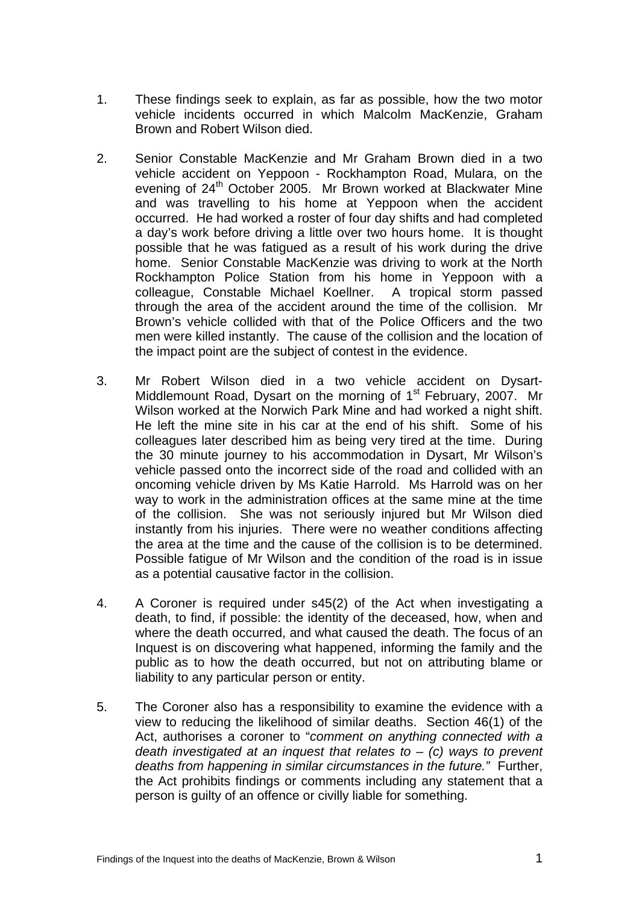- 1. These findings seek to explain, as far as possible, how the two motor vehicle incidents occurred in which Malcolm MacKenzie, Graham Brown and Robert Wilson died.
- 2. Senior Constable MacKenzie and Mr Graham Brown died in a two vehicle accident on Yeppoon - Rockhampton Road, Mulara, on the evening of 24<sup>th</sup> October 2005. Mr Brown worked at Blackwater Mine and was travelling to his home at Yeppoon when the accident occurred. He had worked a roster of four day shifts and had completed a day's work before driving a little over two hours home. It is thought possible that he was fatigued as a result of his work during the drive home. Senior Constable MacKenzie was driving to work at the North Rockhampton Police Station from his home in Yeppoon with a colleague, Constable Michael Koellner. A tropical storm passed through the area of the accident around the time of the collision. Mr Brown's vehicle collided with that of the Police Officers and the two men were killed instantly. The cause of the collision and the location of the impact point are the subject of contest in the evidence.
- 3. Mr Robert Wilson died in a two vehicle accident on Dysart-Middlemount Road, Dysart on the morning of 1<sup>st</sup> February, 2007. Mr Wilson worked at the Norwich Park Mine and had worked a night shift. He left the mine site in his car at the end of his shift. Some of his colleagues later described him as being very tired at the time. During the 30 minute journey to his accommodation in Dysart, Mr Wilson's vehicle passed onto the incorrect side of the road and collided with an oncoming vehicle driven by Ms Katie Harrold. Ms Harrold was on her way to work in the administration offices at the same mine at the time of the collision. She was not seriously injured but Mr Wilson died instantly from his injuries. There were no weather conditions affecting the area at the time and the cause of the collision is to be determined. Possible fatigue of Mr Wilson and the condition of the road is in issue as a potential causative factor in the collision.
- 4. A Coroner is required under s45(2) of the Act when investigating a death, to find, if possible: the identity of the deceased, how, when and where the death occurred, and what caused the death. The focus of an Inquest is on discovering what happened, informing the family and the public as to how the death occurred, but not on attributing blame or liability to any particular person or entity.
- 5. The Coroner also has a responsibility to examine the evidence with a view to reducing the likelihood of similar deaths. Section 46(1) of the Act, authorises a coroner to "*comment on anything connected with a death investigated at an inquest that relates to* – *(c) ways to prevent deaths from happening in similar circumstances in the future."* Further, the Act prohibits findings or comments including any statement that a person is guilty of an offence or civilly liable for something.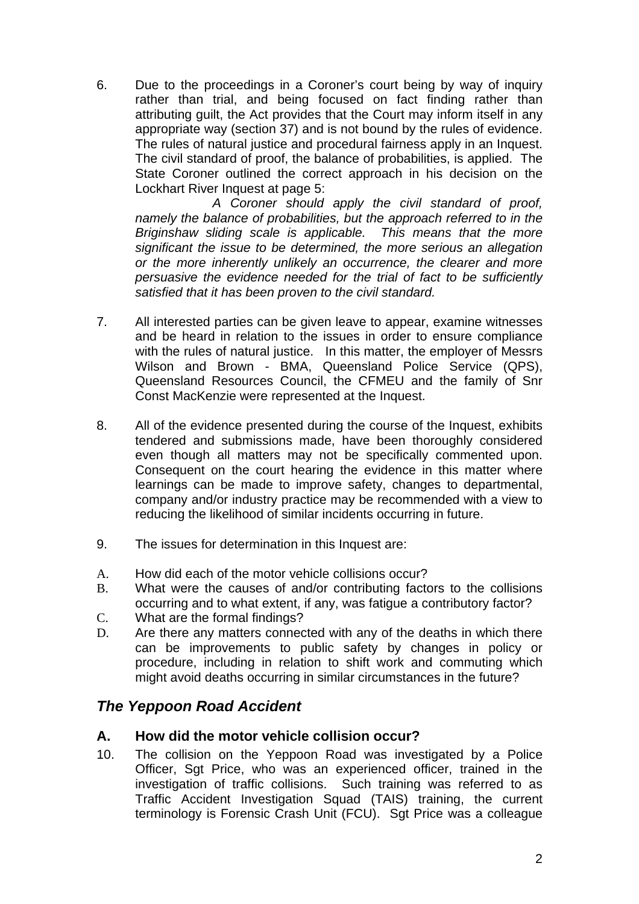6. Due to the proceedings in a Coroner's court being by way of inquiry rather than trial, and being focused on fact finding rather than attributing guilt, the Act provides that the Court may inform itself in any appropriate way (section 37) and is not bound by the rules of evidence. The rules of natural justice and procedural fairness apply in an Inquest. The civil standard of proof, the balance of probabilities, is applied. The State Coroner outlined the correct approach in his decision on the Lockhart River Inquest at page 5:

 *A Coroner should apply the civil standard of proof, namely the balance of probabilities, but the approach referred to in the Briginshaw sliding scale is applicable. This means that the more significant the issue to be determined, the more serious an allegation or the more inherently unlikely an occurrence, the clearer and more persuasive the evidence needed for the trial of fact to be sufficiently satisfied that it has been proven to the civil standard.* 

- 7. All interested parties can be given leave to appear, examine witnesses and be heard in relation to the issues in order to ensure compliance with the rules of natural justice. In this matter, the employer of Messrs Wilson and Brown - BMA, Queensland Police Service (QPS), Queensland Resources Council, the CFMEU and the family of Snr Const MacKenzie were represented at the Inquest.
- 8. All of the evidence presented during the course of the Inquest, exhibits tendered and submissions made, have been thoroughly considered even though all matters may not be specifically commented upon. Consequent on the court hearing the evidence in this matter where learnings can be made to improve safety, changes to departmental, company and/or industry practice may be recommended with a view to reducing the likelihood of similar incidents occurring in future.
- 9. The issues for determination in this Inquest are:
- A. How did each of the motor vehicle collisions occur?
- B. What were the causes of and/or contributing factors to the collisions occurring and to what extent, if any, was fatigue a contributory factor?
- C. What are the formal findings?
- D. Are there any matters connected with any of the deaths in which there can be improvements to public safety by changes in policy or procedure, including in relation to shift work and commuting which might avoid deaths occurring in similar circumstances in the future?

# *The Yeppoon Road Accident*

### **A. How did the motor vehicle collision occur?**

10. The collision on the Yeppoon Road was investigated by a Police Officer, Sgt Price, who was an experienced officer, trained in the investigation of traffic collisions. Such training was referred to as Traffic Accident Investigation Squad (TAIS) training, the current terminology is Forensic Crash Unit (FCU). Sgt Price was a colleague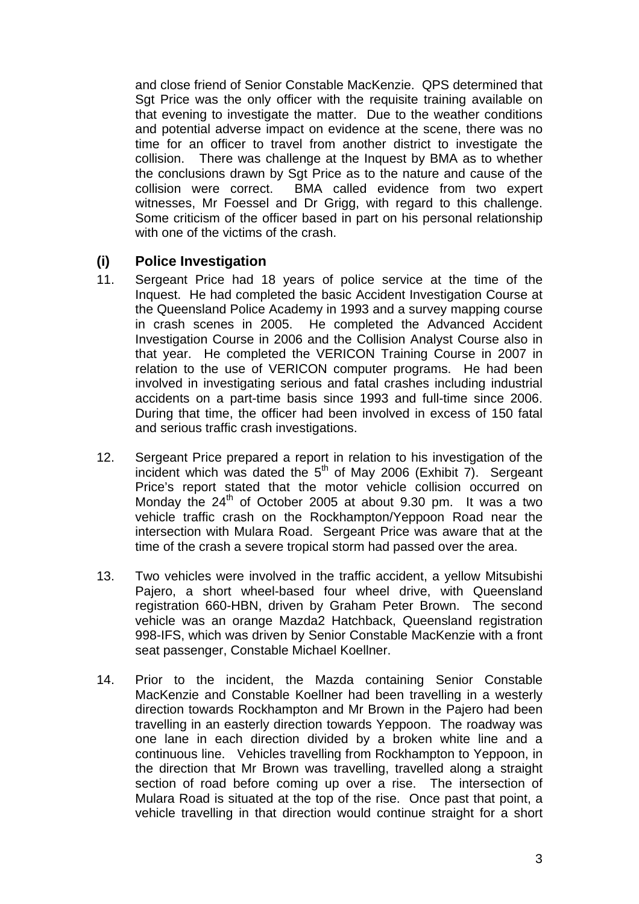and close friend of Senior Constable MacKenzie. QPS determined that Sgt Price was the only officer with the requisite training available on that evening to investigate the matter. Due to the weather conditions and potential adverse impact on evidence at the scene, there was no time for an officer to travel from another district to investigate the collision. There was challenge at the Inquest by BMA as to whether the conclusions drawn by Sgt Price as to the nature and cause of the collision were correct. BMA called evidence from two expert witnesses, Mr Foessel and Dr Grigg, with regard to this challenge. Some criticism of the officer based in part on his personal relationship with one of the victims of the crash.

# **(i) Police Investigation**

- 11. Sergeant Price had 18 years of police service at the time of the Inquest. He had completed the basic Accident Investigation Course at the Queensland Police Academy in 1993 and a survey mapping course in crash scenes in 2005. He completed the Advanced Accident Investigation Course in 2006 and the Collision Analyst Course also in that year. He completed the VERICON Training Course in 2007 in relation to the use of VERICON computer programs. He had been involved in investigating serious and fatal crashes including industrial accidents on a part-time basis since 1993 and full-time since 2006. During that time, the officer had been involved in excess of 150 fatal and serious traffic crash investigations.
- 12. Sergeant Price prepared a report in relation to his investigation of the incident which was dated the  $5<sup>th</sup>$  of May 2006 (Exhibit 7). Sergeant Price's report stated that the motor vehicle collision occurred on Monday the  $24<sup>th</sup>$  of October 2005 at about 9.30 pm. It was a two vehicle traffic crash on the Rockhampton/Yeppoon Road near the intersection with Mulara Road. Sergeant Price was aware that at the time of the crash a severe tropical storm had passed over the area.
- 13. Two vehicles were involved in the traffic accident, a yellow Mitsubishi Pajero, a short wheel-based four wheel drive, with Queensland registration 660-HBN, driven by Graham Peter Brown. The second vehicle was an orange Mazda2 Hatchback, Queensland registration 998-IFS, which was driven by Senior Constable MacKenzie with a front seat passenger, Constable Michael Koellner.
- 14. Prior to the incident, the Mazda containing Senior Constable MacKenzie and Constable Koellner had been travelling in a westerly direction towards Rockhampton and Mr Brown in the Pajero had been travelling in an easterly direction towards Yeppoon. The roadway was one lane in each direction divided by a broken white line and a continuous line. Vehicles travelling from Rockhampton to Yeppoon, in the direction that Mr Brown was travelling, travelled along a straight section of road before coming up over a rise. The intersection of Mulara Road is situated at the top of the rise. Once past that point, a vehicle travelling in that direction would continue straight for a short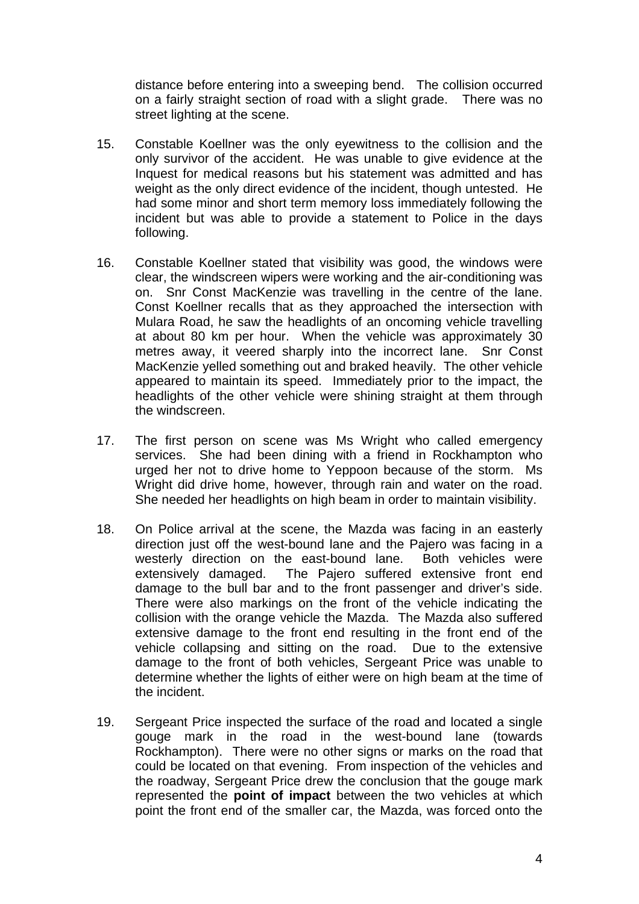distance before entering into a sweeping bend. The collision occurred on a fairly straight section of road with a slight grade. There was no street lighting at the scene.

- 15. Constable Koellner was the only eyewitness to the collision and the only survivor of the accident. He was unable to give evidence at the Inquest for medical reasons but his statement was admitted and has weight as the only direct evidence of the incident, though untested. He had some minor and short term memory loss immediately following the incident but was able to provide a statement to Police in the days following.
- 16. Constable Koellner stated that visibility was good, the windows were clear, the windscreen wipers were working and the air-conditioning was on. Snr Const MacKenzie was travelling in the centre of the lane. Const Koellner recalls that as they approached the intersection with Mulara Road, he saw the headlights of an oncoming vehicle travelling at about 80 km per hour. When the vehicle was approximately 30 metres away, it veered sharply into the incorrect lane. Snr Const MacKenzie yelled something out and braked heavily. The other vehicle appeared to maintain its speed. Immediately prior to the impact, the headlights of the other vehicle were shining straight at them through the windscreen.
- 17. The first person on scene was Ms Wright who called emergency services. She had been dining with a friend in Rockhampton who urged her not to drive home to Yeppoon because of the storm. Ms Wright did drive home, however, through rain and water on the road. She needed her headlights on high beam in order to maintain visibility.
- 18. On Police arrival at the scene, the Mazda was facing in an easterly direction just off the west-bound lane and the Pajero was facing in a westerly direction on the east-bound lane. Both vehicles were extensively damaged. The Pajero suffered extensive front end damage to the bull bar and to the front passenger and driver's side. There were also markings on the front of the vehicle indicating the collision with the orange vehicle the Mazda. The Mazda also suffered extensive damage to the front end resulting in the front end of the vehicle collapsing and sitting on the road. Due to the extensive damage to the front of both vehicles, Sergeant Price was unable to determine whether the lights of either were on high beam at the time of the incident.
- 19. Sergeant Price inspected the surface of the road and located a single gouge mark in the road in the west-bound lane (towards Rockhampton). There were no other signs or marks on the road that could be located on that evening. From inspection of the vehicles and the roadway, Sergeant Price drew the conclusion that the gouge mark represented the **point of impact** between the two vehicles at which point the front end of the smaller car, the Mazda, was forced onto the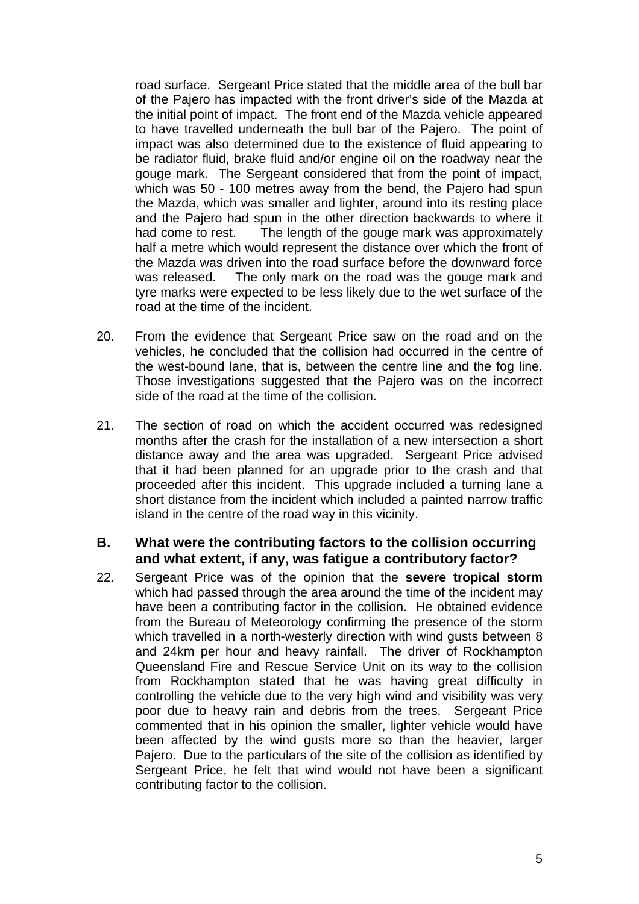road surface. Sergeant Price stated that the middle area of the bull bar of the Pajero has impacted with the front driver's side of the Mazda at the initial point of impact. The front end of the Mazda vehicle appeared to have travelled underneath the bull bar of the Pajero. The point of impact was also determined due to the existence of fluid appearing to be radiator fluid, brake fluid and/or engine oil on the roadway near the gouge mark. The Sergeant considered that from the point of impact, which was 50 - 100 metres away from the bend, the Pajero had spun the Mazda, which was smaller and lighter, around into its resting place and the Pajero had spun in the other direction backwards to where it had come to rest. The length of the gouge mark was approximately half a metre which would represent the distance over which the front of the Mazda was driven into the road surface before the downward force was released. The only mark on the road was the gouge mark and tyre marks were expected to be less likely due to the wet surface of the road at the time of the incident.

- 20. From the evidence that Sergeant Price saw on the road and on the vehicles, he concluded that the collision had occurred in the centre of the west-bound lane, that is, between the centre line and the fog line. Those investigations suggested that the Pajero was on the incorrect side of the road at the time of the collision.
- 21. The section of road on which the accident occurred was redesigned months after the crash for the installation of a new intersection a short distance away and the area was upgraded. Sergeant Price advised that it had been planned for an upgrade prior to the crash and that proceeded after this incident. This upgrade included a turning lane a short distance from the incident which included a painted narrow traffic island in the centre of the road way in this vicinity.

#### **B. What were the contributing factors to the collision occurring and what extent, if any, was fatigue a contributory factor?**

22. Sergeant Price was of the opinion that the **severe tropical storm** which had passed through the area around the time of the incident may have been a contributing factor in the collision. He obtained evidence from the Bureau of Meteorology confirming the presence of the storm which travelled in a north-westerly direction with wind gusts between 8 and 24km per hour and heavy rainfall. The driver of Rockhampton Queensland Fire and Rescue Service Unit on its way to the collision from Rockhampton stated that he was having great difficulty in controlling the vehicle due to the very high wind and visibility was very poor due to heavy rain and debris from the trees. Sergeant Price commented that in his opinion the smaller, lighter vehicle would have been affected by the wind gusts more so than the heavier, larger Pajero. Due to the particulars of the site of the collision as identified by Sergeant Price, he felt that wind would not have been a significant contributing factor to the collision.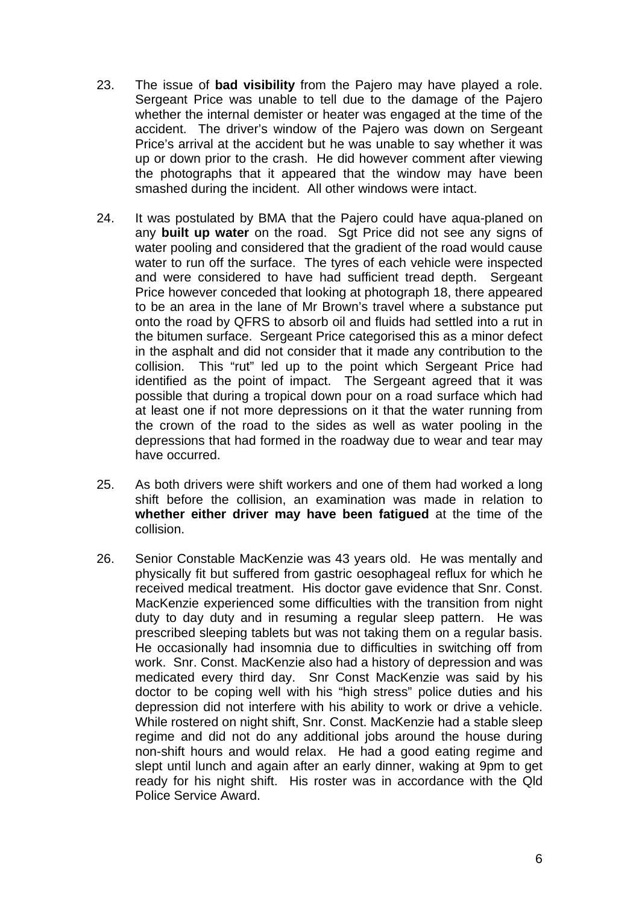- 23. The issue of **bad visibility** from the Pajero may have played a role. Sergeant Price was unable to tell due to the damage of the Pajero whether the internal demister or heater was engaged at the time of the accident. The driver's window of the Pajero was down on Sergeant Price's arrival at the accident but he was unable to say whether it was up or down prior to the crash. He did however comment after viewing the photographs that it appeared that the window may have been smashed during the incident. All other windows were intact.
- 24. It was postulated by BMA that the Pajero could have aqua-planed on any **built up water** on the road. Sgt Price did not see any signs of water pooling and considered that the gradient of the road would cause water to run off the surface. The tyres of each vehicle were inspected and were considered to have had sufficient tread depth. Sergeant Price however conceded that looking at photograph 18, there appeared to be an area in the lane of Mr Brown's travel where a substance put onto the road by QFRS to absorb oil and fluids had settled into a rut in the bitumen surface. Sergeant Price categorised this as a minor defect in the asphalt and did not consider that it made any contribution to the collision. This "rut" led up to the point which Sergeant Price had identified as the point of impact. The Sergeant agreed that it was possible that during a tropical down pour on a road surface which had at least one if not more depressions on it that the water running from the crown of the road to the sides as well as water pooling in the depressions that had formed in the roadway due to wear and tear may have occurred.
- 25. As both drivers were shift workers and one of them had worked a long shift before the collision, an examination was made in relation to **whether either driver may have been fatigued** at the time of the collision.
- 26. Senior Constable MacKenzie was 43 years old. He was mentally and physically fit but suffered from gastric oesophageal reflux for which he received medical treatment. His doctor gave evidence that Snr. Const. MacKenzie experienced some difficulties with the transition from night duty to day duty and in resuming a regular sleep pattern. He was prescribed sleeping tablets but was not taking them on a regular basis. He occasionally had insomnia due to difficulties in switching off from work. Snr. Const. MacKenzie also had a history of depression and was medicated every third day. Snr Const MacKenzie was said by his doctor to be coping well with his "high stress" police duties and his depression did not interfere with his ability to work or drive a vehicle. While rostered on night shift, Snr. Const. MacKenzie had a stable sleep regime and did not do any additional jobs around the house during non-shift hours and would relax. He had a good eating regime and slept until lunch and again after an early dinner, waking at 9pm to get ready for his night shift. His roster was in accordance with the Qld Police Service Award.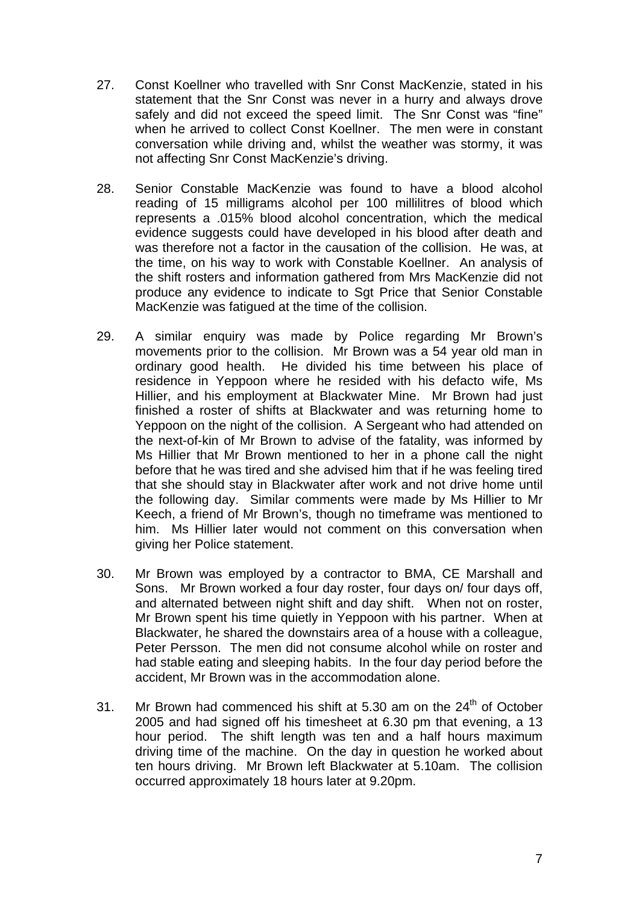- 27. Const Koellner who travelled with Snr Const MacKenzie, stated in his statement that the Snr Const was never in a hurry and always drove safely and did not exceed the speed limit. The Snr Const was "fine" when he arrived to collect Const Koellner. The men were in constant conversation while driving and, whilst the weather was stormy, it was not affecting Snr Const MacKenzie's driving.
- 28. Senior Constable MacKenzie was found to have a blood alcohol reading of 15 milligrams alcohol per 100 millilitres of blood which represents a .015% blood alcohol concentration, which the medical evidence suggests could have developed in his blood after death and was therefore not a factor in the causation of the collision. He was, at the time, on his way to work with Constable Koellner. An analysis of the shift rosters and information gathered from Mrs MacKenzie did not produce any evidence to indicate to Sgt Price that Senior Constable MacKenzie was fatigued at the time of the collision.
- 29. A similar enquiry was made by Police regarding Mr Brown's movements prior to the collision. Mr Brown was a 54 year old man in ordinary good health. He divided his time between his place of residence in Yeppoon where he resided with his defacto wife, Ms Hillier, and his employment at Blackwater Mine. Mr Brown had just finished a roster of shifts at Blackwater and was returning home to Yeppoon on the night of the collision. A Sergeant who had attended on the next-of-kin of Mr Brown to advise of the fatality, was informed by Ms Hillier that Mr Brown mentioned to her in a phone call the night before that he was tired and she advised him that if he was feeling tired that she should stay in Blackwater after work and not drive home until the following day. Similar comments were made by Ms Hillier to Mr Keech, a friend of Mr Brown's, though no timeframe was mentioned to him. Ms Hillier later would not comment on this conversation when giving her Police statement.
- 30. Mr Brown was employed by a contractor to BMA, CE Marshall and Sons. Mr Brown worked a four day roster, four days on/ four days off, and alternated between night shift and day shift. When not on roster, Mr Brown spent his time quietly in Yeppoon with his partner. When at Blackwater, he shared the downstairs area of a house with a colleague, Peter Persson. The men did not consume alcohol while on roster and had stable eating and sleeping habits. In the four day period before the accident, Mr Brown was in the accommodation alone.
- 31. Mr Brown had commenced his shift at 5.30 am on the  $24<sup>th</sup>$  of October 2005 and had signed off his timesheet at 6.30 pm that evening, a 13 hour period. The shift length was ten and a half hours maximum driving time of the machine. On the day in question he worked about ten hours driving. Mr Brown left Blackwater at 5.10am. The collision occurred approximately 18 hours later at 9.20pm.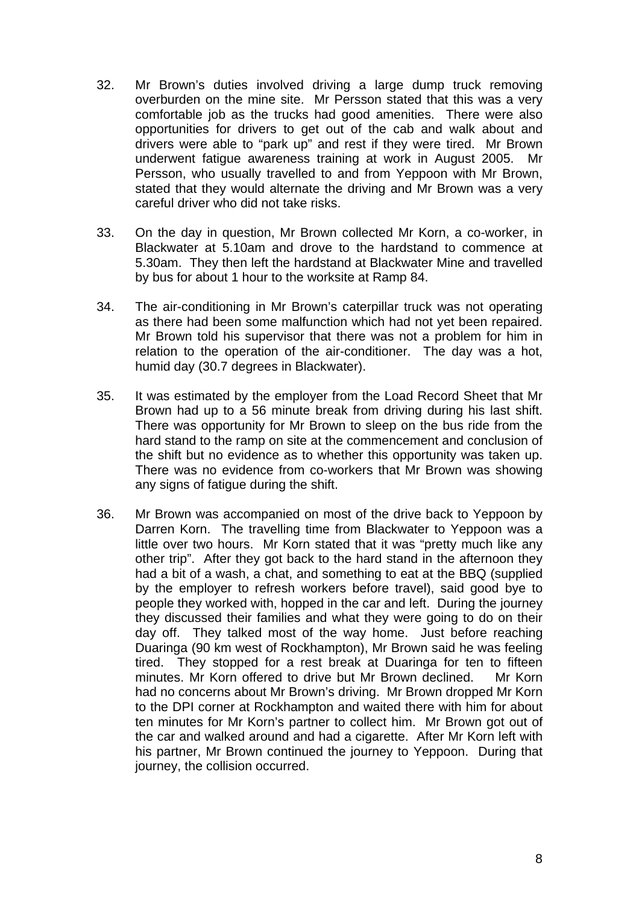- 32. Mr Brown's duties involved driving a large dump truck removing overburden on the mine site. Mr Persson stated that this was a very comfortable job as the trucks had good amenities. There were also opportunities for drivers to get out of the cab and walk about and drivers were able to "park up" and rest if they were tired. Mr Brown underwent fatigue awareness training at work in August 2005. Mr Persson, who usually travelled to and from Yeppoon with Mr Brown, stated that they would alternate the driving and Mr Brown was a very careful driver who did not take risks.
- 33. On the day in question, Mr Brown collected Mr Korn, a co-worker, in Blackwater at 5.10am and drove to the hardstand to commence at 5.30am. They then left the hardstand at Blackwater Mine and travelled by bus for about 1 hour to the worksite at Ramp 84.
- 34. The air-conditioning in Mr Brown's caterpillar truck was not operating as there had been some malfunction which had not yet been repaired. Mr Brown told his supervisor that there was not a problem for him in relation to the operation of the air-conditioner. The day was a hot, humid day (30.7 degrees in Blackwater).
- 35. It was estimated by the employer from the Load Record Sheet that Mr Brown had up to a 56 minute break from driving during his last shift. There was opportunity for Mr Brown to sleep on the bus ride from the hard stand to the ramp on site at the commencement and conclusion of the shift but no evidence as to whether this opportunity was taken up. There was no evidence from co-workers that Mr Brown was showing any signs of fatigue during the shift.
- 36. Mr Brown was accompanied on most of the drive back to Yeppoon by Darren Korn. The travelling time from Blackwater to Yeppoon was a little over two hours. Mr Korn stated that it was "pretty much like any other trip". After they got back to the hard stand in the afternoon they had a bit of a wash, a chat, and something to eat at the BBQ (supplied by the employer to refresh workers before travel), said good bye to people they worked with, hopped in the car and left. During the journey they discussed their families and what they were going to do on their day off. They talked most of the way home. Just before reaching Duaringa (90 km west of Rockhampton), Mr Brown said he was feeling tired. They stopped for a rest break at Duaringa for ten to fifteen minutes. Mr Korn offered to drive but Mr Brown declined. Mr Korn had no concerns about Mr Brown's driving. Mr Brown dropped Mr Korn to the DPI corner at Rockhampton and waited there with him for about ten minutes for Mr Korn's partner to collect him. Mr Brown got out of the car and walked around and had a cigarette. After Mr Korn left with his partner, Mr Brown continued the journey to Yeppoon. During that journey, the collision occurred.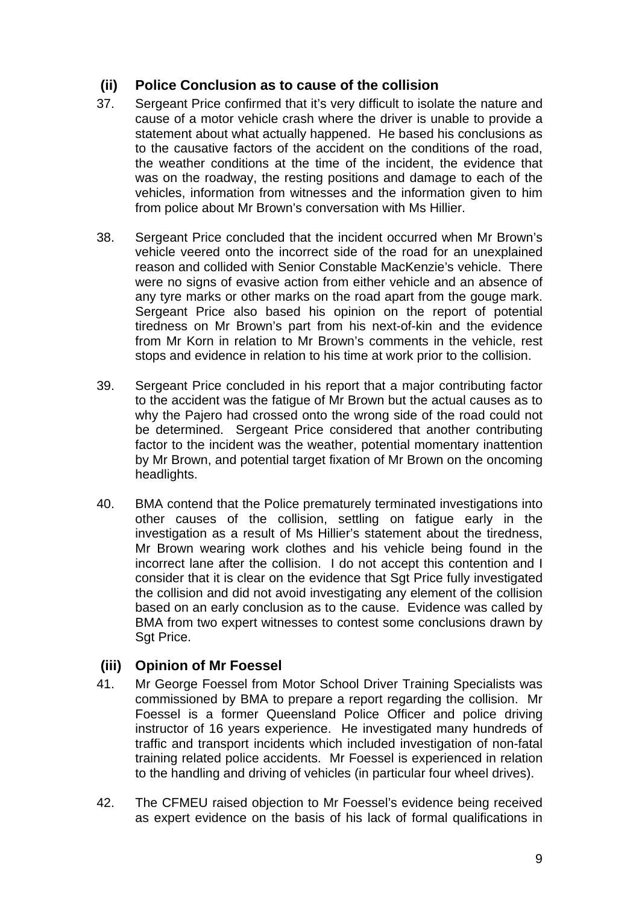# **(ii) Police Conclusion as to cause of the collision**

- 37. Sergeant Price confirmed that it's very difficult to isolate the nature and cause of a motor vehicle crash where the driver is unable to provide a statement about what actually happened. He based his conclusions as to the causative factors of the accident on the conditions of the road, the weather conditions at the time of the incident, the evidence that was on the roadway, the resting positions and damage to each of the vehicles, information from witnesses and the information given to him from police about Mr Brown's conversation with Ms Hillier.
- 38. Sergeant Price concluded that the incident occurred when Mr Brown's vehicle veered onto the incorrect side of the road for an unexplained reason and collided with Senior Constable MacKenzie's vehicle. There were no signs of evasive action from either vehicle and an absence of any tyre marks or other marks on the road apart from the gouge mark. Sergeant Price also based his opinion on the report of potential tiredness on Mr Brown's part from his next-of-kin and the evidence from Mr Korn in relation to Mr Brown's comments in the vehicle, rest stops and evidence in relation to his time at work prior to the collision.
- 39. Sergeant Price concluded in his report that a major contributing factor to the accident was the fatigue of Mr Brown but the actual causes as to why the Pajero had crossed onto the wrong side of the road could not be determined. Sergeant Price considered that another contributing factor to the incident was the weather, potential momentary inattention by Mr Brown, and potential target fixation of Mr Brown on the oncoming headlights.
- 40. BMA contend that the Police prematurely terminated investigations into other causes of the collision, settling on fatigue early in the investigation as a result of Ms Hillier's statement about the tiredness, Mr Brown wearing work clothes and his vehicle being found in the incorrect lane after the collision. I do not accept this contention and I consider that it is clear on the evidence that Sgt Price fully investigated the collision and did not avoid investigating any element of the collision based on an early conclusion as to the cause. Evidence was called by BMA from two expert witnesses to contest some conclusions drawn by Sgt Price.

# **(iii) Opinion of Mr Foessel**

- 41. Mr George Foessel from Motor School Driver Training Specialists was commissioned by BMA to prepare a report regarding the collision. Mr Foessel is a former Queensland Police Officer and police driving instructor of 16 years experience. He investigated many hundreds of traffic and transport incidents which included investigation of non-fatal training related police accidents. Mr Foessel is experienced in relation to the handling and driving of vehicles (in particular four wheel drives).
- 42. The CFMEU raised objection to Mr Foessel's evidence being received as expert evidence on the basis of his lack of formal qualifications in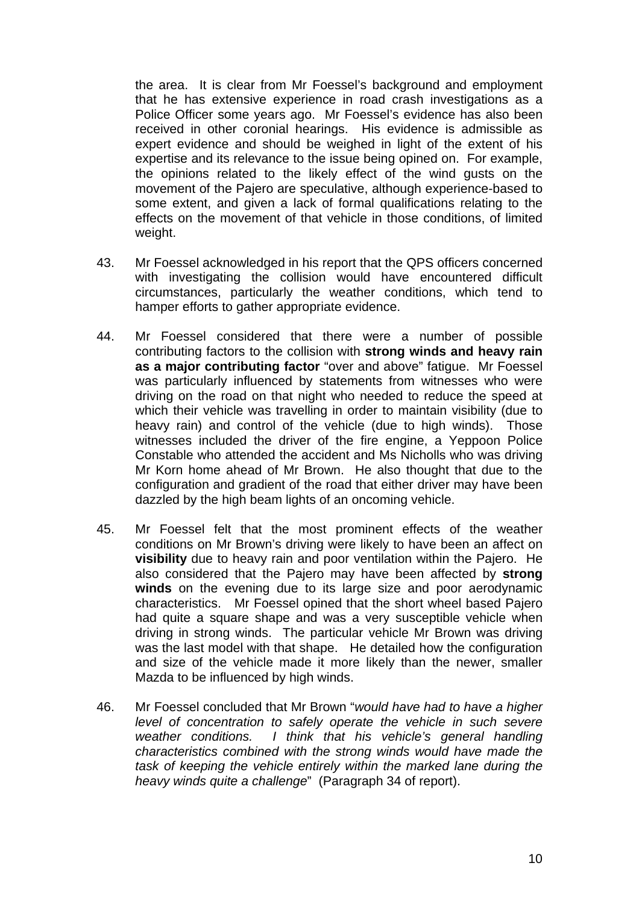the area. It is clear from Mr Foessel's background and employment that he has extensive experience in road crash investigations as a Police Officer some years ago. Mr Foessel's evidence has also been received in other coronial hearings. His evidence is admissible as expert evidence and should be weighed in light of the extent of his expertise and its relevance to the issue being opined on. For example, the opinions related to the likely effect of the wind gusts on the movement of the Pajero are speculative, although experience-based to some extent, and given a lack of formal qualifications relating to the effects on the movement of that vehicle in those conditions, of limited weight.

- 43. Mr Foessel acknowledged in his report that the QPS officers concerned with investigating the collision would have encountered difficult circumstances, particularly the weather conditions, which tend to hamper efforts to gather appropriate evidence.
- 44. Mr Foessel considered that there were a number of possible contributing factors to the collision with **strong winds and heavy rain as a major contributing factor** "over and above" fatigue. Mr Foessel was particularly influenced by statements from witnesses who were driving on the road on that night who needed to reduce the speed at which their vehicle was travelling in order to maintain visibility (due to heavy rain) and control of the vehicle (due to high winds). Those witnesses included the driver of the fire engine, a Yeppoon Police Constable who attended the accident and Ms Nicholls who was driving Mr Korn home ahead of Mr Brown. He also thought that due to the configuration and gradient of the road that either driver may have been dazzled by the high beam lights of an oncoming vehicle.
- 45. Mr Foessel felt that the most prominent effects of the weather conditions on Mr Brown's driving were likely to have been an affect on **visibility** due to heavy rain and poor ventilation within the Pajero. He also considered that the Pajero may have been affected by **strong winds** on the evening due to its large size and poor aerodynamic characteristics. Mr Foessel opined that the short wheel based Pajero had quite a square shape and was a very susceptible vehicle when driving in strong winds. The particular vehicle Mr Brown was driving was the last model with that shape. He detailed how the configuration and size of the vehicle made it more likely than the newer, smaller Mazda to be influenced by high winds.
- 46. Mr Foessel concluded that Mr Brown "*would have had to have a higher level of concentration to safely operate the vehicle in such severe weather conditions. I think that his vehicle's general handling characteristics combined with the strong winds would have made the task of keeping the vehicle entirely within the marked lane during the heavy winds quite a challenge*" (Paragraph 34 of report).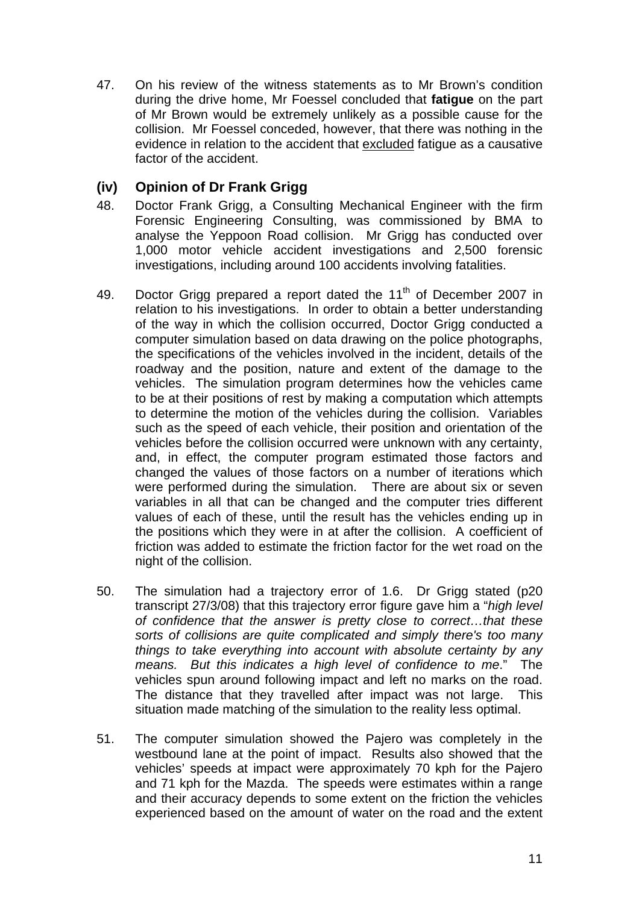47. On his review of the witness statements as to Mr Brown's condition during the drive home, Mr Foessel concluded that **fatigue** on the part of Mr Brown would be extremely unlikely as a possible cause for the collision. Mr Foessel conceded, however, that there was nothing in the evidence in relation to the accident that excluded fatigue as a causative factor of the accident.

# **(iv) Opinion of Dr Frank Grigg**

- 48. Doctor Frank Grigg, a Consulting Mechanical Engineer with the firm Forensic Engineering Consulting, was commissioned by BMA to analyse the Yeppoon Road collision. Mr Grigg has conducted over 1,000 motor vehicle accident investigations and 2,500 forensic investigations, including around 100 accidents involving fatalities.
- 49. Doctor Grigg prepared a report dated the 11<sup>th</sup> of December 2007 in relation to his investigations. In order to obtain a better understanding of the way in which the collision occurred, Doctor Grigg conducted a computer simulation based on data drawing on the police photographs, the specifications of the vehicles involved in the incident, details of the roadway and the position, nature and extent of the damage to the vehicles. The simulation program determines how the vehicles came to be at their positions of rest by making a computation which attempts to determine the motion of the vehicles during the collision. Variables such as the speed of each vehicle, their position and orientation of the vehicles before the collision occurred were unknown with any certainty, and, in effect, the computer program estimated those factors and changed the values of those factors on a number of iterations which were performed during the simulation. There are about six or seven variables in all that can be changed and the computer tries different values of each of these, until the result has the vehicles ending up in the positions which they were in at after the collision. A coefficient of friction was added to estimate the friction factor for the wet road on the night of the collision.
- 50. The simulation had a trajectory error of 1.6. Dr Grigg stated (p20 transcript 27/3/08) that this trajectory error figure gave him a "*high level of confidence that the answer is pretty close to correct…that these sorts of collisions are quite complicated and simply there's too many things to take everything into account with absolute certainty by any means. But this indicates a high level of confidence to me*." The vehicles spun around following impact and left no marks on the road. The distance that they travelled after impact was not large. This situation made matching of the simulation to the reality less optimal.
- 51. The computer simulation showed the Pajero was completely in the westbound lane at the point of impact. Results also showed that the vehicles' speeds at impact were approximately 70 kph for the Pajero and 71 kph for the Mazda. The speeds were estimates within a range and their accuracy depends to some extent on the friction the vehicles experienced based on the amount of water on the road and the extent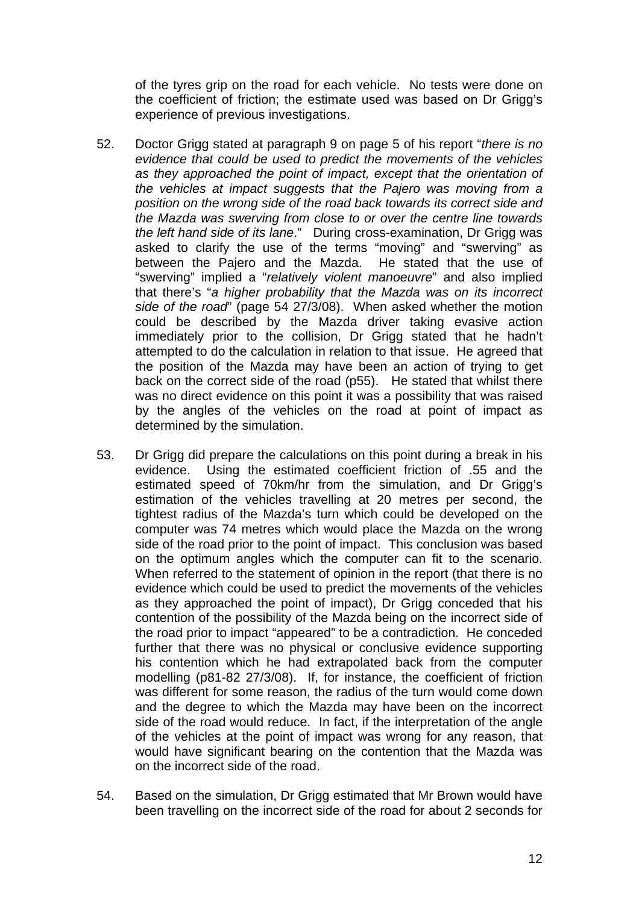of the tyres grip on the road for each vehicle. No tests were done on the coefficient of friction; the estimate used was based on Dr Grigg's experience of previous investigations.

- 52. Doctor Grigg stated at paragraph 9 on page 5 of his report "*there is no evidence that could be used to predict the movements of the vehicles as they approached the point of impact, except that the orientation of the vehicles at impact suggests that the Pajero was moving from a position on the wrong side of the road back towards its correct side and the Mazda was swerving from close to or over the centre line towards the left hand side of its lane*." During cross-examination, Dr Grigg was asked to clarify the use of the terms "moving" and "swerving" as between the Pajero and the Mazda. He stated that the use of "swerving" implied a "*relatively violent manoeuvre*" and also implied that there's "*a higher probability that the Mazda was on its incorrect side of the road*" (page 54 27/3/08). When asked whether the motion could be described by the Mazda driver taking evasive action immediately prior to the collision, Dr Grigg stated that he hadn't attempted to do the calculation in relation to that issue. He agreed that the position of the Mazda may have been an action of trying to get back on the correct side of the road (p55). He stated that whilst there was no direct evidence on this point it was a possibility that was raised by the angles of the vehicles on the road at point of impact as determined by the simulation.
- 53. Dr Grigg did prepare the calculations on this point during a break in his evidence. Using the estimated coefficient friction of .55 and the estimated speed of 70km/hr from the simulation, and Dr Grigg's estimation of the vehicles travelling at 20 metres per second, the tightest radius of the Mazda's turn which could be developed on the computer was 74 metres which would place the Mazda on the wrong side of the road prior to the point of impact. This conclusion was based on the optimum angles which the computer can fit to the scenario. When referred to the statement of opinion in the report (that there is no evidence which could be used to predict the movements of the vehicles as they approached the point of impact), Dr Grigg conceded that his contention of the possibility of the Mazda being on the incorrect side of the road prior to impact "appeared" to be a contradiction. He conceded further that there was no physical or conclusive evidence supporting his contention which he had extrapolated back from the computer modelling (p81-82 27/3/08). If, for instance, the coefficient of friction was different for some reason, the radius of the turn would come down and the degree to which the Mazda may have been on the incorrect side of the road would reduce. In fact, if the interpretation of the angle of the vehicles at the point of impact was wrong for any reason, that would have significant bearing on the contention that the Mazda was on the incorrect side of the road.
- 54. Based on the simulation, Dr Grigg estimated that Mr Brown would have been travelling on the incorrect side of the road for about 2 seconds for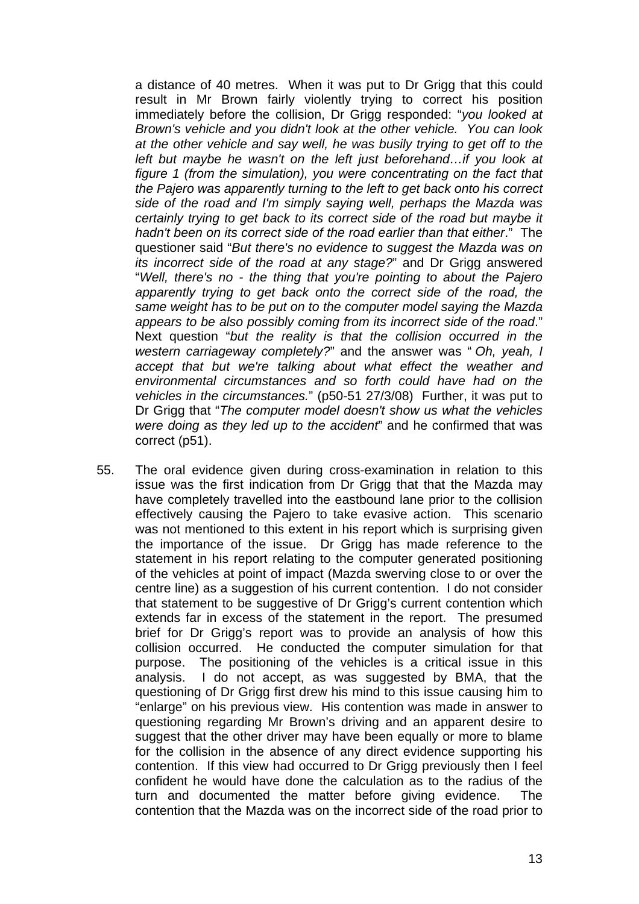a distance of 40 metres. When it was put to Dr Grigg that this could result in Mr Brown fairly violently trying to correct his position immediately before the collision, Dr Grigg responded: "*you looked at Brown's vehicle and you didn't look at the other vehicle. You can look at the other vehicle and say well, he was busily trying to get off to the left but maybe he wasn't on the left just beforehand…if you look at figure 1 (from the simulation), you were concentrating on the fact that the Pajero was apparently turning to the left to get back onto his correct side of the road and I'm simply saying well, perhaps the Mazda was certainly trying to get back to its correct side of the road but maybe it hadn't been on its correct side of the road earlier than that either*." The questioner said "*But there's no evidence to suggest the Mazda was on its incorrect side of the road at any stage?*" and Dr Grigg answered "*Well, there's no - the thing that you're pointing to about the Pajero apparently trying to get back onto the correct side of the road, the same weight has to be put on to the computer model saying the Mazda appears to be also possibly coming from its incorrect side of the road*." Next question "*but the reality is that the collision occurred in the western carriageway completely?*" and the answer was " *Oh, yeah, I accept that but we're talking about what effect the weather and environmental circumstances and so forth could have had on the vehicles in the circumstances.*" (p50-51 27/3/08) Further, it was put to Dr Grigg that "*The computer model doesn't show us what the vehicles were doing as they led up to the accident*" and he confirmed that was correct (p51).

55. The oral evidence given during cross-examination in relation to this issue was the first indication from Dr Grigg that that the Mazda may have completely travelled into the eastbound lane prior to the collision effectively causing the Pajero to take evasive action. This scenario was not mentioned to this extent in his report which is surprising given the importance of the issue. Dr Grigg has made reference to the statement in his report relating to the computer generated positioning of the vehicles at point of impact (Mazda swerving close to or over the centre line) as a suggestion of his current contention. I do not consider that statement to be suggestive of Dr Grigg's current contention which extends far in excess of the statement in the report. The presumed brief for Dr Grigg's report was to provide an analysis of how this collision occurred. He conducted the computer simulation for that purpose. The positioning of the vehicles is a critical issue in this analysis. I do not accept, as was suggested by BMA, that the questioning of Dr Grigg first drew his mind to this issue causing him to "enlarge" on his previous view. His contention was made in answer to questioning regarding Mr Brown's driving and an apparent desire to suggest that the other driver may have been equally or more to blame for the collision in the absence of any direct evidence supporting his contention. If this view had occurred to Dr Grigg previously then I feel confident he would have done the calculation as to the radius of the turn and documented the matter before giving evidence. The contention that the Mazda was on the incorrect side of the road prior to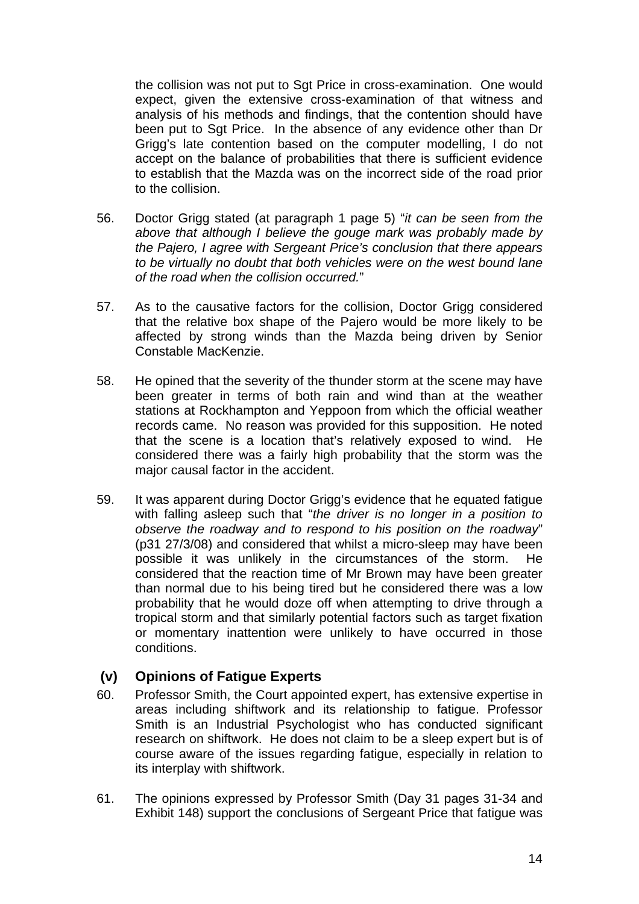the collision was not put to Sgt Price in cross-examination. One would expect, given the extensive cross-examination of that witness and analysis of his methods and findings, that the contention should have been put to Sgt Price. In the absence of any evidence other than Dr Grigg's late contention based on the computer modelling, I do not accept on the balance of probabilities that there is sufficient evidence to establish that the Mazda was on the incorrect side of the road prior to the collision.

- 56. Doctor Grigg stated (at paragraph 1 page 5) "*it can be seen from the above that although I believe the gouge mark was probably made by the Pajero, I agree with Sergeant Price's conclusion that there appears to be virtually no doubt that both vehicles were on the west bound lane of the road when the collision occurred.*"
- 57. As to the causative factors for the collision, Doctor Grigg considered that the relative box shape of the Pajero would be more likely to be affected by strong winds than the Mazda being driven by Senior Constable MacKenzie.
- 58. He opined that the severity of the thunder storm at the scene may have been greater in terms of both rain and wind than at the weather stations at Rockhampton and Yeppoon from which the official weather records came. No reason was provided for this supposition. He noted that the scene is a location that's relatively exposed to wind. He considered there was a fairly high probability that the storm was the major causal factor in the accident.
- 59. It was apparent during Doctor Grigg's evidence that he equated fatigue with falling asleep such that "*the driver is no longer in a position to observe the roadway and to respond to his position on the roadway*" (p31 27/3/08) and considered that whilst a micro-sleep may have been possible it was unlikely in the circumstances of the storm. He considered that the reaction time of Mr Brown may have been greater than normal due to his being tired but he considered there was a low probability that he would doze off when attempting to drive through a tropical storm and that similarly potential factors such as target fixation or momentary inattention were unlikely to have occurred in those conditions.

### **(v) Opinions of Fatigue Experts**

- 60. Professor Smith, the Court appointed expert, has extensive expertise in areas including shiftwork and its relationship to fatigue. Professor Smith is an Industrial Psychologist who has conducted significant research on shiftwork. He does not claim to be a sleep expert but is of course aware of the issues regarding fatigue, especially in relation to its interplay with shiftwork.
- 61. The opinions expressed by Professor Smith (Day 31 pages 31-34 and Exhibit 148) support the conclusions of Sergeant Price that fatigue was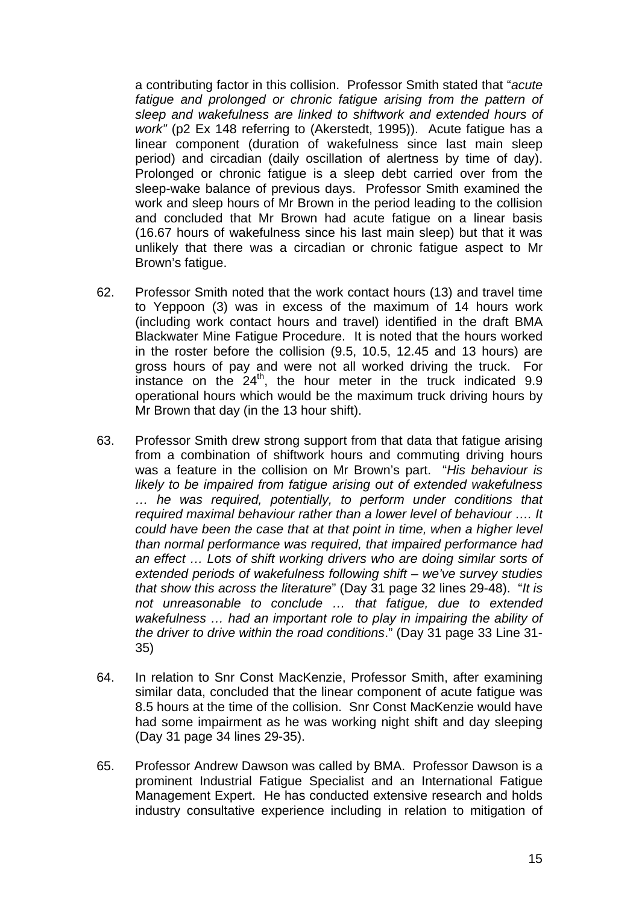a contributing factor in this collision. Professor Smith stated that "*acute*  fatigue and prolonged or chronic fatigue arising from the pattern of *sleep and wakefulness are linked to shiftwork and extended hours of work"* (p2 Ex 148 referring to (Akerstedt, 1995)). Acute fatigue has a linear component (duration of wakefulness since last main sleep period) and circadian (daily oscillation of alertness by time of day). Prolonged or chronic fatigue is a sleep debt carried over from the sleep-wake balance of previous days. Professor Smith examined the work and sleep hours of Mr Brown in the period leading to the collision and concluded that Mr Brown had acute fatigue on a linear basis (16.67 hours of wakefulness since his last main sleep) but that it was unlikely that there was a circadian or chronic fatigue aspect to Mr Brown's fatigue.

- 62. Professor Smith noted that the work contact hours (13) and travel time to Yeppoon (3) was in excess of the maximum of 14 hours work (including work contact hours and travel) identified in the draft BMA Blackwater Mine Fatigue Procedure. It is noted that the hours worked in the roster before the collision (9.5, 10.5, 12.45 and 13 hours) are gross hours of pay and were not all worked driving the truck. For instance on the  $24<sup>th</sup>$ , the hour meter in the truck indicated 9.9 operational hours which would be the maximum truck driving hours by Mr Brown that day (in the 13 hour shift).
- 63. Professor Smith drew strong support from that data that fatigue arising from a combination of shiftwork hours and commuting driving hours was a feature in the collision on Mr Brown's part. "*His behaviour is likely to be impaired from fatigue arising out of extended wakefulness … he was required, potentially, to perform under conditions that required maximal behaviour rather than a lower level of behaviour …. It could have been the case that at that point in time, when a higher level than normal performance was required, that impaired performance had an effect … Lots of shift working drivers who are doing similar sorts of extended periods of wakefulness following shift – we've survey studies that show this across the literature*" (Day 31 page 32 lines 29-48). "*It is not unreasonable to conclude … that fatigue, due to extended wakefulness … had an important role to play in impairing the ability of the driver to drive within the road conditions*." (Day 31 page 33 Line 31- 35)
- 64. In relation to Snr Const MacKenzie, Professor Smith, after examining similar data, concluded that the linear component of acute fatigue was 8.5 hours at the time of the collision. Snr Const MacKenzie would have had some impairment as he was working night shift and day sleeping (Day 31 page 34 lines 29-35).
- 65. Professor Andrew Dawson was called by BMA. Professor Dawson is a prominent Industrial Fatigue Specialist and an International Fatigue Management Expert. He has conducted extensive research and holds industry consultative experience including in relation to mitigation of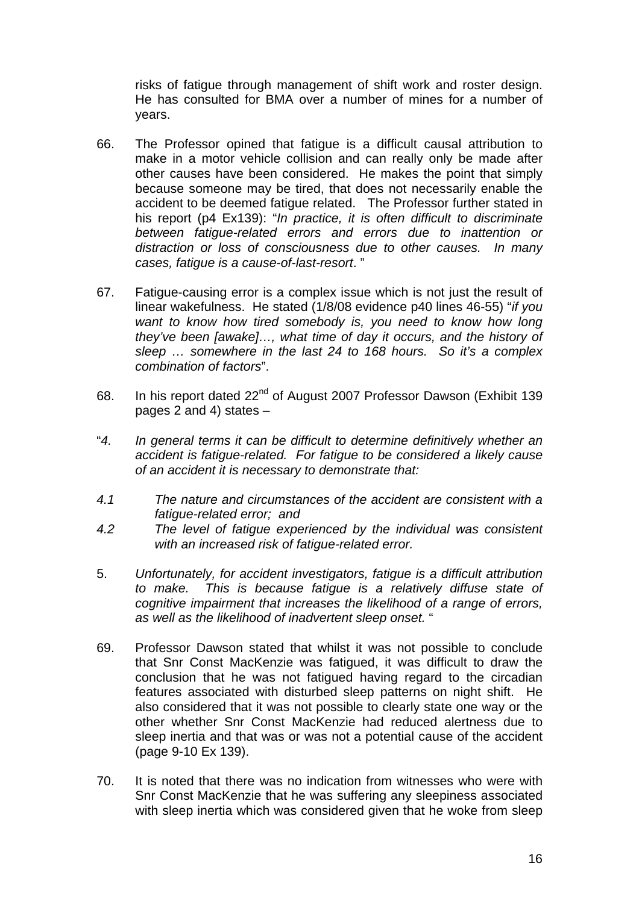risks of fatigue through management of shift work and roster design. He has consulted for BMA over a number of mines for a number of years.

- 66. The Professor opined that fatigue is a difficult causal attribution to make in a motor vehicle collision and can really only be made after other causes have been considered. He makes the point that simply because someone may be tired, that does not necessarily enable the accident to be deemed fatigue related. The Professor further stated in his report (p4 Ex139): "*In practice, it is often difficult to discriminate between fatigue-related errors and errors due to inattention or distraction or loss of consciousness due to other causes. In many cases, fatigue is a cause-of-last-resort*. "
- 67. Fatigue-causing error is a complex issue which is not just the result of linear wakefulness. He stated (1/8/08 evidence p40 lines 46-55) "*if you want to know how tired somebody is, you need to know how long they've been [awake]…, what time of day it occurs, and the history of sleep … somewhere in the last 24 to 168 hours. So it's a complex combination of factors*".
- 68. In his report dated 22nd of August 2007 Professor Dawson (Exhibit 139 pages 2 and 4) states –
- "*4. In general terms it can be difficult to determine definitively whether an accident is fatigue-related. For fatigue to be considered a likely cause of an accident it is necessary to demonstrate that:*
- *4.1 The nature and circumstances of the accident are consistent with a fatigue-related error; and*
- *4.2 The level of fatigue experienced by the individual was consistent with an increased risk of fatigue-related error.*
- 5. *Unfortunately, for accident investigators, fatigue is a difficult attribution to make. This is because fatigue is a relatively diffuse state of cognitive impairment that increases the likelihood of a range of errors, as well as the likelihood of inadvertent sleep onset.* "
- 69. Professor Dawson stated that whilst it was not possible to conclude that Snr Const MacKenzie was fatigued, it was difficult to draw the conclusion that he was not fatigued having regard to the circadian features associated with disturbed sleep patterns on night shift. He also considered that it was not possible to clearly state one way or the other whether Snr Const MacKenzie had reduced alertness due to sleep inertia and that was or was not a potential cause of the accident (page 9-10 Ex 139).
- 70. It is noted that there was no indication from witnesses who were with Snr Const MacKenzie that he was suffering any sleepiness associated with sleep inertia which was considered given that he woke from sleep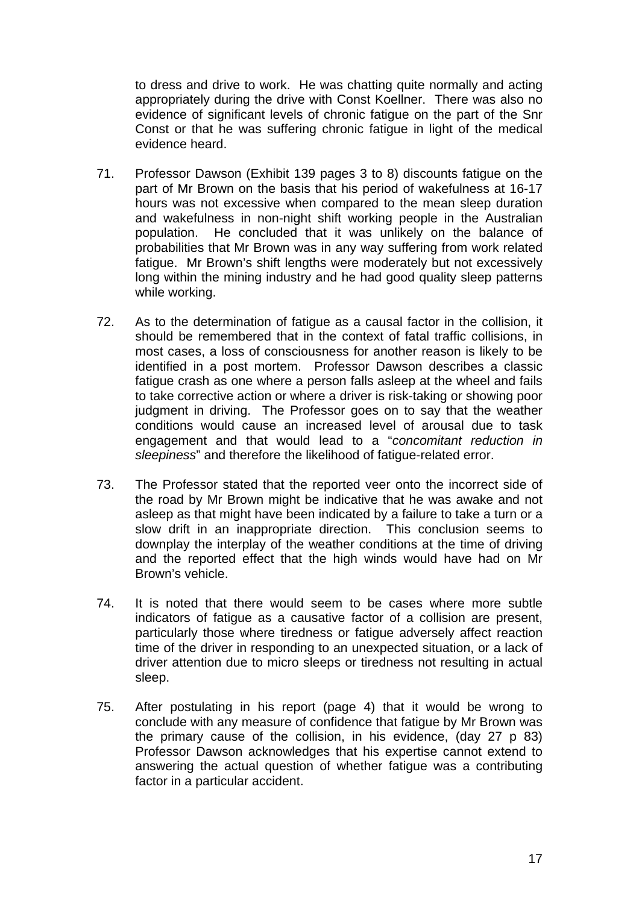to dress and drive to work. He was chatting quite normally and acting appropriately during the drive with Const Koellner. There was also no evidence of significant levels of chronic fatigue on the part of the Snr Const or that he was suffering chronic fatigue in light of the medical evidence heard.

- 71. Professor Dawson (Exhibit 139 pages 3 to 8) discounts fatigue on the part of Mr Brown on the basis that his period of wakefulness at 16-17 hours was not excessive when compared to the mean sleep duration and wakefulness in non-night shift working people in the Australian population. He concluded that it was unlikely on the balance of probabilities that Mr Brown was in any way suffering from work related fatigue. Mr Brown's shift lengths were moderately but not excessively long within the mining industry and he had good quality sleep patterns while working.
- 72. As to the determination of fatigue as a causal factor in the collision, it should be remembered that in the context of fatal traffic collisions, in most cases, a loss of consciousness for another reason is likely to be identified in a post mortem. Professor Dawson describes a classic fatigue crash as one where a person falls asleep at the wheel and fails to take corrective action or where a driver is risk-taking or showing poor judgment in driving. The Professor goes on to say that the weather conditions would cause an increased level of arousal due to task engagement and that would lead to a "*concomitant reduction in sleepiness*" and therefore the likelihood of fatigue-related error.
- 73. The Professor stated that the reported veer onto the incorrect side of the road by Mr Brown might be indicative that he was awake and not asleep as that might have been indicated by a failure to take a turn or a slow drift in an inappropriate direction. This conclusion seems to downplay the interplay of the weather conditions at the time of driving and the reported effect that the high winds would have had on Mr Brown's vehicle.
- 74. It is noted that there would seem to be cases where more subtle indicators of fatigue as a causative factor of a collision are present, particularly those where tiredness or fatigue adversely affect reaction time of the driver in responding to an unexpected situation, or a lack of driver attention due to micro sleeps or tiredness not resulting in actual sleep.
- 75. After postulating in his report (page 4) that it would be wrong to conclude with any measure of confidence that fatigue by Mr Brown was the primary cause of the collision, in his evidence, (day 27 p 83) Professor Dawson acknowledges that his expertise cannot extend to answering the actual question of whether fatigue was a contributing factor in a particular accident.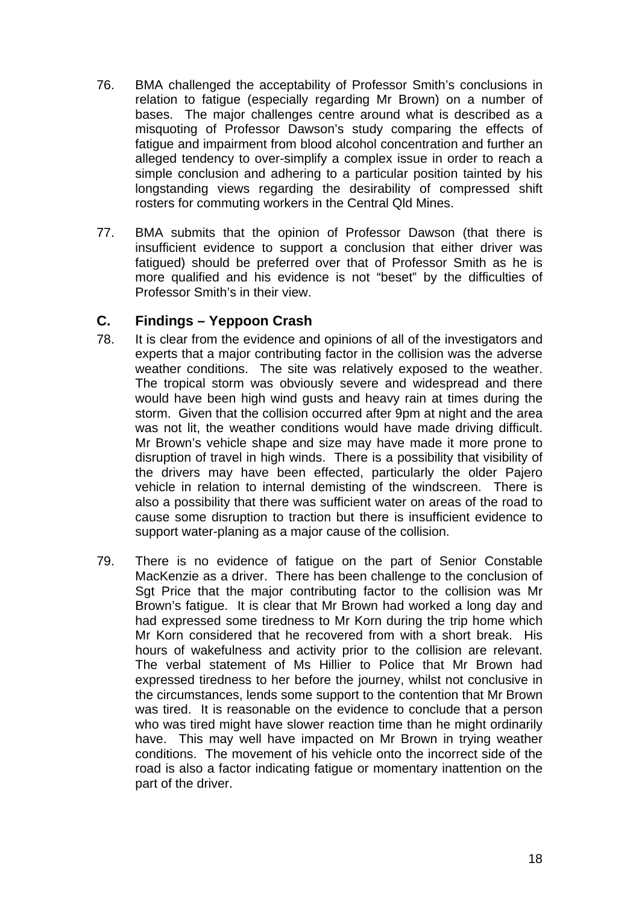- 76. BMA challenged the acceptability of Professor Smith's conclusions in relation to fatigue (especially regarding Mr Brown) on a number of bases. The major challenges centre around what is described as a misquoting of Professor Dawson's study comparing the effects of fatigue and impairment from blood alcohol concentration and further an alleged tendency to over-simplify a complex issue in order to reach a simple conclusion and adhering to a particular position tainted by his longstanding views regarding the desirability of compressed shift rosters for commuting workers in the Central Qld Mines.
- 77. BMA submits that the opinion of Professor Dawson (that there is insufficient evidence to support a conclusion that either driver was fatigued) should be preferred over that of Professor Smith as he is more qualified and his evidence is not "beset" by the difficulties of Professor Smith's in their view.

### **C. Findings – Yeppoon Crash**

- 78. It is clear from the evidence and opinions of all of the investigators and experts that a major contributing factor in the collision was the adverse weather conditions. The site was relatively exposed to the weather. The tropical storm was obviously severe and widespread and there would have been high wind gusts and heavy rain at times during the storm. Given that the collision occurred after 9pm at night and the area was not lit, the weather conditions would have made driving difficult. Mr Brown's vehicle shape and size may have made it more prone to disruption of travel in high winds. There is a possibility that visibility of the drivers may have been effected, particularly the older Pajero vehicle in relation to internal demisting of the windscreen. There is also a possibility that there was sufficient water on areas of the road to cause some disruption to traction but there is insufficient evidence to support water-planing as a major cause of the collision.
- 79. There is no evidence of fatigue on the part of Senior Constable MacKenzie as a driver. There has been challenge to the conclusion of Sgt Price that the major contributing factor to the collision was Mr Brown's fatigue. It is clear that Mr Brown had worked a long day and had expressed some tiredness to Mr Korn during the trip home which Mr Korn considered that he recovered from with a short break. His hours of wakefulness and activity prior to the collision are relevant. The verbal statement of Ms Hillier to Police that Mr Brown had expressed tiredness to her before the journey, whilst not conclusive in the circumstances, lends some support to the contention that Mr Brown was tired. It is reasonable on the evidence to conclude that a person who was tired might have slower reaction time than he might ordinarily have. This may well have impacted on Mr Brown in trying weather conditions. The movement of his vehicle onto the incorrect side of the road is also a factor indicating fatigue or momentary inattention on the part of the driver.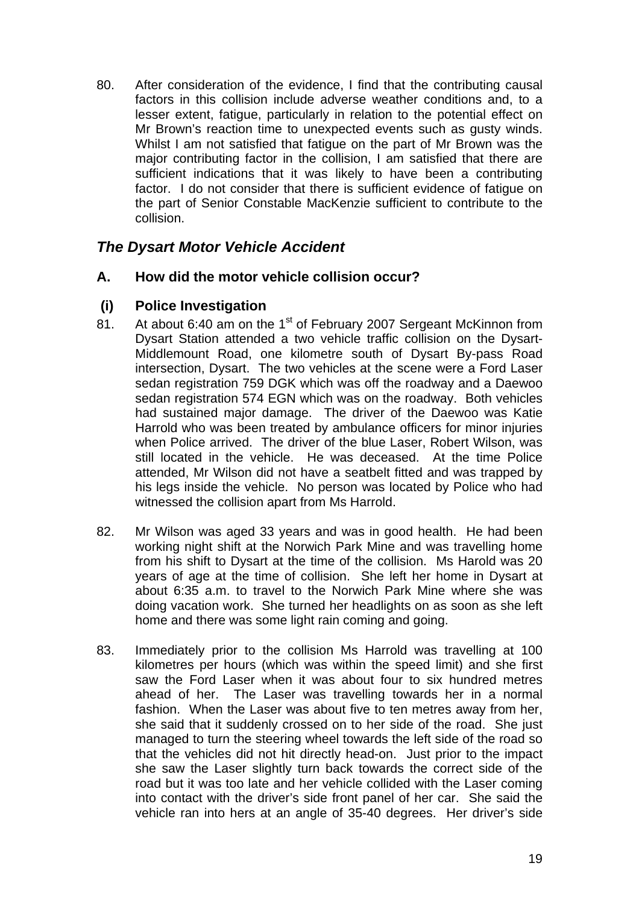80. After consideration of the evidence, I find that the contributing causal factors in this collision include adverse weather conditions and, to a lesser extent, fatigue, particularly in relation to the potential effect on Mr Brown's reaction time to unexpected events such as gusty winds. Whilst I am not satisfied that fatigue on the part of Mr Brown was the major contributing factor in the collision, I am satisfied that there are sufficient indications that it was likely to have been a contributing factor. I do not consider that there is sufficient evidence of fatigue on the part of Senior Constable MacKenzie sufficient to contribute to the collision.

# *The Dysart Motor Vehicle Accident*

# **A. How did the motor vehicle collision occur?**

# **(i) Police Investigation**

- 81. At about 6:40 am on the 1<sup>st</sup> of February 2007 Sergeant McKinnon from Dysart Station attended a two vehicle traffic collision on the Dysart-Middlemount Road, one kilometre south of Dysart By-pass Road intersection, Dysart. The two vehicles at the scene were a Ford Laser sedan registration 759 DGK which was off the roadway and a Daewoo sedan registration 574 EGN which was on the roadway. Both vehicles had sustained major damage. The driver of the Daewoo was Katie Harrold who was been treated by ambulance officers for minor injuries when Police arrived. The driver of the blue Laser, Robert Wilson, was still located in the vehicle. He was deceased. At the time Police attended, Mr Wilson did not have a seatbelt fitted and was trapped by his legs inside the vehicle. No person was located by Police who had witnessed the collision apart from Ms Harrold.
- 82. Mr Wilson was aged 33 years and was in good health. He had been working night shift at the Norwich Park Mine and was travelling home from his shift to Dysart at the time of the collision. Ms Harold was 20 years of age at the time of collision. She left her home in Dysart at about 6:35 a.m. to travel to the Norwich Park Mine where she was doing vacation work. She turned her headlights on as soon as she left home and there was some light rain coming and going.
- 83. Immediately prior to the collision Ms Harrold was travelling at 100 kilometres per hours (which was within the speed limit) and she first saw the Ford Laser when it was about four to six hundred metres ahead of her. The Laser was travelling towards her in a normal fashion. When the Laser was about five to ten metres away from her, she said that it suddenly crossed on to her side of the road. She just managed to turn the steering wheel towards the left side of the road so that the vehicles did not hit directly head-on. Just prior to the impact she saw the Laser slightly turn back towards the correct side of the road but it was too late and her vehicle collided with the Laser coming into contact with the driver's side front panel of her car. She said the vehicle ran into hers at an angle of 35-40 degrees. Her driver's side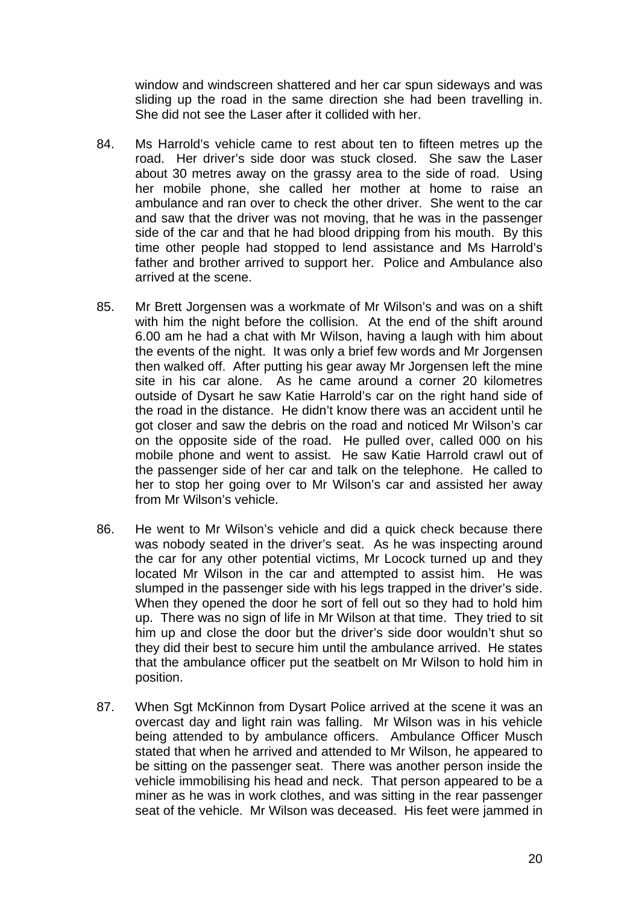window and windscreen shattered and her car spun sideways and was sliding up the road in the same direction she had been travelling in. She did not see the Laser after it collided with her.

- 84. Ms Harrold's vehicle came to rest about ten to fifteen metres up the road. Her driver's side door was stuck closed. She saw the Laser about 30 metres away on the grassy area to the side of road. Using her mobile phone, she called her mother at home to raise an ambulance and ran over to check the other driver. She went to the car and saw that the driver was not moving, that he was in the passenger side of the car and that he had blood dripping from his mouth. By this time other people had stopped to lend assistance and Ms Harrold's father and brother arrived to support her. Police and Ambulance also arrived at the scene.
- 85. Mr Brett Jorgensen was a workmate of Mr Wilson's and was on a shift with him the night before the collision. At the end of the shift around 6.00 am he had a chat with Mr Wilson, having a laugh with him about the events of the night. It was only a brief few words and Mr Jorgensen then walked off. After putting his gear away Mr Jorgensen left the mine site in his car alone. As he came around a corner 20 kilometres outside of Dysart he saw Katie Harrold's car on the right hand side of the road in the distance. He didn't know there was an accident until he got closer and saw the debris on the road and noticed Mr Wilson's car on the opposite side of the road. He pulled over, called 000 on his mobile phone and went to assist. He saw Katie Harrold crawl out of the passenger side of her car and talk on the telephone. He called to her to stop her going over to Mr Wilson's car and assisted her away from Mr Wilson's vehicle.
- 86. He went to Mr Wilson's vehicle and did a quick check because there was nobody seated in the driver's seat. As he was inspecting around the car for any other potential victims, Mr Locock turned up and they located Mr Wilson in the car and attempted to assist him. He was slumped in the passenger side with his legs trapped in the driver's side. When they opened the door he sort of fell out so they had to hold him up. There was no sign of life in Mr Wilson at that time. They tried to sit him up and close the door but the driver's side door wouldn't shut so they did their best to secure him until the ambulance arrived. He states that the ambulance officer put the seatbelt on Mr Wilson to hold him in position.
- 87. When Sgt McKinnon from Dysart Police arrived at the scene it was an overcast day and light rain was falling. Mr Wilson was in his vehicle being attended to by ambulance officers. Ambulance Officer Musch stated that when he arrived and attended to Mr Wilson, he appeared to be sitting on the passenger seat. There was another person inside the vehicle immobilising his head and neck. That person appeared to be a miner as he was in work clothes, and was sitting in the rear passenger seat of the vehicle. Mr Wilson was deceased. His feet were jammed in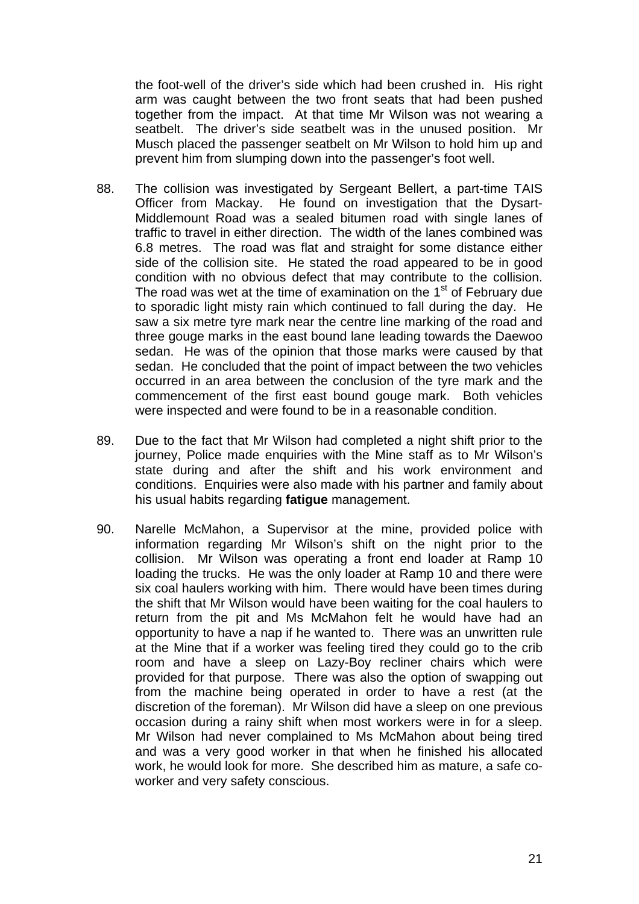the foot-well of the driver's side which had been crushed in. His right arm was caught between the two front seats that had been pushed together from the impact. At that time Mr Wilson was not wearing a seatbelt. The driver's side seatbelt was in the unused position. Mr Musch placed the passenger seatbelt on Mr Wilson to hold him up and prevent him from slumping down into the passenger's foot well.

- 88. The collision was investigated by Sergeant Bellert, a part-time TAIS Officer from Mackay. He found on investigation that the Dysart-Middlemount Road was a sealed bitumen road with single lanes of traffic to travel in either direction. The width of the lanes combined was 6.8 metres. The road was flat and straight for some distance either side of the collision site. He stated the road appeared to be in good condition with no obvious defect that may contribute to the collision. The road was wet at the time of examination on the  $1<sup>st</sup>$  of February due to sporadic light misty rain which continued to fall during the day. He saw a six metre tyre mark near the centre line marking of the road and three gouge marks in the east bound lane leading towards the Daewoo sedan. He was of the opinion that those marks were caused by that sedan. He concluded that the point of impact between the two vehicles occurred in an area between the conclusion of the tyre mark and the commencement of the first east bound gouge mark. Both vehicles were inspected and were found to be in a reasonable condition.
- 89. Due to the fact that Mr Wilson had completed a night shift prior to the journey, Police made enquiries with the Mine staff as to Mr Wilson's state during and after the shift and his work environment and conditions. Enquiries were also made with his partner and family about his usual habits regarding **fatigue** management.
- 90. Narelle McMahon, a Supervisor at the mine, provided police with information regarding Mr Wilson's shift on the night prior to the collision. Mr Wilson was operating a front end loader at Ramp 10 loading the trucks. He was the only loader at Ramp 10 and there were six coal haulers working with him. There would have been times during the shift that Mr Wilson would have been waiting for the coal haulers to return from the pit and Ms McMahon felt he would have had an opportunity to have a nap if he wanted to. There was an unwritten rule at the Mine that if a worker was feeling tired they could go to the crib room and have a sleep on Lazy-Boy recliner chairs which were provided for that purpose. There was also the option of swapping out from the machine being operated in order to have a rest (at the discretion of the foreman). Mr Wilson did have a sleep on one previous occasion during a rainy shift when most workers were in for a sleep. Mr Wilson had never complained to Ms McMahon about being tired and was a very good worker in that when he finished his allocated work, he would look for more. She described him as mature, a safe coworker and very safety conscious.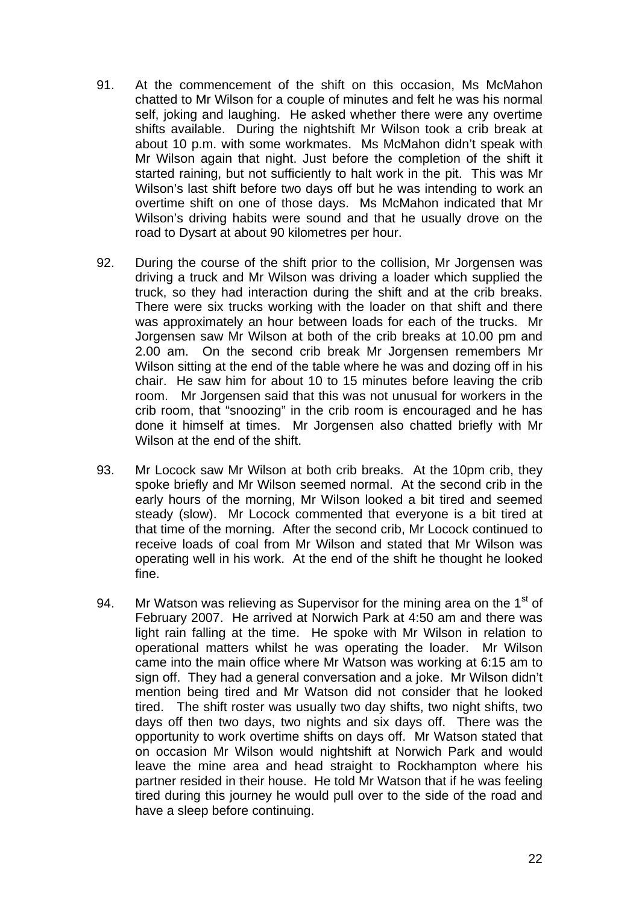- 91. At the commencement of the shift on this occasion, Ms McMahon chatted to Mr Wilson for a couple of minutes and felt he was his normal self, joking and laughing. He asked whether there were any overtime shifts available. During the nightshift Mr Wilson took a crib break at about 10 p.m. with some workmates. Ms McMahon didn't speak with Mr Wilson again that night. Just before the completion of the shift it started raining, but not sufficiently to halt work in the pit. This was Mr Wilson's last shift before two days off but he was intending to work an overtime shift on one of those days. Ms McMahon indicated that Mr Wilson's driving habits were sound and that he usually drove on the road to Dysart at about 90 kilometres per hour.
- 92. During the course of the shift prior to the collision, Mr Jorgensen was driving a truck and Mr Wilson was driving a loader which supplied the truck, so they had interaction during the shift and at the crib breaks. There were six trucks working with the loader on that shift and there was approximately an hour between loads for each of the trucks. Mr Jorgensen saw Mr Wilson at both of the crib breaks at 10.00 pm and 2.00 am. On the second crib break Mr Jorgensen remembers Mr Wilson sitting at the end of the table where he was and dozing off in his chair. He saw him for about 10 to 15 minutes before leaving the crib room. Mr Jorgensen said that this was not unusual for workers in the crib room, that "snoozing" in the crib room is encouraged and he has done it himself at times. Mr Jorgensen also chatted briefly with Mr Wilson at the end of the shift.
- 93. Mr Locock saw Mr Wilson at both crib breaks. At the 10pm crib, they spoke briefly and Mr Wilson seemed normal. At the second crib in the early hours of the morning, Mr Wilson looked a bit tired and seemed steady (slow). Mr Locock commented that everyone is a bit tired at that time of the morning. After the second crib, Mr Locock continued to receive loads of coal from Mr Wilson and stated that Mr Wilson was operating well in his work. At the end of the shift he thought he looked fine.
- 94. Mr Watson was relieving as Supervisor for the mining area on the  $1<sup>st</sup>$  of February 2007. He arrived at Norwich Park at 4:50 am and there was light rain falling at the time. He spoke with Mr Wilson in relation to operational matters whilst he was operating the loader. Mr Wilson came into the main office where Mr Watson was working at 6:15 am to sign off. They had a general conversation and a joke. Mr Wilson didn't mention being tired and Mr Watson did not consider that he looked tired. The shift roster was usually two day shifts, two night shifts, two days off then two days, two nights and six days off. There was the opportunity to work overtime shifts on days off. Mr Watson stated that on occasion Mr Wilson would nightshift at Norwich Park and would leave the mine area and head straight to Rockhampton where his partner resided in their house. He told Mr Watson that if he was feeling tired during this journey he would pull over to the side of the road and have a sleep before continuing.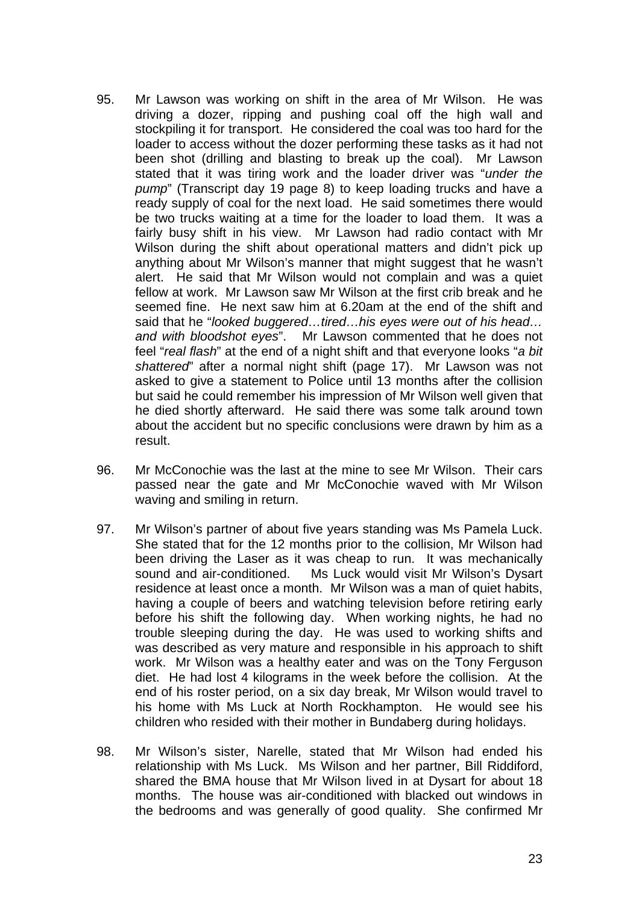- 95. Mr Lawson was working on shift in the area of Mr Wilson. He was driving a dozer, ripping and pushing coal off the high wall and stockpiling it for transport. He considered the coal was too hard for the loader to access without the dozer performing these tasks as it had not been shot (drilling and blasting to break up the coal). Mr Lawson stated that it was tiring work and the loader driver was "*under the pump*" (Transcript day 19 page 8) to keep loading trucks and have a ready supply of coal for the next load. He said sometimes there would be two trucks waiting at a time for the loader to load them. It was a fairly busy shift in his view. Mr Lawson had radio contact with Mr Wilson during the shift about operational matters and didn't pick up anything about Mr Wilson's manner that might suggest that he wasn't alert. He said that Mr Wilson would not complain and was a quiet fellow at work. Mr Lawson saw Mr Wilson at the first crib break and he seemed fine. He next saw him at 6.20am at the end of the shift and said that he "*looked buggered…tired…his eyes were out of his head… and with bloodshot eyes*". Mr Lawson commented that he does not feel "*real flash*" at the end of a night shift and that everyone looks "*a bit shattered*" after a normal night shift (page 17). Mr Lawson was not asked to give a statement to Police until 13 months after the collision but said he could remember his impression of Mr Wilson well given that he died shortly afterward. He said there was some talk around town about the accident but no specific conclusions were drawn by him as a result.
- 96. Mr McConochie was the last at the mine to see Mr Wilson. Their cars passed near the gate and Mr McConochie waved with Mr Wilson waving and smiling in return.
- 97. Mr Wilson's partner of about five years standing was Ms Pamela Luck. She stated that for the 12 months prior to the collision, Mr Wilson had been driving the Laser as it was cheap to run. It was mechanically sound and air-conditioned. Ms Luck would visit Mr Wilson's Dysart residence at least once a month. Mr Wilson was a man of quiet habits, having a couple of beers and watching television before retiring early before his shift the following day. When working nights, he had no trouble sleeping during the day. He was used to working shifts and was described as very mature and responsible in his approach to shift work. Mr Wilson was a healthy eater and was on the Tony Ferguson diet. He had lost 4 kilograms in the week before the collision. At the end of his roster period, on a six day break, Mr Wilson would travel to his home with Ms Luck at North Rockhampton. He would see his children who resided with their mother in Bundaberg during holidays.
- 98. Mr Wilson's sister, Narelle, stated that Mr Wilson had ended his relationship with Ms Luck. Ms Wilson and her partner, Bill Riddiford, shared the BMA house that Mr Wilson lived in at Dysart for about 18 months. The house was air-conditioned with blacked out windows in the bedrooms and was generally of good quality. She confirmed Mr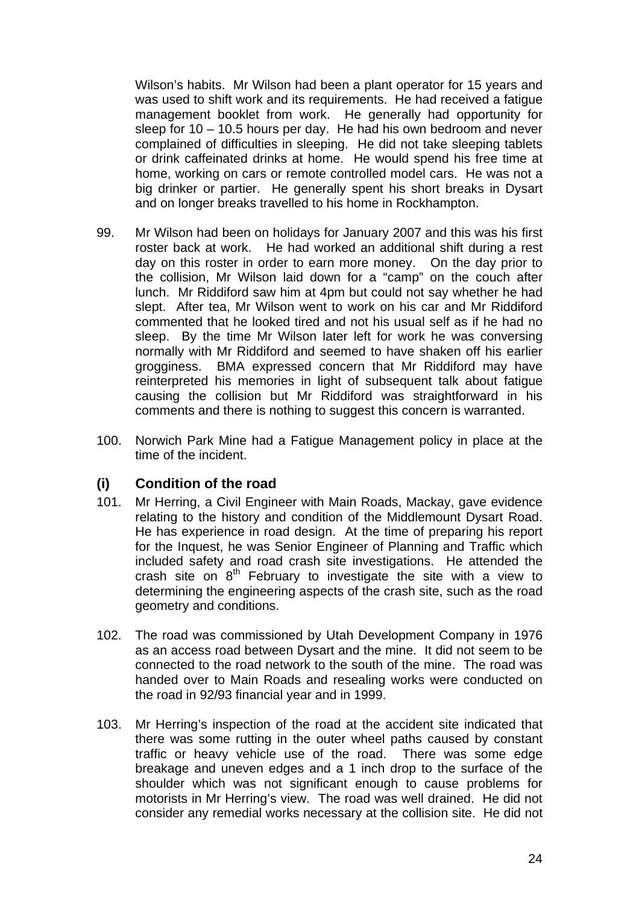Wilson's habits. Mr Wilson had been a plant operator for 15 years and was used to shift work and its requirements. He had received a fatigue management booklet from work. He generally had opportunity for sleep for 10 – 10.5 hours per day. He had his own bedroom and never complained of difficulties in sleeping. He did not take sleeping tablets or drink caffeinated drinks at home. He would spend his free time at home, working on cars or remote controlled model cars. He was not a big drinker or partier. He generally spent his short breaks in Dysart and on longer breaks travelled to his home in Rockhampton.

- 99. Mr Wilson had been on holidays for January 2007 and this was his first roster back at work. He had worked an additional shift during a rest day on this roster in order to earn more money. On the day prior to the collision, Mr Wilson laid down for a "camp" on the couch after lunch. Mr Riddiford saw him at 4pm but could not say whether he had slept. After tea, Mr Wilson went to work on his car and Mr Riddiford commented that he looked tired and not his usual self as if he had no sleep. By the time Mr Wilson later left for work he was conversing normally with Mr Riddiford and seemed to have shaken off his earlier grogginess. BMA expressed concern that Mr Riddiford may have reinterpreted his memories in light of subsequent talk about fatigue causing the collision but Mr Riddiford was straightforward in his comments and there is nothing to suggest this concern is warranted.
- 100. Norwich Park Mine had a Fatigue Management policy in place at the time of the incident.

### **(i) Condition of the road**

- 101. Mr Herring, a Civil Engineer with Main Roads, Mackay, gave evidence relating to the history and condition of the Middlemount Dysart Road. He has experience in road design. At the time of preparing his report for the Inquest, he was Senior Engineer of Planning and Traffic which included safety and road crash site investigations. He attended the crash site on 8<sup>th</sup> February to investigate the site with a view to determining the engineering aspects of the crash site, such as the road geometry and conditions.
- 102. The road was commissioned by Utah Development Company in 1976 as an access road between Dysart and the mine. It did not seem to be connected to the road network to the south of the mine. The road was handed over to Main Roads and resealing works were conducted on the road in 92/93 financial year and in 1999.
- 103. Mr Herring's inspection of the road at the accident site indicated that there was some rutting in the outer wheel paths caused by constant traffic or heavy vehicle use of the road. There was some edge breakage and uneven edges and a 1 inch drop to the surface of the shoulder which was not significant enough to cause problems for motorists in Mr Herring's view. The road was well drained. He did not consider any remedial works necessary at the collision site. He did not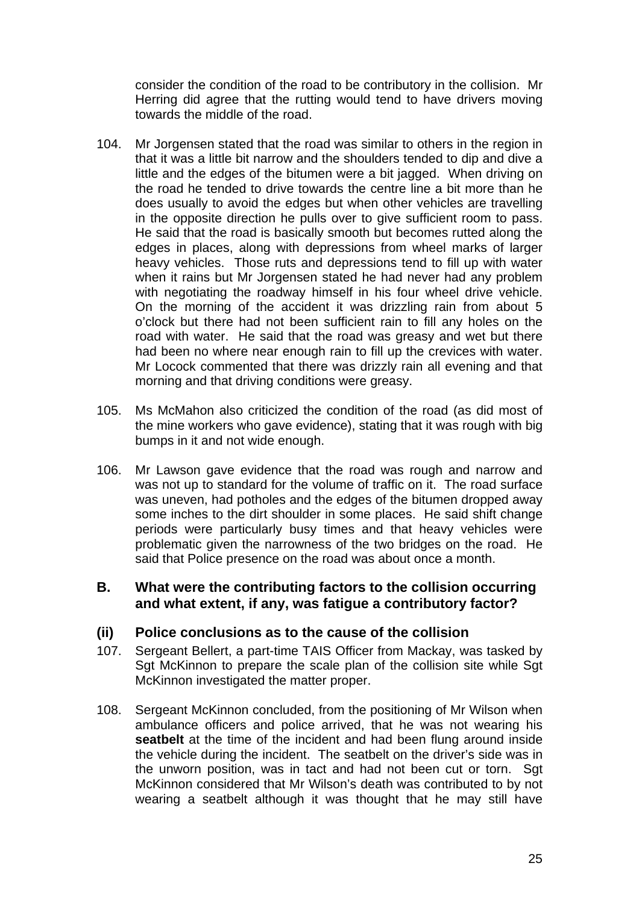consider the condition of the road to be contributory in the collision. Mr Herring did agree that the rutting would tend to have drivers moving towards the middle of the road.

- 104. Mr Jorgensen stated that the road was similar to others in the region in that it was a little bit narrow and the shoulders tended to dip and dive a little and the edges of the bitumen were a bit jagged. When driving on the road he tended to drive towards the centre line a bit more than he does usually to avoid the edges but when other vehicles are travelling in the opposite direction he pulls over to give sufficient room to pass. He said that the road is basically smooth but becomes rutted along the edges in places, along with depressions from wheel marks of larger heavy vehicles. Those ruts and depressions tend to fill up with water when it rains but Mr Jorgensen stated he had never had any problem with negotiating the roadway himself in his four wheel drive vehicle. On the morning of the accident it was drizzling rain from about 5 o'clock but there had not been sufficient rain to fill any holes on the road with water. He said that the road was greasy and wet but there had been no where near enough rain to fill up the crevices with water. Mr Locock commented that there was drizzly rain all evening and that morning and that driving conditions were greasy.
- 105. Ms McMahon also criticized the condition of the road (as did most of the mine workers who gave evidence), stating that it was rough with big bumps in it and not wide enough.
- 106. Mr Lawson gave evidence that the road was rough and narrow and was not up to standard for the volume of traffic on it. The road surface was uneven, had potholes and the edges of the bitumen dropped away some inches to the dirt shoulder in some places. He said shift change periods were particularly busy times and that heavy vehicles were problematic given the narrowness of the two bridges on the road. He said that Police presence on the road was about once a month.

### **B. What were the contributing factors to the collision occurring and what extent, if any, was fatigue a contributory factor?**

### **(ii) Police conclusions as to the cause of the collision**

- 107. Sergeant Bellert, a part-time TAIS Officer from Mackay, was tasked by Sgt McKinnon to prepare the scale plan of the collision site while Sgt McKinnon investigated the matter proper.
- 108. Sergeant McKinnon concluded, from the positioning of Mr Wilson when ambulance officers and police arrived, that he was not wearing his **seatbelt** at the time of the incident and had been flung around inside the vehicle during the incident. The seatbelt on the driver's side was in the unworn position, was in tact and had not been cut or torn. Sgt McKinnon considered that Mr Wilson's death was contributed to by not wearing a seatbelt although it was thought that he may still have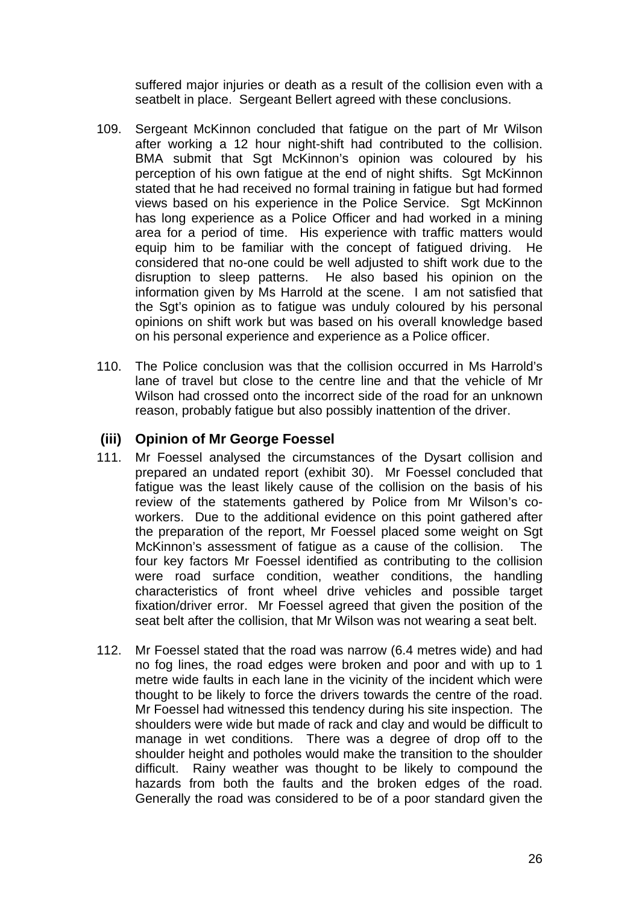suffered major injuries or death as a result of the collision even with a seatbelt in place. Sergeant Bellert agreed with these conclusions.

- 109. Sergeant McKinnon concluded that fatigue on the part of Mr Wilson after working a 12 hour night-shift had contributed to the collision. BMA submit that Sgt McKinnon's opinion was coloured by his perception of his own fatigue at the end of night shifts. Sgt McKinnon stated that he had received no formal training in fatigue but had formed views based on his experience in the Police Service. Sgt McKinnon has long experience as a Police Officer and had worked in a mining area for a period of time. His experience with traffic matters would equip him to be familiar with the concept of fatigued driving. He considered that no-one could be well adjusted to shift work due to the disruption to sleep patterns. He also based his opinion on the information given by Ms Harrold at the scene. I am not satisfied that the Sgt's opinion as to fatigue was unduly coloured by his personal opinions on shift work but was based on his overall knowledge based on his personal experience and experience as a Police officer.
- 110. The Police conclusion was that the collision occurred in Ms Harrold's lane of travel but close to the centre line and that the vehicle of Mr Wilson had crossed onto the incorrect side of the road for an unknown reason, probably fatigue but also possibly inattention of the driver.

### **(iii) Opinion of Mr George Foessel**

- 111. Mr Foessel analysed the circumstances of the Dysart collision and prepared an undated report (exhibit 30). Mr Foessel concluded that fatigue was the least likely cause of the collision on the basis of his review of the statements gathered by Police from Mr Wilson's coworkers. Due to the additional evidence on this point gathered after the preparation of the report, Mr Foessel placed some weight on Sgt McKinnon's assessment of fatigue as a cause of the collision. The four key factors Mr Foessel identified as contributing to the collision were road surface condition, weather conditions, the handling characteristics of front wheel drive vehicles and possible target fixation/driver error. Mr Foessel agreed that given the position of the seat belt after the collision, that Mr Wilson was not wearing a seat belt.
- 112. Mr Foessel stated that the road was narrow (6.4 metres wide) and had no fog lines, the road edges were broken and poor and with up to 1 metre wide faults in each lane in the vicinity of the incident which were thought to be likely to force the drivers towards the centre of the road. Mr Foessel had witnessed this tendency during his site inspection. The shoulders were wide but made of rack and clay and would be difficult to manage in wet conditions. There was a degree of drop off to the shoulder height and potholes would make the transition to the shoulder difficult. Rainy weather was thought to be likely to compound the hazards from both the faults and the broken edges of the road. Generally the road was considered to be of a poor standard given the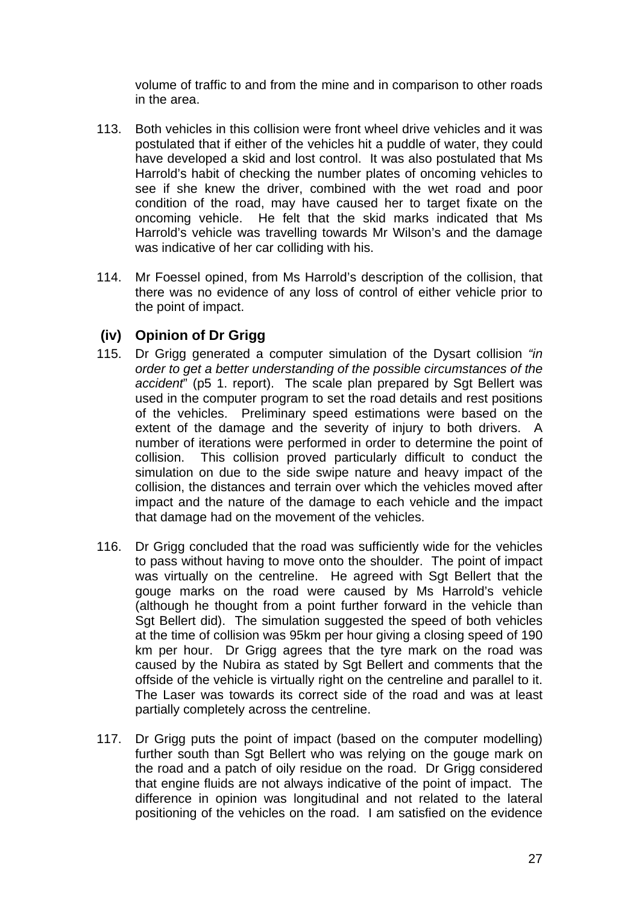volume of traffic to and from the mine and in comparison to other roads in the area.

- 113. Both vehicles in this collision were front wheel drive vehicles and it was postulated that if either of the vehicles hit a puddle of water, they could have developed a skid and lost control. It was also postulated that Ms Harrold's habit of checking the number plates of oncoming vehicles to see if she knew the driver, combined with the wet road and poor condition of the road, may have caused her to target fixate on the oncoming vehicle. He felt that the skid marks indicated that Ms Harrold's vehicle was travelling towards Mr Wilson's and the damage was indicative of her car colliding with his.
- 114. Mr Foessel opined, from Ms Harrold's description of the collision, that there was no evidence of any loss of control of either vehicle prior to the point of impact.

# **(iv) Opinion of Dr Grigg**

- 115. Dr Grigg generated a computer simulation of the Dysart collision *"in order to get a better understanding of the possible circumstances of the accident*" (p5 1. report). The scale plan prepared by Sgt Bellert was used in the computer program to set the road details and rest positions of the vehicles. Preliminary speed estimations were based on the extent of the damage and the severity of injury to both drivers. A number of iterations were performed in order to determine the point of collision. This collision proved particularly difficult to conduct the simulation on due to the side swipe nature and heavy impact of the collision, the distances and terrain over which the vehicles moved after impact and the nature of the damage to each vehicle and the impact that damage had on the movement of the vehicles.
- 116. Dr Grigg concluded that the road was sufficiently wide for the vehicles to pass without having to move onto the shoulder. The point of impact was virtually on the centreline. He agreed with Sgt Bellert that the gouge marks on the road were caused by Ms Harrold's vehicle (although he thought from a point further forward in the vehicle than Sgt Bellert did). The simulation suggested the speed of both vehicles at the time of collision was 95km per hour giving a closing speed of 190 km per hour. Dr Grigg agrees that the tyre mark on the road was caused by the Nubira as stated by Sqt Bellert and comments that the offside of the vehicle is virtually right on the centreline and parallel to it. The Laser was towards its correct side of the road and was at least partially completely across the centreline.
- 117. Dr Grigg puts the point of impact (based on the computer modelling) further south than Sgt Bellert who was relying on the gouge mark on the road and a patch of oily residue on the road. Dr Grigg considered that engine fluids are not always indicative of the point of impact. The difference in opinion was longitudinal and not related to the lateral positioning of the vehicles on the road. I am satisfied on the evidence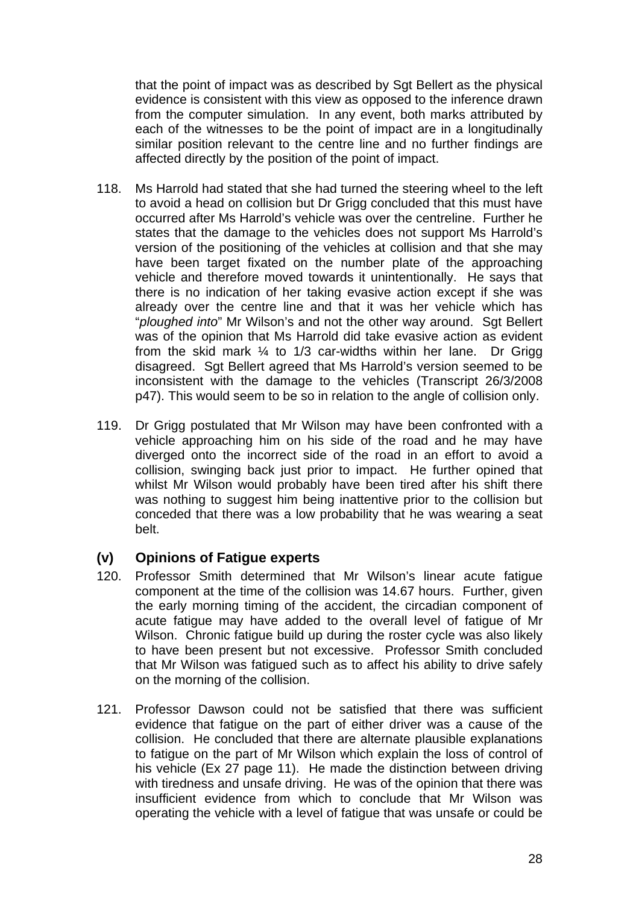that the point of impact was as described by Sgt Bellert as the physical evidence is consistent with this view as opposed to the inference drawn from the computer simulation. In any event, both marks attributed by each of the witnesses to be the point of impact are in a longitudinally similar position relevant to the centre line and no further findings are affected directly by the position of the point of impact.

- 118. Ms Harrold had stated that she had turned the steering wheel to the left to avoid a head on collision but Dr Grigg concluded that this must have occurred after Ms Harrold's vehicle was over the centreline. Further he states that the damage to the vehicles does not support Ms Harrold's version of the positioning of the vehicles at collision and that she may have been target fixated on the number plate of the approaching vehicle and therefore moved towards it unintentionally. He says that there is no indication of her taking evasive action except if she was already over the centre line and that it was her vehicle which has "*ploughed into*" Mr Wilson's and not the other way around. Sgt Bellert was of the opinion that Ms Harrold did take evasive action as evident from the skid mark ¼ to 1/3 car-widths within her lane. Dr Grigg disagreed. Sgt Bellert agreed that Ms Harrold's version seemed to be inconsistent with the damage to the vehicles (Transcript 26/3/2008 p47). This would seem to be so in relation to the angle of collision only.
- 119. Dr Grigg postulated that Mr Wilson may have been confronted with a vehicle approaching him on his side of the road and he may have diverged onto the incorrect side of the road in an effort to avoid a collision, swinging back just prior to impact. He further opined that whilst Mr Wilson would probably have been tired after his shift there was nothing to suggest him being inattentive prior to the collision but conceded that there was a low probability that he was wearing a seat belt.

### **(v) Opinions of Fatigue experts**

- 120. Professor Smith determined that Mr Wilson's linear acute fatigue component at the time of the collision was 14.67 hours. Further, given the early morning timing of the accident, the circadian component of acute fatigue may have added to the overall level of fatigue of Mr Wilson. Chronic fatigue build up during the roster cycle was also likely to have been present but not excessive. Professor Smith concluded that Mr Wilson was fatigued such as to affect his ability to drive safely on the morning of the collision.
- 121. Professor Dawson could not be satisfied that there was sufficient evidence that fatigue on the part of either driver was a cause of the collision. He concluded that there are alternate plausible explanations to fatigue on the part of Mr Wilson which explain the loss of control of his vehicle (Ex 27 page 11). He made the distinction between driving with tiredness and unsafe driving. He was of the opinion that there was insufficient evidence from which to conclude that Mr Wilson was operating the vehicle with a level of fatigue that was unsafe or could be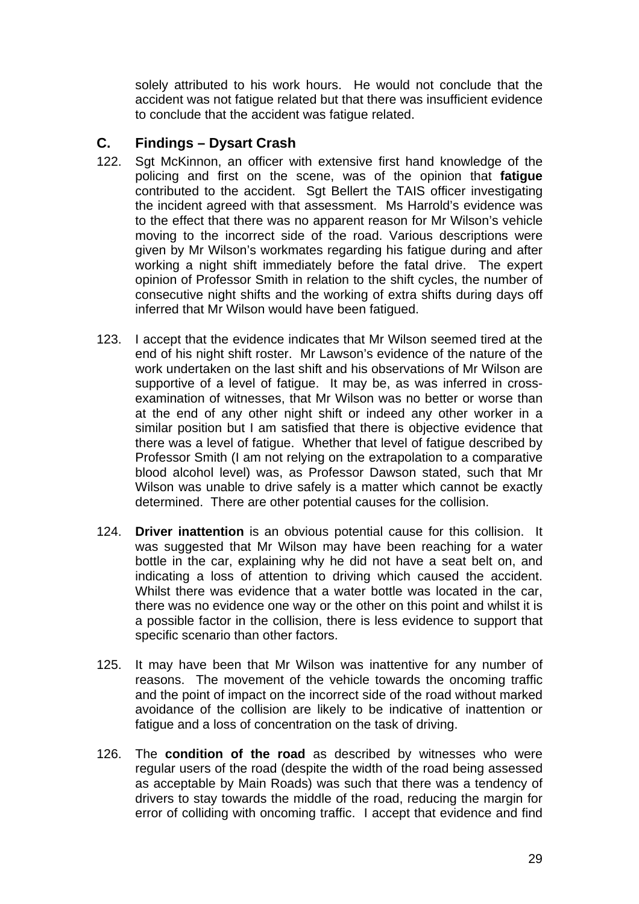solely attributed to his work hours. He would not conclude that the accident was not fatigue related but that there was insufficient evidence to conclude that the accident was fatigue related.

## **C. Findings – Dysart Crash**

- 122. Sgt McKinnon, an officer with extensive first hand knowledge of the policing and first on the scene, was of the opinion that **fatigue** contributed to the accident. Sgt Bellert the TAIS officer investigating the incident agreed with that assessment. Ms Harrold's evidence was to the effect that there was no apparent reason for Mr Wilson's vehicle moving to the incorrect side of the road. Various descriptions were given by Mr Wilson's workmates regarding his fatigue during and after working a night shift immediately before the fatal drive. The expert opinion of Professor Smith in relation to the shift cycles, the number of consecutive night shifts and the working of extra shifts during days off inferred that Mr Wilson would have been fatigued.
- 123. I accept that the evidence indicates that Mr Wilson seemed tired at the end of his night shift roster. Mr Lawson's evidence of the nature of the work undertaken on the last shift and his observations of Mr Wilson are supportive of a level of fatigue. It may be, as was inferred in crossexamination of witnesses, that Mr Wilson was no better or worse than at the end of any other night shift or indeed any other worker in a similar position but I am satisfied that there is objective evidence that there was a level of fatigue. Whether that level of fatigue described by Professor Smith (I am not relying on the extrapolation to a comparative blood alcohol level) was, as Professor Dawson stated, such that Mr Wilson was unable to drive safely is a matter which cannot be exactly determined. There are other potential causes for the collision.
- 124. **Driver inattention** is an obvious potential cause for this collision. It was suggested that Mr Wilson may have been reaching for a water bottle in the car, explaining why he did not have a seat belt on, and indicating a loss of attention to driving which caused the accident. Whilst there was evidence that a water bottle was located in the car, there was no evidence one way or the other on this point and whilst it is a possible factor in the collision, there is less evidence to support that specific scenario than other factors.
- 125. It may have been that Mr Wilson was inattentive for any number of reasons. The movement of the vehicle towards the oncoming traffic and the point of impact on the incorrect side of the road without marked avoidance of the collision are likely to be indicative of inattention or fatigue and a loss of concentration on the task of driving.
- 126. The **condition of the road** as described by witnesses who were regular users of the road (despite the width of the road being assessed as acceptable by Main Roads) was such that there was a tendency of drivers to stay towards the middle of the road, reducing the margin for error of colliding with oncoming traffic. I accept that evidence and find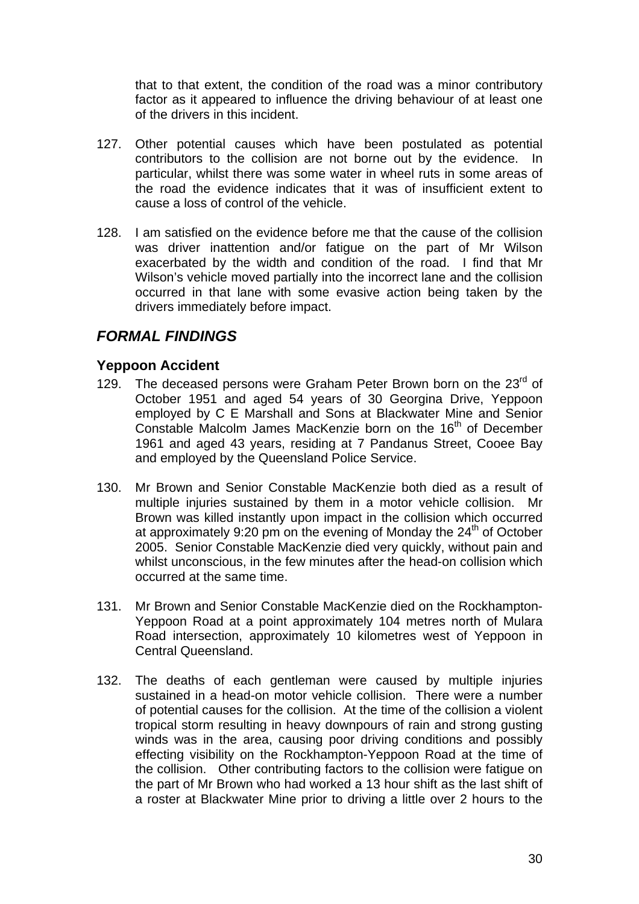that to that extent, the condition of the road was a minor contributory factor as it appeared to influence the driving behaviour of at least one of the drivers in this incident.

- 127. Other potential causes which have been postulated as potential contributors to the collision are not borne out by the evidence. In particular, whilst there was some water in wheel ruts in some areas of the road the evidence indicates that it was of insufficient extent to cause a loss of control of the vehicle.
- 128. I am satisfied on the evidence before me that the cause of the collision was driver inattention and/or fatigue on the part of Mr Wilson exacerbated by the width and condition of the road. I find that Mr Wilson's vehicle moved partially into the incorrect lane and the collision occurred in that lane with some evasive action being taken by the drivers immediately before impact.

# *FORMAL FINDINGS*

#### **Yeppoon Accident**

- 129. The deceased persons were Graham Peter Brown born on the 23<sup>rd</sup> of October 1951 and aged 54 years of 30 Georgina Drive, Yeppoon employed by C E Marshall and Sons at Blackwater Mine and Senior Constable Malcolm James MacKenzie born on the 16<sup>th</sup> of December 1961 and aged 43 years, residing at 7 Pandanus Street, Cooee Bay and employed by the Queensland Police Service.
- 130. Mr Brown and Senior Constable MacKenzie both died as a result of multiple injuries sustained by them in a motor vehicle collision. Mr Brown was killed instantly upon impact in the collision which occurred at approximately 9:20 pm on the evening of Monday the  $24<sup>th</sup>$  of October 2005. Senior Constable MacKenzie died very quickly, without pain and whilst unconscious, in the few minutes after the head-on collision which occurred at the same time.
- 131. Mr Brown and Senior Constable MacKenzie died on the Rockhampton-Yeppoon Road at a point approximately 104 metres north of Mulara Road intersection, approximately 10 kilometres west of Yeppoon in Central Queensland.
- 132. The deaths of each gentleman were caused by multiple injuries sustained in a head-on motor vehicle collision. There were a number of potential causes for the collision. At the time of the collision a violent tropical storm resulting in heavy downpours of rain and strong gusting winds was in the area, causing poor driving conditions and possibly effecting visibility on the Rockhampton-Yeppoon Road at the time of the collision. Other contributing factors to the collision were fatigue on the part of Mr Brown who had worked a 13 hour shift as the last shift of a roster at Blackwater Mine prior to driving a little over 2 hours to the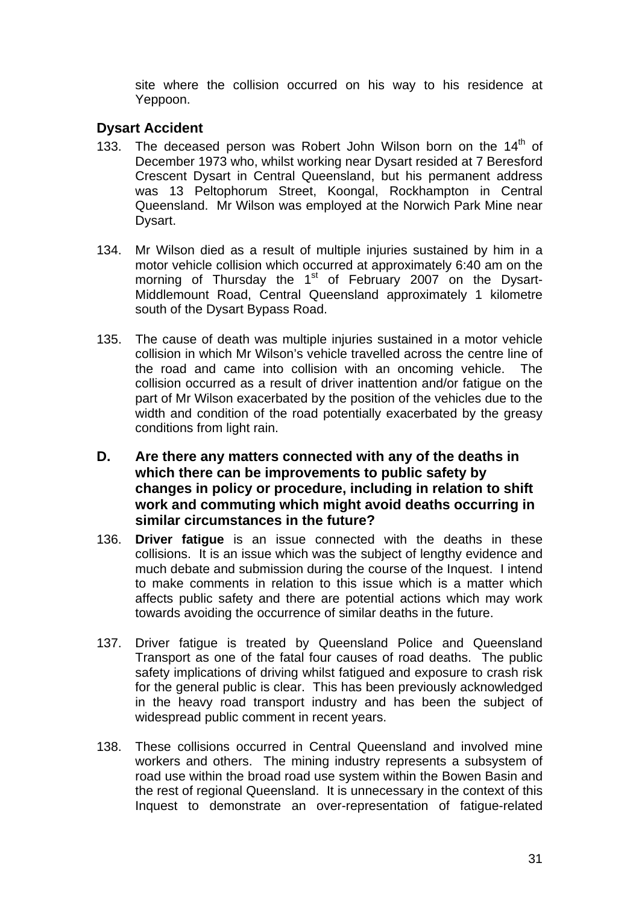site where the collision occurred on his way to his residence at Yeppoon.

## **Dysart Accident**

- 133. The deceased person was Robert John Wilson born on the  $14<sup>th</sup>$  of December 1973 who, whilst working near Dysart resided at 7 Beresford Crescent Dysart in Central Queensland, but his permanent address was 13 Peltophorum Street, Koongal, Rockhampton in Central Queensland. Mr Wilson was employed at the Norwich Park Mine near Dysart.
- 134. Mr Wilson died as a result of multiple injuries sustained by him in a motor vehicle collision which occurred at approximately 6:40 am on the morning of Thursday the  $1<sup>st</sup>$  of February 2007 on the Dysart-Middlemount Road, Central Queensland approximately 1 kilometre south of the Dysart Bypass Road.
- 135. The cause of death was multiple injuries sustained in a motor vehicle collision in which Mr Wilson's vehicle travelled across the centre line of the road and came into collision with an oncoming vehicle. The collision occurred as a result of driver inattention and/or fatigue on the part of Mr Wilson exacerbated by the position of the vehicles due to the width and condition of the road potentially exacerbated by the greasy conditions from light rain.
- **D. Are there any matters connected with any of the deaths in which there can be improvements to public safety by changes in policy or procedure, including in relation to shift work and commuting which might avoid deaths occurring in similar circumstances in the future?**
- 136. **Driver fatigue** is an issue connected with the deaths in these collisions. It is an issue which was the subject of lengthy evidence and much debate and submission during the course of the Inquest. I intend to make comments in relation to this issue which is a matter which affects public safety and there are potential actions which may work towards avoiding the occurrence of similar deaths in the future.
- 137. Driver fatigue is treated by Queensland Police and Queensland Transport as one of the fatal four causes of road deaths. The public safety implications of driving whilst fatigued and exposure to crash risk for the general public is clear. This has been previously acknowledged in the heavy road transport industry and has been the subject of widespread public comment in recent years.
- 138. These collisions occurred in Central Queensland and involved mine workers and others. The mining industry represents a subsystem of road use within the broad road use system within the Bowen Basin and the rest of regional Queensland. It is unnecessary in the context of this Inquest to demonstrate an over-representation of fatigue-related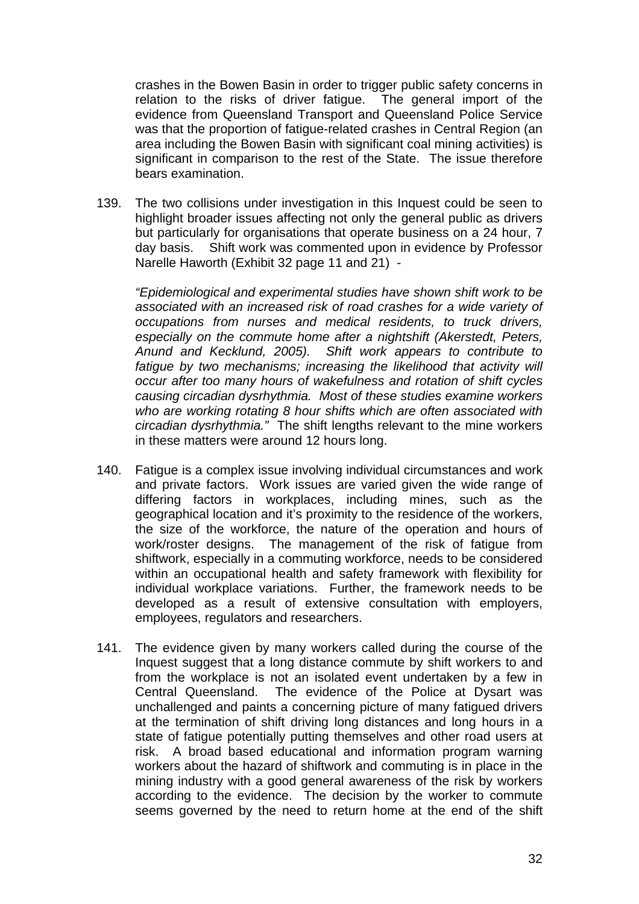crashes in the Bowen Basin in order to trigger public safety concerns in relation to the risks of driver fatigue. The general import of the evidence from Queensland Transport and Queensland Police Service was that the proportion of fatigue-related crashes in Central Region (an area including the Bowen Basin with significant coal mining activities) is significant in comparison to the rest of the State. The issue therefore bears examination.

139. The two collisions under investigation in this Inquest could be seen to highlight broader issues affecting not only the general public as drivers but particularly for organisations that operate business on a 24 hour, 7 day basis. Shift work was commented upon in evidence by Professor Narelle Haworth (Exhibit 32 page 11 and 21) -

*"Epidemiological and experimental studies have shown shift work to be associated with an increased risk of road crashes for a wide variety of occupations from nurses and medical residents, to truck drivers, especially on the commute home after a nightshift (Akerstedt, Peters, Anund and Kecklund, 2005). Shift work appears to contribute to*  fatigue by two mechanisms; increasing the likelihood that activity will *occur after too many hours of wakefulness and rotation of shift cycles causing circadian dysrhythmia. Most of these studies examine workers who are working rotating 8 hour shifts which are often associated with circadian dysrhythmia."* The shift lengths relevant to the mine workers in these matters were around 12 hours long.

- 140. Fatigue is a complex issue involving individual circumstances and work and private factors. Work issues are varied given the wide range of differing factors in workplaces, including mines, such as the geographical location and it's proximity to the residence of the workers, the size of the workforce, the nature of the operation and hours of work/roster designs. The management of the risk of fatigue from shiftwork, especially in a commuting workforce, needs to be considered within an occupational health and safety framework with flexibility for individual workplace variations. Further, the framework needs to be developed as a result of extensive consultation with employers, employees, regulators and researchers.
- 141. The evidence given by many workers called during the course of the Inquest suggest that a long distance commute by shift workers to and from the workplace is not an isolated event undertaken by a few in Central Queensland. The evidence of the Police at Dysart was unchallenged and paints a concerning picture of many fatigued drivers at the termination of shift driving long distances and long hours in a state of fatigue potentially putting themselves and other road users at risk. A broad based educational and information program warning workers about the hazard of shiftwork and commuting is in place in the mining industry with a good general awareness of the risk by workers according to the evidence. The decision by the worker to commute seems governed by the need to return home at the end of the shift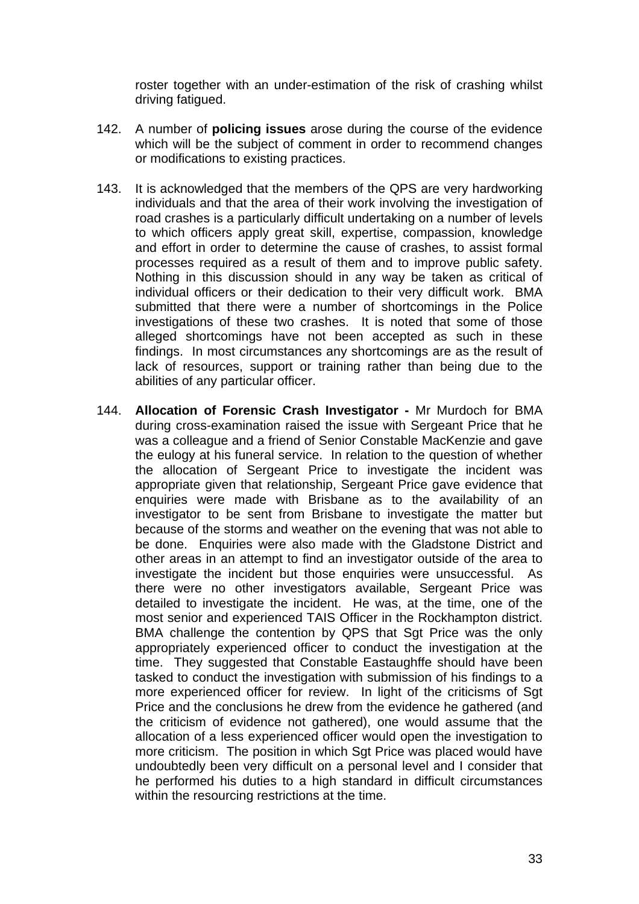roster together with an under-estimation of the risk of crashing whilst driving fatigued.

- 142. A number of **policing issues** arose during the course of the evidence which will be the subject of comment in order to recommend changes or modifications to existing practices.
- 143. It is acknowledged that the members of the QPS are very hardworking individuals and that the area of their work involving the investigation of road crashes is a particularly difficult undertaking on a number of levels to which officers apply great skill, expertise, compassion, knowledge and effort in order to determine the cause of crashes, to assist formal processes required as a result of them and to improve public safety. Nothing in this discussion should in any way be taken as critical of individual officers or their dedication to their very difficult work. BMA submitted that there were a number of shortcomings in the Police investigations of these two crashes. It is noted that some of those alleged shortcomings have not been accepted as such in these findings. In most circumstances any shortcomings are as the result of lack of resources, support or training rather than being due to the abilities of any particular officer.
- 144. **Allocation of Forensic Crash Investigator** Mr Murdoch for BMA during cross-examination raised the issue with Sergeant Price that he was a colleague and a friend of Senior Constable MacKenzie and gave the eulogy at his funeral service. In relation to the question of whether the allocation of Sergeant Price to investigate the incident was appropriate given that relationship, Sergeant Price gave evidence that enquiries were made with Brisbane as to the availability of an investigator to be sent from Brisbane to investigate the matter but because of the storms and weather on the evening that was not able to be done. Enquiries were also made with the Gladstone District and other areas in an attempt to find an investigator outside of the area to investigate the incident but those enquiries were unsuccessful. As there were no other investigators available, Sergeant Price was detailed to investigate the incident. He was, at the time, one of the most senior and experienced TAIS Officer in the Rockhampton district. BMA challenge the contention by QPS that Sgt Price was the only appropriately experienced officer to conduct the investigation at the time. They suggested that Constable Eastaughffe should have been tasked to conduct the investigation with submission of his findings to a more experienced officer for review. In light of the criticisms of Sat Price and the conclusions he drew from the evidence he gathered (and the criticism of evidence not gathered), one would assume that the allocation of a less experienced officer would open the investigation to more criticism. The position in which Sgt Price was placed would have undoubtedly been very difficult on a personal level and I consider that he performed his duties to a high standard in difficult circumstances within the resourcing restrictions at the time.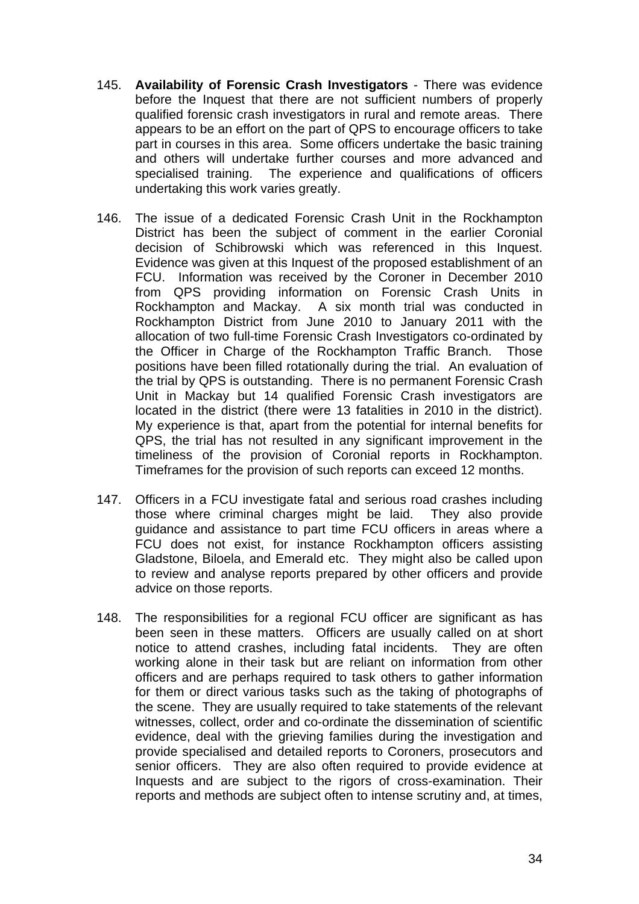- 145. **Availability of Forensic Crash Investigators**  There was evidence before the Inquest that there are not sufficient numbers of properly qualified forensic crash investigators in rural and remote areas. There appears to be an effort on the part of QPS to encourage officers to take part in courses in this area. Some officers undertake the basic training and others will undertake further courses and more advanced and specialised training. The experience and qualifications of officers undertaking this work varies greatly.
- 146. The issue of a dedicated Forensic Crash Unit in the Rockhampton District has been the subject of comment in the earlier Coronial decision of Schibrowski which was referenced in this Inquest. Evidence was given at this Inquest of the proposed establishment of an FCU. Information was received by the Coroner in December 2010 from QPS providing information on Forensic Crash Units in Rockhampton and Mackay. A six month trial was conducted in Rockhampton District from June 2010 to January 2011 with the allocation of two full-time Forensic Crash Investigators co-ordinated by the Officer in Charge of the Rockhampton Traffic Branch. Those positions have been filled rotationally during the trial. An evaluation of the trial by QPS is outstanding. There is no permanent Forensic Crash Unit in Mackay but 14 qualified Forensic Crash investigators are located in the district (there were 13 fatalities in 2010 in the district). My experience is that, apart from the potential for internal benefits for QPS, the trial has not resulted in any significant improvement in the timeliness of the provision of Coronial reports in Rockhampton. Timeframes for the provision of such reports can exceed 12 months.
- 147. Officers in a FCU investigate fatal and serious road crashes including those where criminal charges might be laid. They also provide guidance and assistance to part time FCU officers in areas where a FCU does not exist, for instance Rockhampton officers assisting Gladstone, Biloela, and Emerald etc. They might also be called upon to review and analyse reports prepared by other officers and provide advice on those reports.
- 148. The responsibilities for a regional FCU officer are significant as has been seen in these matters. Officers are usually called on at short notice to attend crashes, including fatal incidents. They are often working alone in their task but are reliant on information from other officers and are perhaps required to task others to gather information for them or direct various tasks such as the taking of photographs of the scene. They are usually required to take statements of the relevant witnesses, collect, order and co-ordinate the dissemination of scientific evidence, deal with the grieving families during the investigation and provide specialised and detailed reports to Coroners, prosecutors and senior officers. They are also often required to provide evidence at Inquests and are subject to the rigors of cross-examination. Their reports and methods are subject often to intense scrutiny and, at times,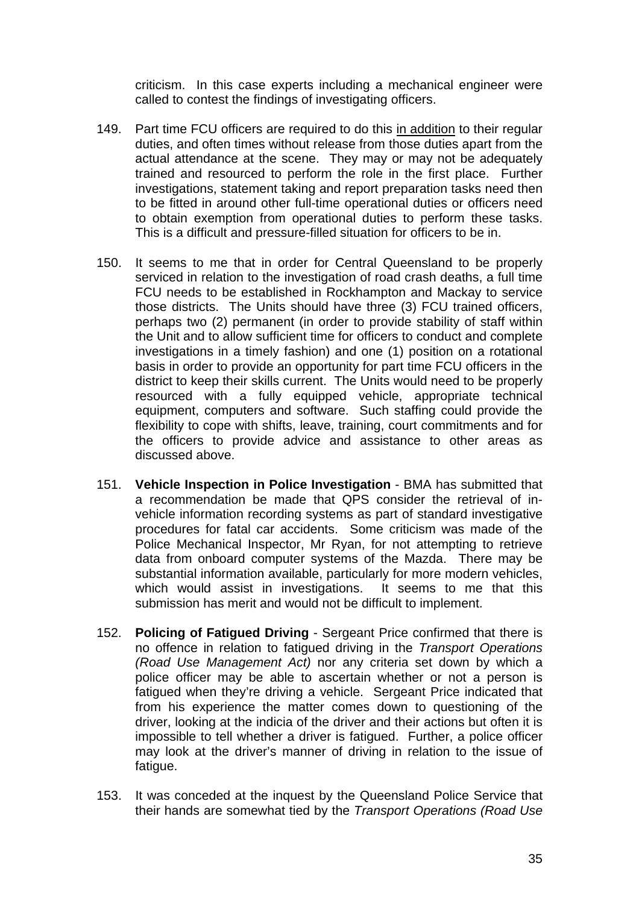criticism. In this case experts including a mechanical engineer were called to contest the findings of investigating officers.

- 149. Part time FCU officers are required to do this in addition to their regular duties, and often times without release from those duties apart from the actual attendance at the scene. They may or may not be adequately trained and resourced to perform the role in the first place. Further investigations, statement taking and report preparation tasks need then to be fitted in around other full-time operational duties or officers need to obtain exemption from operational duties to perform these tasks. This is a difficult and pressure-filled situation for officers to be in.
- 150. It seems to me that in order for Central Queensland to be properly serviced in relation to the investigation of road crash deaths, a full time FCU needs to be established in Rockhampton and Mackay to service those districts. The Units should have three (3) FCU trained officers, perhaps two (2) permanent (in order to provide stability of staff within the Unit and to allow sufficient time for officers to conduct and complete investigations in a timely fashion) and one (1) position on a rotational basis in order to provide an opportunity for part time FCU officers in the district to keep their skills current. The Units would need to be properly resourced with a fully equipped vehicle, appropriate technical equipment, computers and software. Such staffing could provide the flexibility to cope with shifts, leave, training, court commitments and for the officers to provide advice and assistance to other areas as discussed above.
- 151. **Vehicle Inspection in Police Investigation** BMA has submitted that a recommendation be made that QPS consider the retrieval of invehicle information recording systems as part of standard investigative procedures for fatal car accidents. Some criticism was made of the Police Mechanical Inspector, Mr Ryan, for not attempting to retrieve data from onboard computer systems of the Mazda. There may be substantial information available, particularly for more modern vehicles, which would assist in investigations. It seems to me that this submission has merit and would not be difficult to implement.
- 152. **Policing of Fatigued Driving** Sergeant Price confirmed that there is no offence in relation to fatigued driving in the *Transport Operations (Road Use Management Act)* nor any criteria set down by which a police officer may be able to ascertain whether or not a person is fatigued when they're driving a vehicle. Sergeant Price indicated that from his experience the matter comes down to questioning of the driver, looking at the indicia of the driver and their actions but often it is impossible to tell whether a driver is fatigued. Further, a police officer may look at the driver's manner of driving in relation to the issue of fatigue.
- 153. It was conceded at the inquest by the Queensland Police Service that their hands are somewhat tied by the *Transport Operations (Road Use*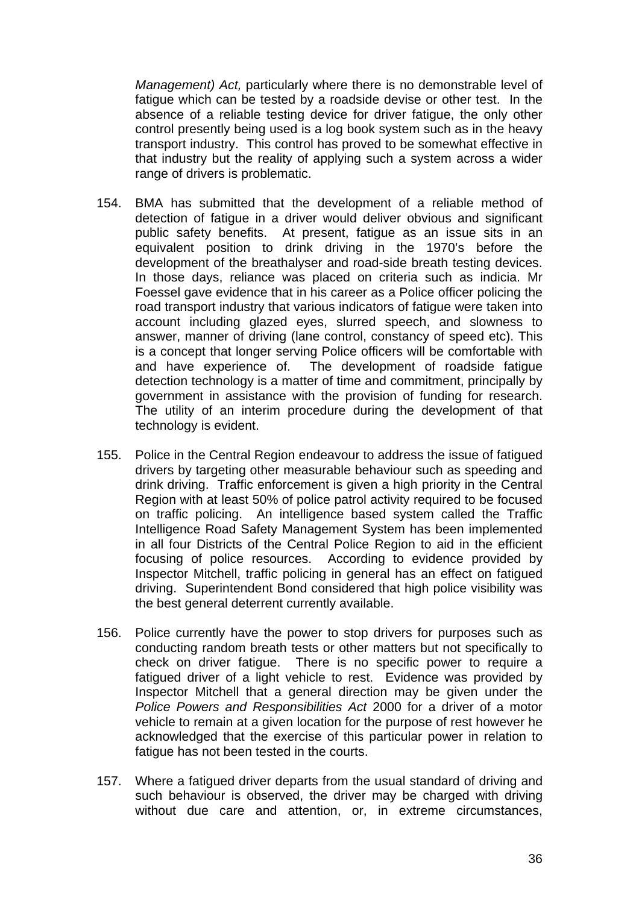*Management) Act,* particularly where there is no demonstrable level of fatigue which can be tested by a roadside devise or other test. In the absence of a reliable testing device for driver fatigue, the only other control presently being used is a log book system such as in the heavy transport industry. This control has proved to be somewhat effective in that industry but the reality of applying such a system across a wider range of drivers is problematic.

- 154. BMA has submitted that the development of a reliable method of detection of fatigue in a driver would deliver obvious and significant public safety benefits. At present, fatigue as an issue sits in an equivalent position to drink driving in the 1970's before the development of the breathalyser and road-side breath testing devices. In those days, reliance was placed on criteria such as indicia. Mr Foessel gave evidence that in his career as a Police officer policing the road transport industry that various indicators of fatigue were taken into account including glazed eyes, slurred speech, and slowness to answer, manner of driving (lane control, constancy of speed etc). This is a concept that longer serving Police officers will be comfortable with and have experience of. The development of roadside fatigue detection technology is a matter of time and commitment, principally by government in assistance with the provision of funding for research. The utility of an interim procedure during the development of that technology is evident.
- 155. Police in the Central Region endeavour to address the issue of fatigued drivers by targeting other measurable behaviour such as speeding and drink driving. Traffic enforcement is given a high priority in the Central Region with at least 50% of police patrol activity required to be focused on traffic policing. An intelligence based system called the Traffic Intelligence Road Safety Management System has been implemented in all four Districts of the Central Police Region to aid in the efficient focusing of police resources. According to evidence provided by Inspector Mitchell, traffic policing in general has an effect on fatigued driving. Superintendent Bond considered that high police visibility was the best general deterrent currently available.
- 156. Police currently have the power to stop drivers for purposes such as conducting random breath tests or other matters but not specifically to check on driver fatigue. There is no specific power to require a fatigued driver of a light vehicle to rest. Evidence was provided by Inspector Mitchell that a general direction may be given under the *Police Powers and Responsibilities Act* 2000 for a driver of a motor vehicle to remain at a given location for the purpose of rest however he acknowledged that the exercise of this particular power in relation to fatigue has not been tested in the courts.
- 157. Where a fatigued driver departs from the usual standard of driving and such behaviour is observed, the driver may be charged with driving without due care and attention, or, in extreme circumstances,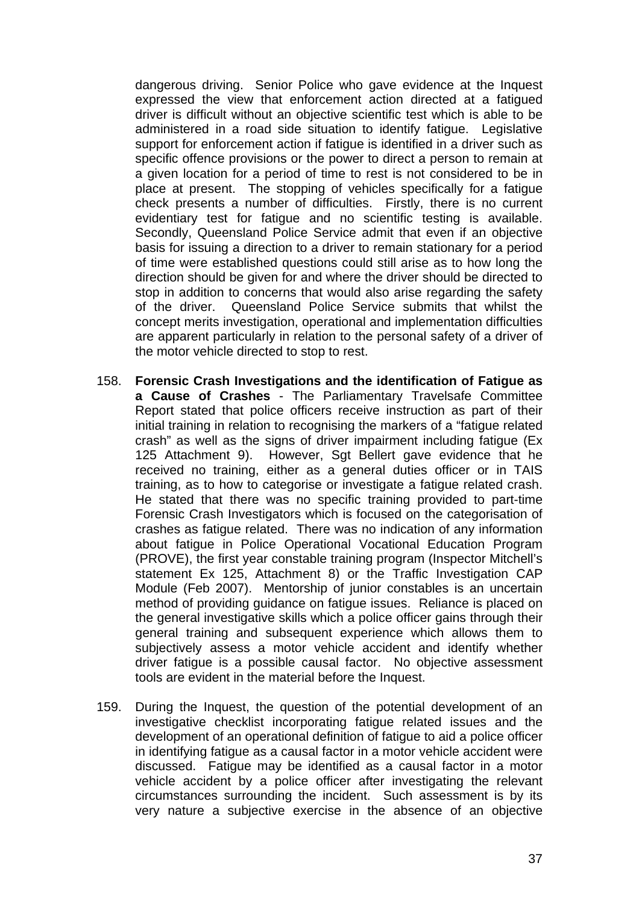dangerous driving. Senior Police who gave evidence at the Inquest expressed the view that enforcement action directed at a fatigued driver is difficult without an objective scientific test which is able to be administered in a road side situation to identify fatigue. Legislative support for enforcement action if fatigue is identified in a driver such as specific offence provisions or the power to direct a person to remain at a given location for a period of time to rest is not considered to be in place at present. The stopping of vehicles specifically for a fatigue check presents a number of difficulties. Firstly, there is no current evidentiary test for fatigue and no scientific testing is available. Secondly, Queensland Police Service admit that even if an objective basis for issuing a direction to a driver to remain stationary for a period of time were established questions could still arise as to how long the direction should be given for and where the driver should be directed to stop in addition to concerns that would also arise regarding the safety of the driver. Queensland Police Service submits that whilst the concept merits investigation, operational and implementation difficulties are apparent particularly in relation to the personal safety of a driver of the motor vehicle directed to stop to rest.

- 158. **Forensic Crash Investigations and the identification of Fatigue as a Cause of Crashes** - The Parliamentary Travelsafe Committee Report stated that police officers receive instruction as part of their initial training in relation to recognising the markers of a "fatigue related crash" as well as the signs of driver impairment including fatigue (Ex 125 Attachment 9). However, Sgt Bellert gave evidence that he received no training, either as a general duties officer or in TAIS training, as to how to categorise or investigate a fatigue related crash. He stated that there was no specific training provided to part-time Forensic Crash Investigators which is focused on the categorisation of crashes as fatigue related. There was no indication of any information about fatigue in Police Operational Vocational Education Program (PROVE), the first year constable training program (Inspector Mitchell's statement Ex 125, Attachment 8) or the Traffic Investigation CAP Module (Feb 2007). Mentorship of junior constables is an uncertain method of providing guidance on fatigue issues. Reliance is placed on the general investigative skills which a police officer gains through their general training and subsequent experience which allows them to subjectively assess a motor vehicle accident and identify whether driver fatigue is a possible causal factor. No objective assessment tools are evident in the material before the Inquest.
- 159. During the Inquest, the question of the potential development of an investigative checklist incorporating fatigue related issues and the development of an operational definition of fatigue to aid a police officer in identifying fatigue as a causal factor in a motor vehicle accident were discussed. Fatigue may be identified as a causal factor in a motor vehicle accident by a police officer after investigating the relevant circumstances surrounding the incident. Such assessment is by its very nature a subjective exercise in the absence of an objective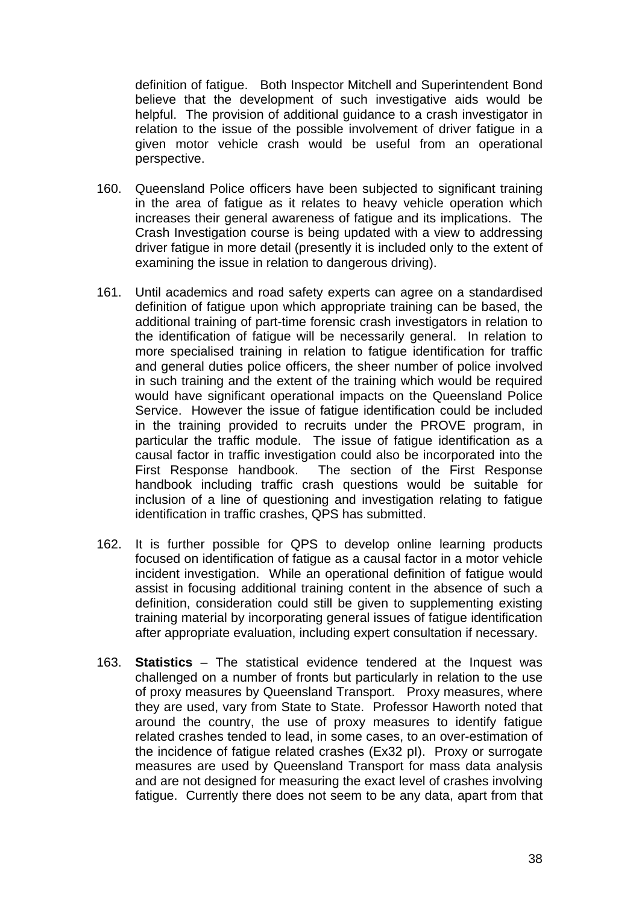definition of fatigue. Both Inspector Mitchell and Superintendent Bond believe that the development of such investigative aids would be helpful. The provision of additional guidance to a crash investigator in relation to the issue of the possible involvement of driver fatigue in a given motor vehicle crash would be useful from an operational perspective.

- 160. Queensland Police officers have been subjected to significant training in the area of fatigue as it relates to heavy vehicle operation which increases their general awareness of fatigue and its implications. The Crash Investigation course is being updated with a view to addressing driver fatigue in more detail (presently it is included only to the extent of examining the issue in relation to dangerous driving).
- 161. Until academics and road safety experts can agree on a standardised definition of fatigue upon which appropriate training can be based, the additional training of part-time forensic crash investigators in relation to the identification of fatigue will be necessarily general. In relation to more specialised training in relation to fatigue identification for traffic and general duties police officers, the sheer number of police involved in such training and the extent of the training which would be required would have significant operational impacts on the Queensland Police Service. However the issue of fatigue identification could be included in the training provided to recruits under the PROVE program, in particular the traffic module. The issue of fatigue identification as a causal factor in traffic investigation could also be incorporated into the First Response handbook. The section of the First Response handbook including traffic crash questions would be suitable for inclusion of a line of questioning and investigation relating to fatigue identification in traffic crashes, QPS has submitted.
- 162. It is further possible for QPS to develop online learning products focused on identification of fatigue as a causal factor in a motor vehicle incident investigation. While an operational definition of fatigue would assist in focusing additional training content in the absence of such a definition, consideration could still be given to supplementing existing training material by incorporating general issues of fatigue identification after appropriate evaluation, including expert consultation if necessary.
- 163. **Statistics** The statistical evidence tendered at the Inquest was challenged on a number of fronts but particularly in relation to the use of proxy measures by Queensland Transport. Proxy measures, where they are used, vary from State to State. Professor Haworth noted that around the country, the use of proxy measures to identify fatigue related crashes tended to lead, in some cases, to an over-estimation of the incidence of fatigue related crashes (Ex32 pI). Proxy or surrogate measures are used by Queensland Transport for mass data analysis and are not designed for measuring the exact level of crashes involving fatigue. Currently there does not seem to be any data, apart from that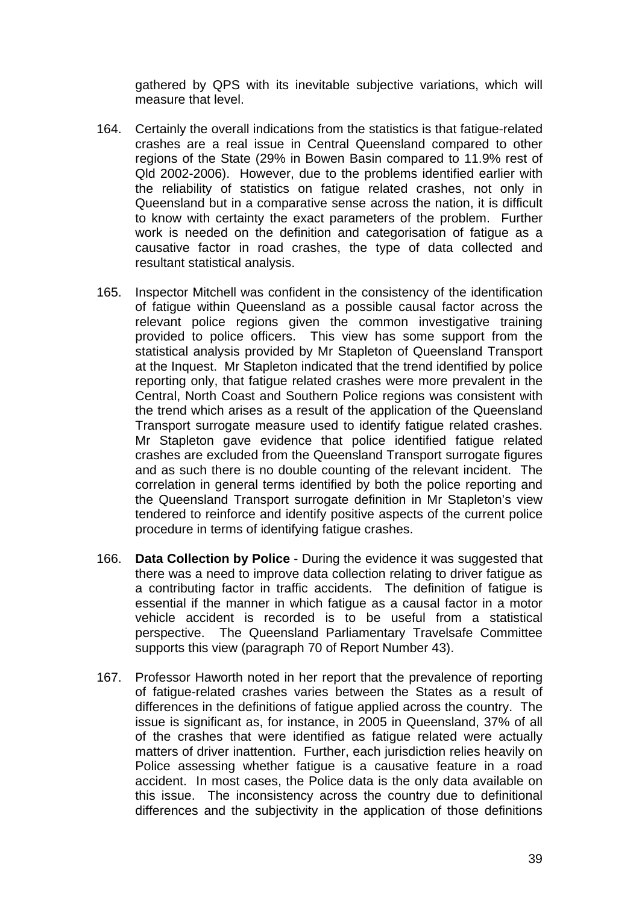gathered by QPS with its inevitable subjective variations, which will measure that level.

- 164. Certainly the overall indications from the statistics is that fatigue-related crashes are a real issue in Central Queensland compared to other regions of the State (29% in Bowen Basin compared to 11.9% rest of Qld 2002-2006). However, due to the problems identified earlier with the reliability of statistics on fatigue related crashes, not only in Queensland but in a comparative sense across the nation, it is difficult to know with certainty the exact parameters of the problem. Further work is needed on the definition and categorisation of fatigue as a causative factor in road crashes, the type of data collected and resultant statistical analysis.
- 165. Inspector Mitchell was confident in the consistency of the identification of fatigue within Queensland as a possible causal factor across the relevant police regions given the common investigative training provided to police officers. This view has some support from the statistical analysis provided by Mr Stapleton of Queensland Transport at the Inquest. Mr Stapleton indicated that the trend identified by police reporting only, that fatigue related crashes were more prevalent in the Central, North Coast and Southern Police regions was consistent with the trend which arises as a result of the application of the Queensland Transport surrogate measure used to identify fatigue related crashes. Mr Stapleton gave evidence that police identified fatigue related crashes are excluded from the Queensland Transport surrogate figures and as such there is no double counting of the relevant incident. The correlation in general terms identified by both the police reporting and the Queensland Transport surrogate definition in Mr Stapleton's view tendered to reinforce and identify positive aspects of the current police procedure in terms of identifying fatigue crashes.
- 166. **Data Collection by Police** During the evidence it was suggested that there was a need to improve data collection relating to driver fatigue as a contributing factor in traffic accidents. The definition of fatigue is essential if the manner in which fatigue as a causal factor in a motor vehicle accident is recorded is to be useful from a statistical perspective. The Queensland Parliamentary Travelsafe Committee supports this view (paragraph 70 of Report Number 43).
- 167. Professor Haworth noted in her report that the prevalence of reporting of fatigue-related crashes varies between the States as a result of differences in the definitions of fatigue applied across the country. The issue is significant as, for instance, in 2005 in Queensland, 37% of all of the crashes that were identified as fatigue related were actually matters of driver inattention. Further, each jurisdiction relies heavily on Police assessing whether fatigue is a causative feature in a road accident. In most cases, the Police data is the only data available on this issue. The inconsistency across the country due to definitional differences and the subjectivity in the application of those definitions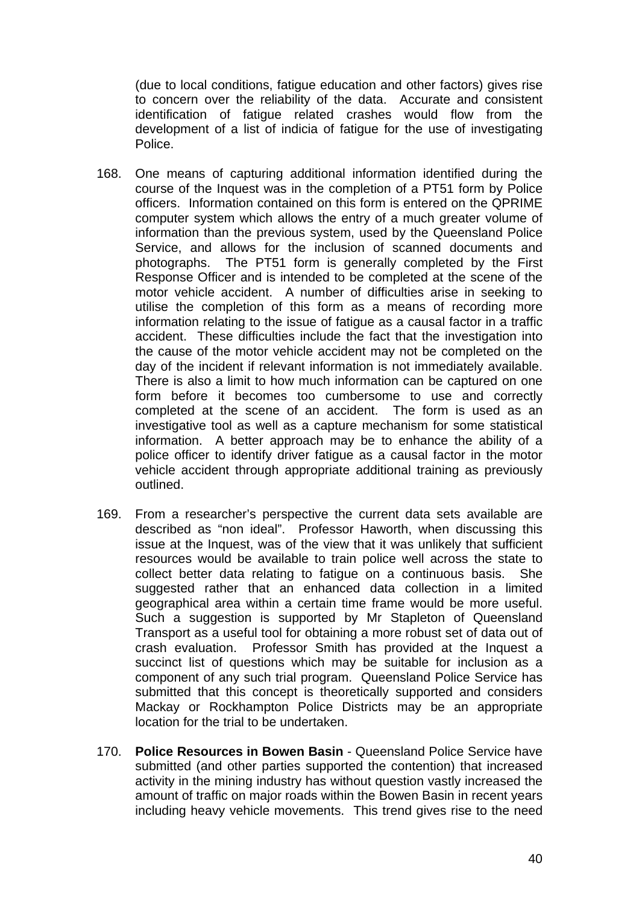(due to local conditions, fatigue education and other factors) gives rise to concern over the reliability of the data. Accurate and consistent identification of fatigue related crashes would flow from the development of a list of indicia of fatigue for the use of investigating Police.

- 168. One means of capturing additional information identified during the course of the Inquest was in the completion of a PT51 form by Police officers. Information contained on this form is entered on the QPRIME computer system which allows the entry of a much greater volume of information than the previous system, used by the Queensland Police Service, and allows for the inclusion of scanned documents and photographs. The PT51 form is generally completed by the First Response Officer and is intended to be completed at the scene of the motor vehicle accident. A number of difficulties arise in seeking to utilise the completion of this form as a means of recording more information relating to the issue of fatigue as a causal factor in a traffic accident. These difficulties include the fact that the investigation into the cause of the motor vehicle accident may not be completed on the day of the incident if relevant information is not immediately available. There is also a limit to how much information can be captured on one form before it becomes too cumbersome to use and correctly completed at the scene of an accident. The form is used as an investigative tool as well as a capture mechanism for some statistical information. A better approach may be to enhance the ability of a police officer to identify driver fatigue as a causal factor in the motor vehicle accident through appropriate additional training as previously outlined.
- 169. From a researcher's perspective the current data sets available are described as "non ideal". Professor Haworth, when discussing this issue at the Inquest, was of the view that it was unlikely that sufficient resources would be available to train police well across the state to collect better data relating to fatigue on a continuous basis. She suggested rather that an enhanced data collection in a limited geographical area within a certain time frame would be more useful. Such a suggestion is supported by Mr Stapleton of Queensland Transport as a useful tool for obtaining a more robust set of data out of crash evaluation. Professor Smith has provided at the Inquest a succinct list of questions which may be suitable for inclusion as a component of any such trial program. Queensland Police Service has submitted that this concept is theoretically supported and considers Mackay or Rockhampton Police Districts may be an appropriate location for the trial to be undertaken.
- 170. **Police Resources in Bowen Basin** Queensland Police Service have submitted (and other parties supported the contention) that increased activity in the mining industry has without question vastly increased the amount of traffic on major roads within the Bowen Basin in recent years including heavy vehicle movements. This trend gives rise to the need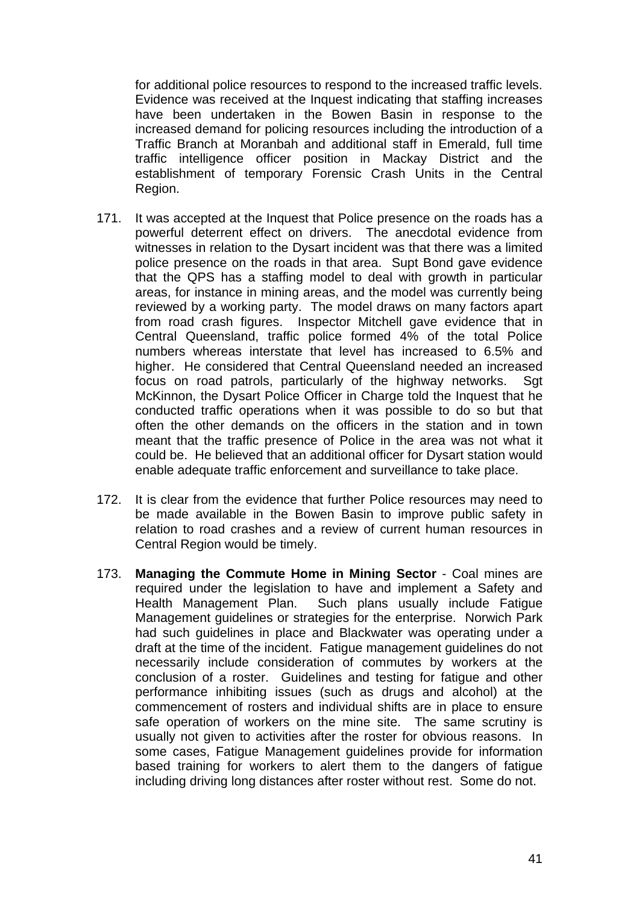for additional police resources to respond to the increased traffic levels. Evidence was received at the Inquest indicating that staffing increases have been undertaken in the Bowen Basin in response to the increased demand for policing resources including the introduction of a Traffic Branch at Moranbah and additional staff in Emerald, full time traffic intelligence officer position in Mackay District and the establishment of temporary Forensic Crash Units in the Central Region.

- 171. It was accepted at the Inquest that Police presence on the roads has a powerful deterrent effect on drivers. The anecdotal evidence from witnesses in relation to the Dysart incident was that there was a limited police presence on the roads in that area. Supt Bond gave evidence that the QPS has a staffing model to deal with growth in particular areas, for instance in mining areas, and the model was currently being reviewed by a working party. The model draws on many factors apart from road crash figures. Inspector Mitchell gave evidence that in Central Queensland, traffic police formed 4% of the total Police numbers whereas interstate that level has increased to 6.5% and higher. He considered that Central Queensland needed an increased focus on road patrols, particularly of the highway networks. Sgt McKinnon, the Dysart Police Officer in Charge told the Inquest that he conducted traffic operations when it was possible to do so but that often the other demands on the officers in the station and in town meant that the traffic presence of Police in the area was not what it could be. He believed that an additional officer for Dysart station would enable adequate traffic enforcement and surveillance to take place.
- 172. It is clear from the evidence that further Police resources may need to be made available in the Bowen Basin to improve public safety in relation to road crashes and a review of current human resources in Central Region would be timely.
- 173. **Managing the Commute Home in Mining Sector** Coal mines are required under the legislation to have and implement a Safety and Health Management Plan. Such plans usually include Fatigue Management guidelines or strategies for the enterprise. Norwich Park had such guidelines in place and Blackwater was operating under a draft at the time of the incident. Fatigue management guidelines do not necessarily include consideration of commutes by workers at the conclusion of a roster. Guidelines and testing for fatigue and other performance inhibiting issues (such as drugs and alcohol) at the commencement of rosters and individual shifts are in place to ensure safe operation of workers on the mine site. The same scrutiny is usually not given to activities after the roster for obvious reasons. In some cases, Fatigue Management guidelines provide for information based training for workers to alert them to the dangers of fatigue including driving long distances after roster without rest. Some do not.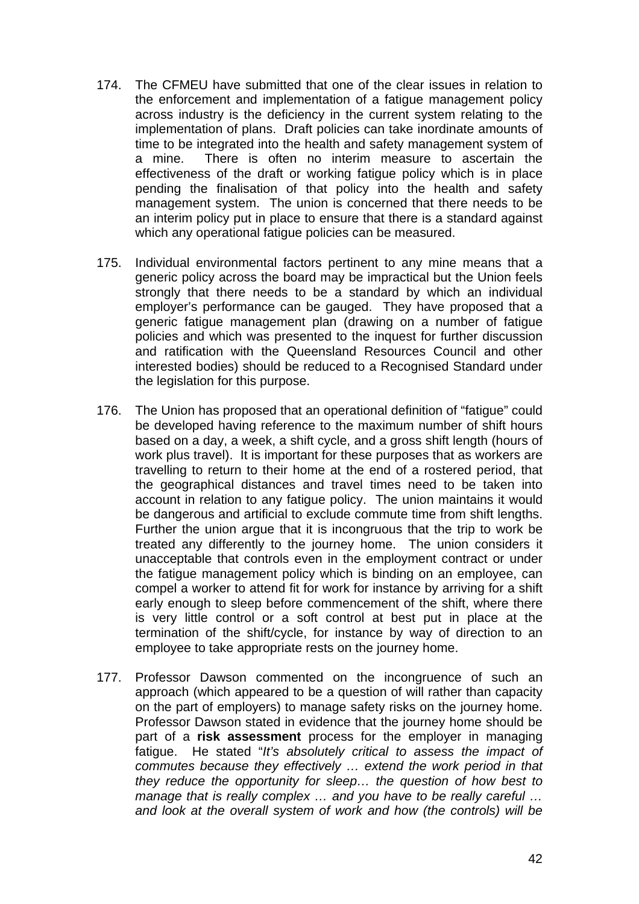- 174. The CFMEU have submitted that one of the clear issues in relation to the enforcement and implementation of a fatigue management policy across industry is the deficiency in the current system relating to the implementation of plans. Draft policies can take inordinate amounts of time to be integrated into the health and safety management system of a mine. There is often no interim measure to ascertain the effectiveness of the draft or working fatigue policy which is in place pending the finalisation of that policy into the health and safety management system. The union is concerned that there needs to be an interim policy put in place to ensure that there is a standard against which any operational fatigue policies can be measured.
- 175. Individual environmental factors pertinent to any mine means that a generic policy across the board may be impractical but the Union feels strongly that there needs to be a standard by which an individual employer's performance can be gauged. They have proposed that a generic fatigue management plan (drawing on a number of fatigue policies and which was presented to the inquest for further discussion and ratification with the Queensland Resources Council and other interested bodies) should be reduced to a Recognised Standard under the legislation for this purpose.
- 176. The Union has proposed that an operational definition of "fatigue" could be developed having reference to the maximum number of shift hours based on a day, a week, a shift cycle, and a gross shift length (hours of work plus travel). It is important for these purposes that as workers are travelling to return to their home at the end of a rostered period, that the geographical distances and travel times need to be taken into account in relation to any fatigue policy. The union maintains it would be dangerous and artificial to exclude commute time from shift lengths. Further the union argue that it is incongruous that the trip to work be treated any differently to the journey home. The union considers it unacceptable that controls even in the employment contract or under the fatigue management policy which is binding on an employee, can compel a worker to attend fit for work for instance by arriving for a shift early enough to sleep before commencement of the shift, where there is very little control or a soft control at best put in place at the termination of the shift/cycle, for instance by way of direction to an employee to take appropriate rests on the journey home.
- 177. Professor Dawson commented on the incongruence of such an approach (which appeared to be a question of will rather than capacity on the part of employers) to manage safety risks on the journey home. Professor Dawson stated in evidence that the journey home should be part of a **risk assessment** process for the employer in managing fatigue. He stated "*It's absolutely critical to assess the impact of commutes because they effectively … extend the work period in that they reduce the opportunity for sleep… the question of how best to manage that is really complex … and you have to be really careful … and look at the overall system of work and how (the controls) will be*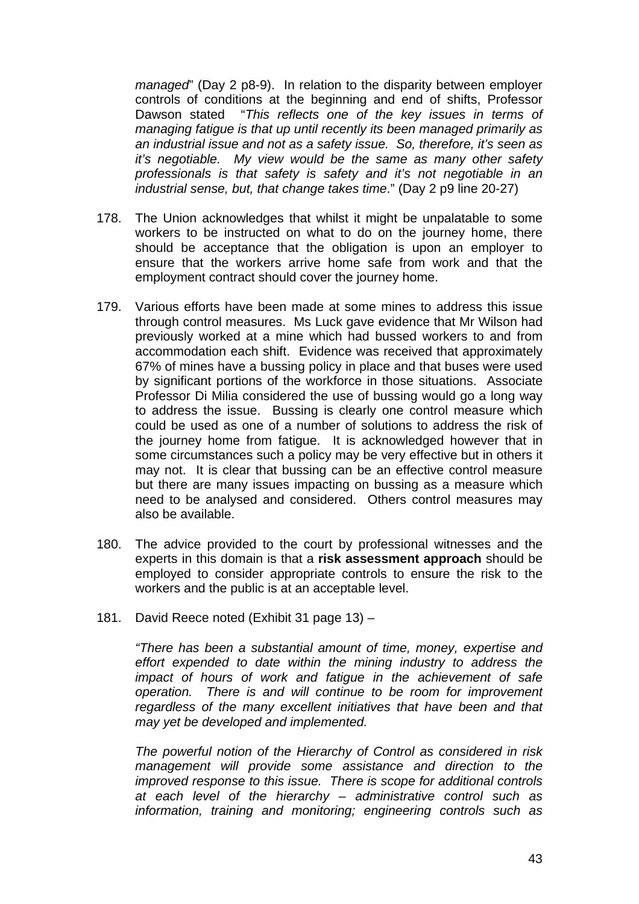*managed*" (Day 2 p8-9). In relation to the disparity between employer controls of conditions at the beginning and end of shifts, Professor Dawson stated "*This reflects one of the key issues in terms of managing fatigue is that up until recently its been managed primarily as an industrial issue and not as a safety issue. So, therefore, it's seen as it's negotiable. My view would be the same as many other safety professionals is that safety is safety and it's not negotiable in an industrial sense, but, that change takes time*." (Day 2 p9 line 20-27)

- 178. The Union acknowledges that whilst it might be unpalatable to some workers to be instructed on what to do on the journey home, there should be acceptance that the obligation is upon an employer to ensure that the workers arrive home safe from work and that the employment contract should cover the journey home.
- 179. Various efforts have been made at some mines to address this issue through control measures. Ms Luck gave evidence that Mr Wilson had previously worked at a mine which had bussed workers to and from accommodation each shift. Evidence was received that approximately 67% of mines have a bussing policy in place and that buses were used by significant portions of the workforce in those situations. Associate Professor Di Milia considered the use of bussing would go a long way to address the issue. Bussing is clearly one control measure which could be used as one of a number of solutions to address the risk of the journey home from fatigue. It is acknowledged however that in some circumstances such a policy may be very effective but in others it may not. It is clear that bussing can be an effective control measure but there are many issues impacting on bussing as a measure which need to be analysed and considered. Others control measures may also be available.
- 180. The advice provided to the court by professional witnesses and the experts in this domain is that a **risk assessment approach** should be employed to consider appropriate controls to ensure the risk to the workers and the public is at an acceptable level.
- 181. David Reece noted (Exhibit 31 page 13) –

*"There has been a substantial amount of time, money, expertise and effort expended to date within the mining industry to address the impact of hours of work and fatigue in the achievement of safe operation. There is and will continue to be room for improvement regardless of the many excellent initiatives that have been and that may yet be developed and implemented.* 

*The powerful notion of the Hierarchy of Control as considered in risk management will provide some assistance and direction to the improved response to this issue. There is scope for additional controls at each level of the hierarchy – administrative control such as information, training and monitoring; engineering controls such as*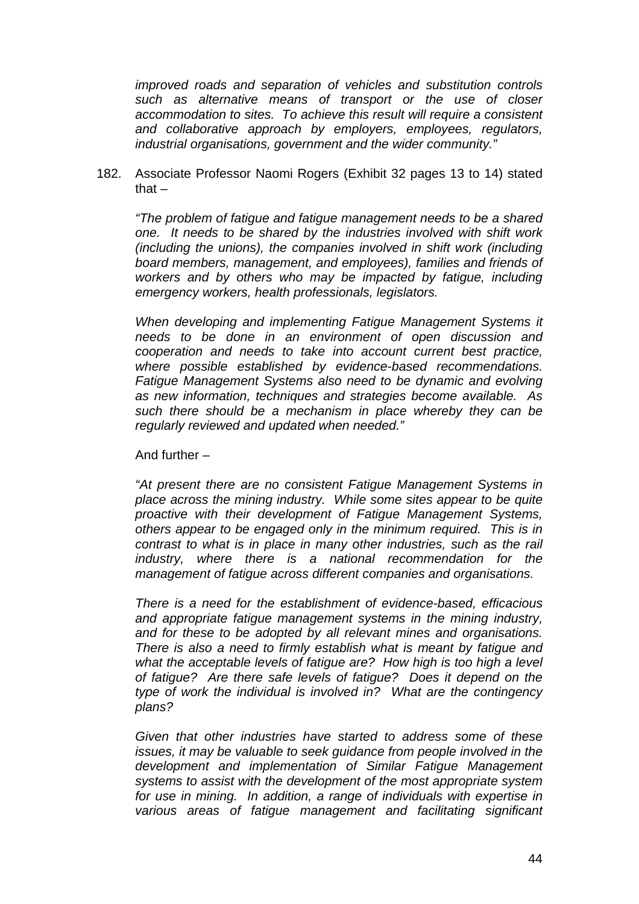*improved roads and separation of vehicles and substitution controls such as alternative means of transport or the use of closer accommodation to sites. To achieve this result will require a consistent and collaborative approach by employers, employees, regulators, industrial organisations, government and the wider community."* 

182. Associate Professor Naomi Rogers (Exhibit 32 pages 13 to 14) stated that  $-$ 

*"The problem of fatigue and fatigue management needs to be a shared one. It needs to be shared by the industries involved with shift work (including the unions), the companies involved in shift work (including board members, management, and employees), families and friends of workers and by others who may be impacted by fatigue, including emergency workers, health professionals, legislators.* 

*When developing and implementing Fatigue Management Systems it needs to be done in an environment of open discussion and cooperation and needs to take into account current best practice, where possible established by evidence-based recommendations. Fatigue Management Systems also need to be dynamic and evolving as new information, techniques and strategies become available. As such there should be a mechanism in place whereby they can be regularly reviewed and updated when needed."* 

And further –

*"At present there are no consistent Fatigue Management Systems in place across the mining industry. While some sites appear to be quite proactive with their development of Fatigue Management Systems, others appear to be engaged only in the minimum required. This is in contrast to what is in place in many other industries, such as the rail industry, where there is a national recommendation for the management of fatigue across different companies and organisations.* 

*There is a need for the establishment of evidence-based, efficacious and appropriate fatigue management systems in the mining industry, and for these to be adopted by all relevant mines and organisations. There is also a need to firmly establish what is meant by fatigue and what the acceptable levels of fatigue are? How high is too high a level of fatigue? Are there safe levels of fatigue? Does it depend on the type of work the individual is involved in? What are the contingency plans?* 

*Given that other industries have started to address some of these issues, it may be valuable to seek guidance from people involved in the development and implementation of Similar Fatigue Management systems to assist with the development of the most appropriate system for use in mining. In addition, a range of individuals with expertise in various areas of fatigue management and facilitating significant*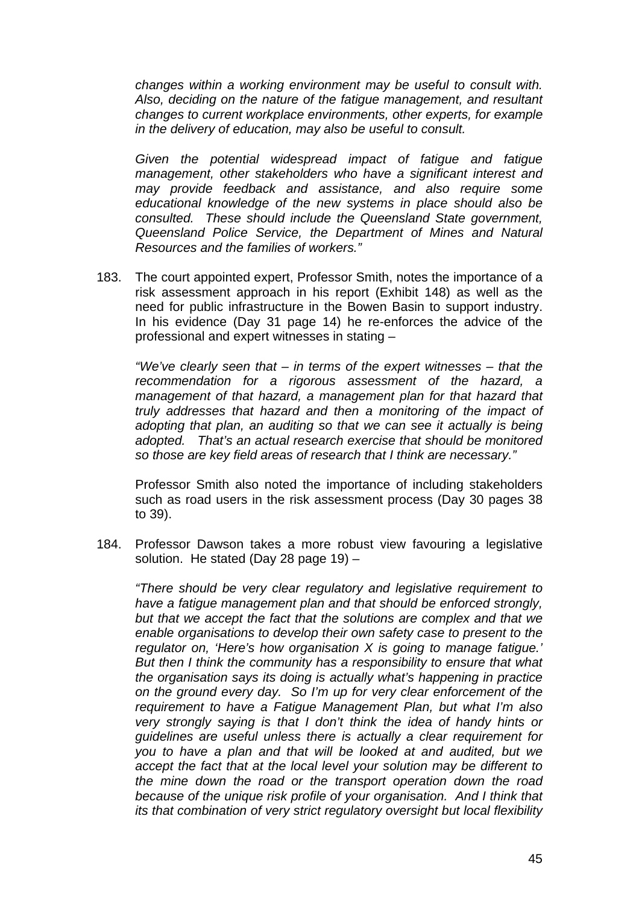*changes within a working environment may be useful to consult with. Also, deciding on the nature of the fatigue management, and resultant changes to current workplace environments, other experts, for example in the delivery of education, may also be useful to consult.* 

*Given the potential widespread impact of fatigue and fatigue management, other stakeholders who have a significant interest and may provide feedback and assistance, and also require some educational knowledge of the new systems in place should also be consulted. These should include the Queensland State government, Queensland Police Service, the Department of Mines and Natural Resources and the families of workers."* 

183. The court appointed expert, Professor Smith, notes the importance of a risk assessment approach in his report (Exhibit 148) as well as the need for public infrastructure in the Bowen Basin to support industry. In his evidence (Day 31 page 14) he re-enforces the advice of the professional and expert witnesses in stating –

*"We've clearly seen that – in terms of the expert witnesses – that the recommendation for a rigorous assessment of the hazard, a management of that hazard, a management plan for that hazard that truly addresses that hazard and then a monitoring of the impact of adopting that plan, an auditing so that we can see it actually is being adopted. That's an actual research exercise that should be monitored so those are key field areas of research that I think are necessary."* 

Professor Smith also noted the importance of including stakeholders such as road users in the risk assessment process (Day 30 pages 38 to 39).

184. Professor Dawson takes a more robust view favouring a legislative solution. He stated (Day 28 page 19) –

*"There should be very clear regulatory and legislative requirement to have a fatigue management plan and that should be enforced strongly, but that we accept the fact that the solutions are complex and that we enable organisations to develop their own safety case to present to the regulator on, 'Here's how organisation X is going to manage fatigue.' But then I think the community has a responsibility to ensure that what the organisation says its doing is actually what's happening in practice on the ground every day. So I'm up for very clear enforcement of the requirement to have a Fatigue Management Plan, but what I'm also very strongly saying is that I don't think the idea of handy hints or guidelines are useful unless there is actually a clear requirement for you to have a plan and that will be looked at and audited, but we accept the fact that at the local level your solution may be different to the mine down the road or the transport operation down the road because of the unique risk profile of your organisation. And I think that its that combination of very strict regulatory oversight but local flexibility*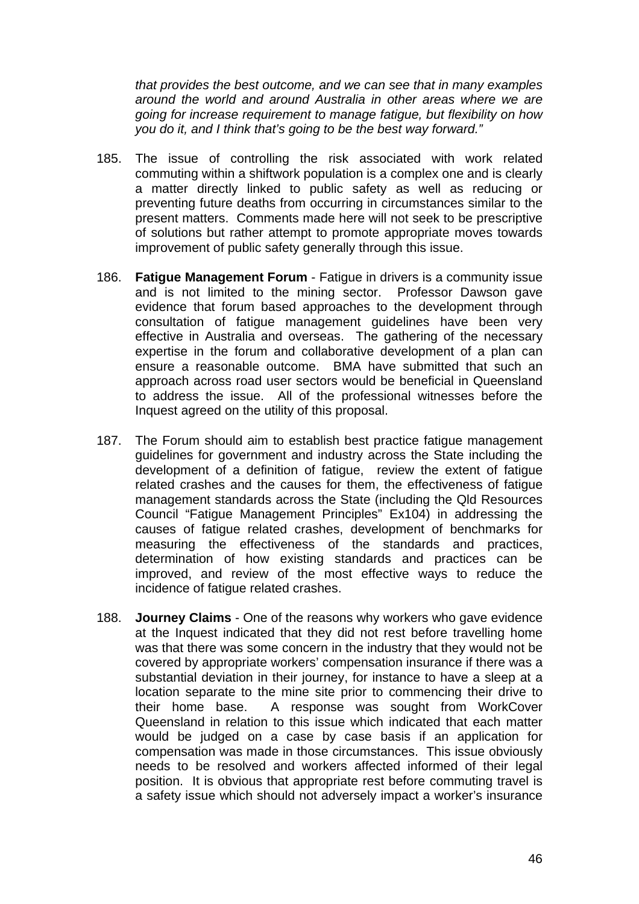*that provides the best outcome, and we can see that in many examples around the world and around Australia in other areas where we are going for increase requirement to manage fatigue, but flexibility on how you do it, and I think that's going to be the best way forward."* 

- 185. The issue of controlling the risk associated with work related commuting within a shiftwork population is a complex one and is clearly a matter directly linked to public safety as well as reducing or preventing future deaths from occurring in circumstances similar to the present matters. Comments made here will not seek to be prescriptive of solutions but rather attempt to promote appropriate moves towards improvement of public safety generally through this issue.
- 186. **Fatigue Management Forum** Fatigue in drivers is a community issue and is not limited to the mining sector. Professor Dawson gave evidence that forum based approaches to the development through consultation of fatigue management guidelines have been very effective in Australia and overseas. The gathering of the necessary expertise in the forum and collaborative development of a plan can ensure a reasonable outcome. BMA have submitted that such an approach across road user sectors would be beneficial in Queensland to address the issue. All of the professional witnesses before the Inquest agreed on the utility of this proposal.
- 187. The Forum should aim to establish best practice fatigue management guidelines for government and industry across the State including the development of a definition of fatigue, review the extent of fatigue related crashes and the causes for them, the effectiveness of fatigue management standards across the State (including the Qld Resources Council "Fatigue Management Principles" Ex104) in addressing the causes of fatigue related crashes, development of benchmarks for measuring the effectiveness of the standards and practices, determination of how existing standards and practices can be improved, and review of the most effective ways to reduce the incidence of fatigue related crashes.
- 188. **Journey Claims** One of the reasons why workers who gave evidence at the Inquest indicated that they did not rest before travelling home was that there was some concern in the industry that they would not be covered by appropriate workers' compensation insurance if there was a substantial deviation in their journey, for instance to have a sleep at a location separate to the mine site prior to commencing their drive to their home base. A response was sought from WorkCover Queensland in relation to this issue which indicated that each matter would be judged on a case by case basis if an application for compensation was made in those circumstances. This issue obviously needs to be resolved and workers affected informed of their legal position. It is obvious that appropriate rest before commuting travel is a safety issue which should not adversely impact a worker's insurance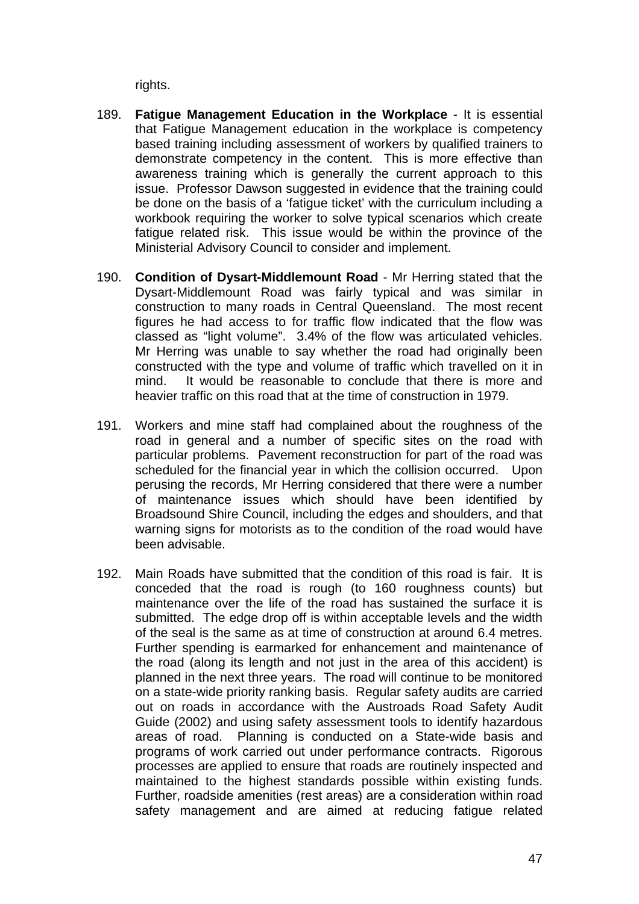rights.

- 189. **Fatigue Management Education in the Workplace** It is essential that Fatigue Management education in the workplace is competency based training including assessment of workers by qualified trainers to demonstrate competency in the content. This is more effective than awareness training which is generally the current approach to this issue. Professor Dawson suggested in evidence that the training could be done on the basis of a 'fatigue ticket' with the curriculum including a workbook requiring the worker to solve typical scenarios which create fatigue related risk. This issue would be within the province of the Ministerial Advisory Council to consider and implement.
- 190. **Condition of Dysart-Middlemount Road**  Mr Herring stated that the Dysart-Middlemount Road was fairly typical and was similar in construction to many roads in Central Queensland. The most recent figures he had access to for traffic flow indicated that the flow was classed as "light volume". 3.4% of the flow was articulated vehicles. Mr Herring was unable to say whether the road had originally been constructed with the type and volume of traffic which travelled on it in mind. It would be reasonable to conclude that there is more and heavier traffic on this road that at the time of construction in 1979.
- 191. Workers and mine staff had complained about the roughness of the road in general and a number of specific sites on the road with particular problems. Pavement reconstruction for part of the road was scheduled for the financial year in which the collision occurred. Upon perusing the records, Mr Herring considered that there were a number of maintenance issues which should have been identified by Broadsound Shire Council, including the edges and shoulders, and that warning signs for motorists as to the condition of the road would have been advisable.
- 192. Main Roads have submitted that the condition of this road is fair. It is conceded that the road is rough (to 160 roughness counts) but maintenance over the life of the road has sustained the surface it is submitted. The edge drop off is within acceptable levels and the width of the seal is the same as at time of construction at around 6.4 metres. Further spending is earmarked for enhancement and maintenance of the road (along its length and not just in the area of this accident) is planned in the next three years. The road will continue to be monitored on a state-wide priority ranking basis. Regular safety audits are carried out on roads in accordance with the Austroads Road Safety Audit Guide (2002) and using safety assessment tools to identify hazardous areas of road. Planning is conducted on a State-wide basis and programs of work carried out under performance contracts. Rigorous processes are applied to ensure that roads are routinely inspected and maintained to the highest standards possible within existing funds. Further, roadside amenities (rest areas) are a consideration within road safety management and are aimed at reducing fatigue related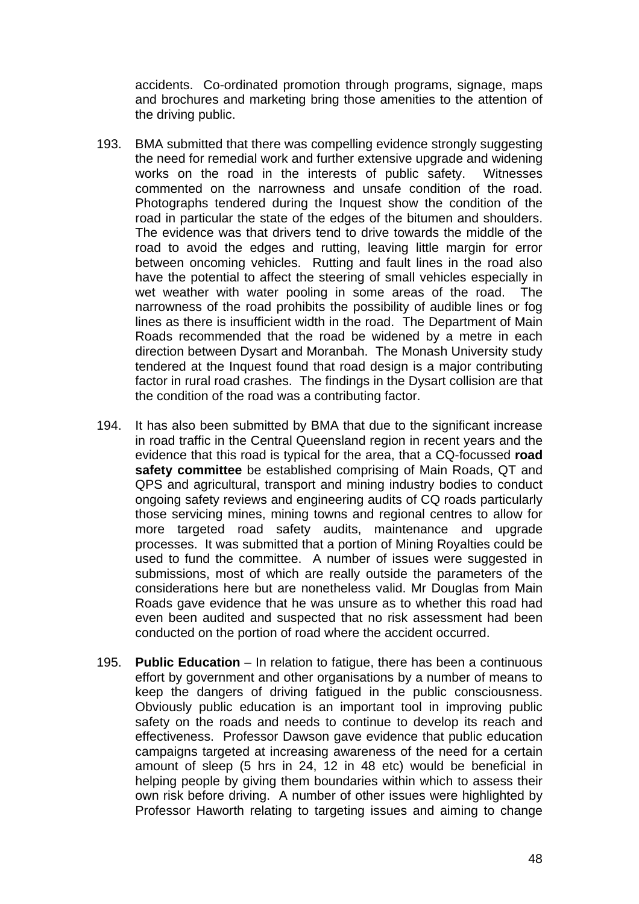accidents. Co-ordinated promotion through programs, signage, maps and brochures and marketing bring those amenities to the attention of the driving public.

- 193. BMA submitted that there was compelling evidence strongly suggesting the need for remedial work and further extensive upgrade and widening works on the road in the interests of public safety. Witnesses commented on the narrowness and unsafe condition of the road. Photographs tendered during the Inquest show the condition of the road in particular the state of the edges of the bitumen and shoulders. The evidence was that drivers tend to drive towards the middle of the road to avoid the edges and rutting, leaving little margin for error between oncoming vehicles. Rutting and fault lines in the road also have the potential to affect the steering of small vehicles especially in wet weather with water pooling in some areas of the road. The narrowness of the road prohibits the possibility of audible lines or fog lines as there is insufficient width in the road. The Department of Main Roads recommended that the road be widened by a metre in each direction between Dysart and Moranbah. The Monash University study tendered at the Inquest found that road design is a major contributing factor in rural road crashes. The findings in the Dysart collision are that the condition of the road was a contributing factor.
- 194. It has also been submitted by BMA that due to the significant increase in road traffic in the Central Queensland region in recent years and the evidence that this road is typical for the area, that a CQ-focussed **road safety committee** be established comprising of Main Roads, QT and QPS and agricultural, transport and mining industry bodies to conduct ongoing safety reviews and engineering audits of CQ roads particularly those servicing mines, mining towns and regional centres to allow for more targeted road safety audits, maintenance and upgrade processes. It was submitted that a portion of Mining Royalties could be used to fund the committee. A number of issues were suggested in submissions, most of which are really outside the parameters of the considerations here but are nonetheless valid. Mr Douglas from Main Roads gave evidence that he was unsure as to whether this road had even been audited and suspected that no risk assessment had been conducted on the portion of road where the accident occurred.
- 195. **Public Education** In relation to fatigue, there has been a continuous effort by government and other organisations by a number of means to keep the dangers of driving fatigued in the public consciousness. Obviously public education is an important tool in improving public safety on the roads and needs to continue to develop its reach and effectiveness. Professor Dawson gave evidence that public education campaigns targeted at increasing awareness of the need for a certain amount of sleep (5 hrs in 24, 12 in 48 etc) would be beneficial in helping people by giving them boundaries within which to assess their own risk before driving. A number of other issues were highlighted by Professor Haworth relating to targeting issues and aiming to change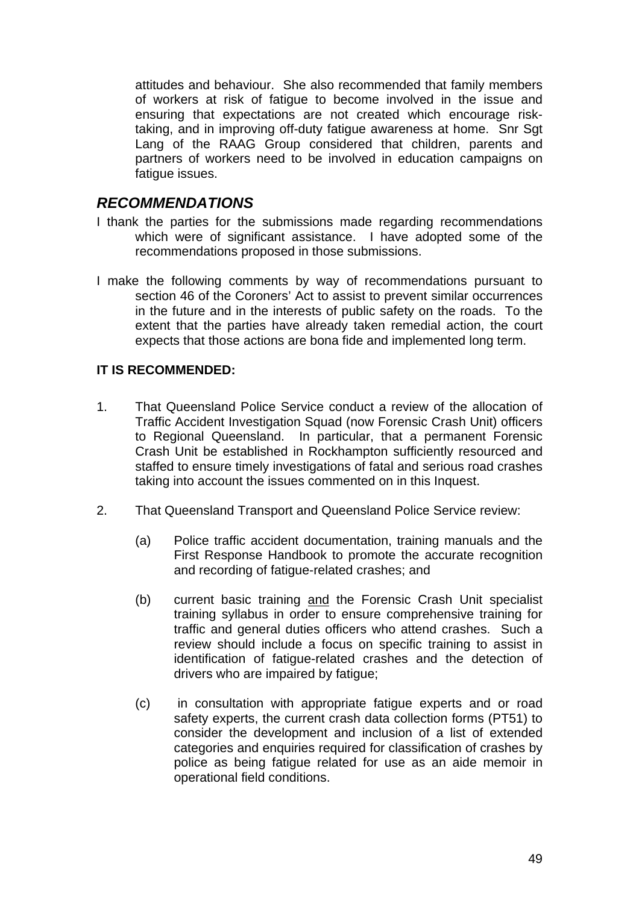attitudes and behaviour. She also recommended that family members of workers at risk of fatigue to become involved in the issue and ensuring that expectations are not created which encourage risktaking, and in improving off-duty fatigue awareness at home. Snr Sgt Lang of the RAAG Group considered that children, parents and partners of workers need to be involved in education campaigns on fatique issues.

# *RECOMMENDATIONS*

- I thank the parties for the submissions made regarding recommendations which were of significant assistance. I have adopted some of the recommendations proposed in those submissions.
- I make the following comments by way of recommendations pursuant to section 46 of the Coroners' Act to assist to prevent similar occurrences in the future and in the interests of public safety on the roads. To the extent that the parties have already taken remedial action, the court expects that those actions are bona fide and implemented long term.

### **IT IS RECOMMENDED:**

- 1. That Queensland Police Service conduct a review of the allocation of Traffic Accident Investigation Squad (now Forensic Crash Unit) officers to Regional Queensland. In particular, that a permanent Forensic Crash Unit be established in Rockhampton sufficiently resourced and staffed to ensure timely investigations of fatal and serious road crashes taking into account the issues commented on in this Inquest.
- 2. That Queensland Transport and Queensland Police Service review:
	- (a) Police traffic accident documentation, training manuals and the First Response Handbook to promote the accurate recognition and recording of fatigue-related crashes; and
	- (b) current basic training and the Forensic Crash Unit specialist training syllabus in order to ensure comprehensive training for traffic and general duties officers who attend crashes. Such a review should include a focus on specific training to assist in identification of fatigue-related crashes and the detection of drivers who are impaired by fatigue;
	- (c) in consultation with appropriate fatigue experts and or road safety experts, the current crash data collection forms (PT51) to consider the development and inclusion of a list of extended categories and enquiries required for classification of crashes by police as being fatigue related for use as an aide memoir in operational field conditions.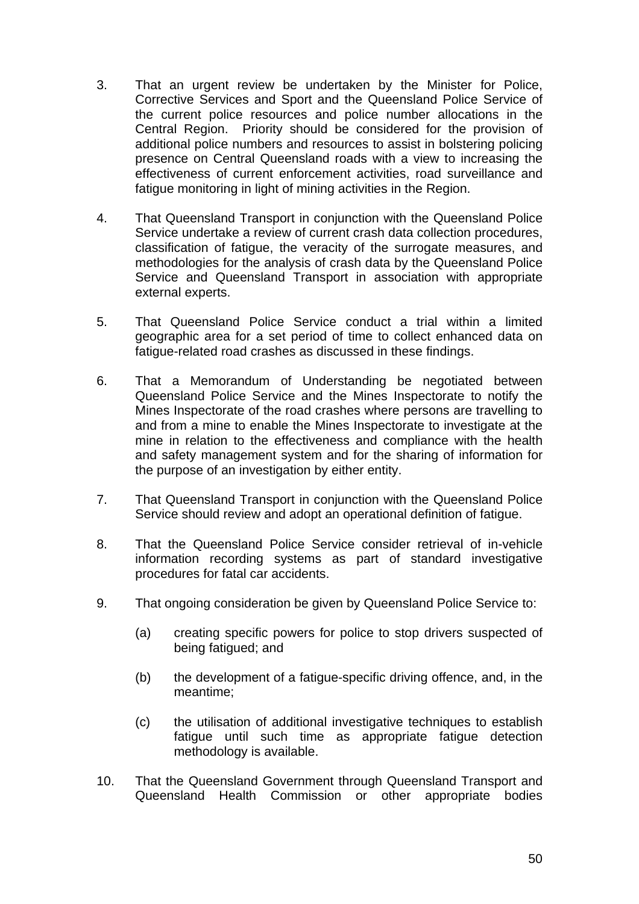- 3. That an urgent review be undertaken by the Minister for Police, Corrective Services and Sport and the Queensland Police Service of the current police resources and police number allocations in the Central Region. Priority should be considered for the provision of additional police numbers and resources to assist in bolstering policing presence on Central Queensland roads with a view to increasing the effectiveness of current enforcement activities, road surveillance and fatigue monitoring in light of mining activities in the Region.
- 4. That Queensland Transport in conjunction with the Queensland Police Service undertake a review of current crash data collection procedures, classification of fatigue, the veracity of the surrogate measures, and methodologies for the analysis of crash data by the Queensland Police Service and Queensland Transport in association with appropriate external experts.
- 5. That Queensland Police Service conduct a trial within a limited geographic area for a set period of time to collect enhanced data on fatigue-related road crashes as discussed in these findings.
- 6. That a Memorandum of Understanding be negotiated between Queensland Police Service and the Mines Inspectorate to notify the Mines Inspectorate of the road crashes where persons are travelling to and from a mine to enable the Mines Inspectorate to investigate at the mine in relation to the effectiveness and compliance with the health and safety management system and for the sharing of information for the purpose of an investigation by either entity.
- 7. That Queensland Transport in conjunction with the Queensland Police Service should review and adopt an operational definition of fatigue.
- 8. That the Queensland Police Service consider retrieval of in-vehicle information recording systems as part of standard investigative procedures for fatal car accidents.
- 9. That ongoing consideration be given by Queensland Police Service to:
	- (a) creating specific powers for police to stop drivers suspected of being fatigued; and
	- (b) the development of a fatigue-specific driving offence, and, in the meantime;
	- (c) the utilisation of additional investigative techniques to establish fatigue until such time as appropriate fatigue detection methodology is available.
- 10. That the Queensland Government through Queensland Transport and Queensland Health Commission or other appropriate bodies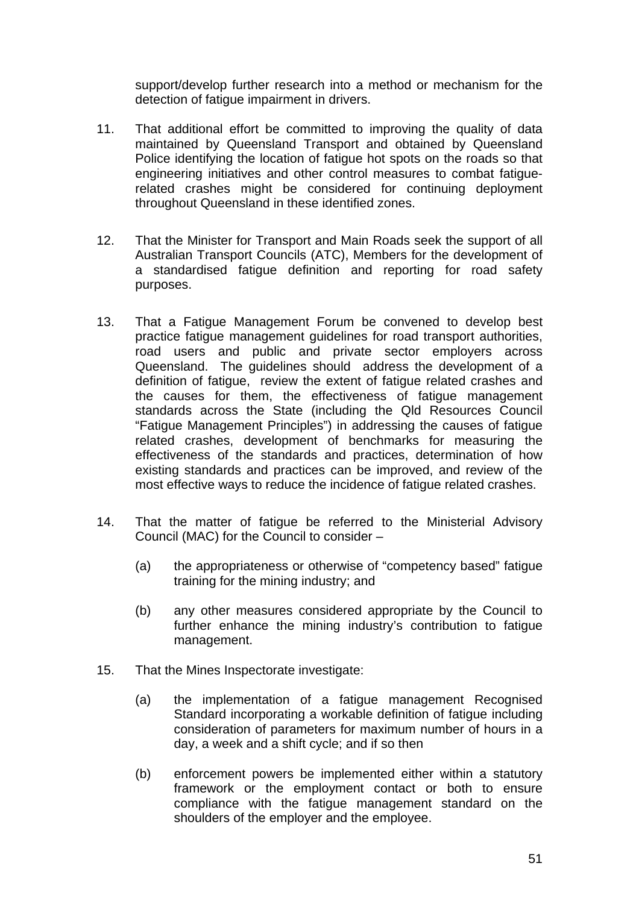support/develop further research into a method or mechanism for the detection of fatigue impairment in drivers.

- 11. That additional effort be committed to improving the quality of data maintained by Queensland Transport and obtained by Queensland Police identifying the location of fatigue hot spots on the roads so that engineering initiatives and other control measures to combat fatiguerelated crashes might be considered for continuing deployment throughout Queensland in these identified zones.
- 12. That the Minister for Transport and Main Roads seek the support of all Australian Transport Councils (ATC), Members for the development of a standardised fatigue definition and reporting for road safety purposes.
- 13. That a Fatigue Management Forum be convened to develop best practice fatigue management guidelines for road transport authorities, road users and public and private sector employers across Queensland. The guidelines should address the development of a definition of fatigue, review the extent of fatigue related crashes and the causes for them, the effectiveness of fatigue management standards across the State (including the Qld Resources Council "Fatigue Management Principles") in addressing the causes of fatigue related crashes, development of benchmarks for measuring the effectiveness of the standards and practices, determination of how existing standards and practices can be improved, and review of the most effective ways to reduce the incidence of fatigue related crashes.
- 14. That the matter of fatigue be referred to the Ministerial Advisory Council (MAC) for the Council to consider –
	- (a) the appropriateness or otherwise of "competency based" fatigue training for the mining industry; and
	- (b) any other measures considered appropriate by the Council to further enhance the mining industry's contribution to fatigue management.
- 15. That the Mines Inspectorate investigate:
	- (a) the implementation of a fatigue management Recognised Standard incorporating a workable definition of fatigue including consideration of parameters for maximum number of hours in a day, a week and a shift cycle; and if so then
	- (b) enforcement powers be implemented either within a statutory framework or the employment contact or both to ensure compliance with the fatigue management standard on the shoulders of the employer and the employee.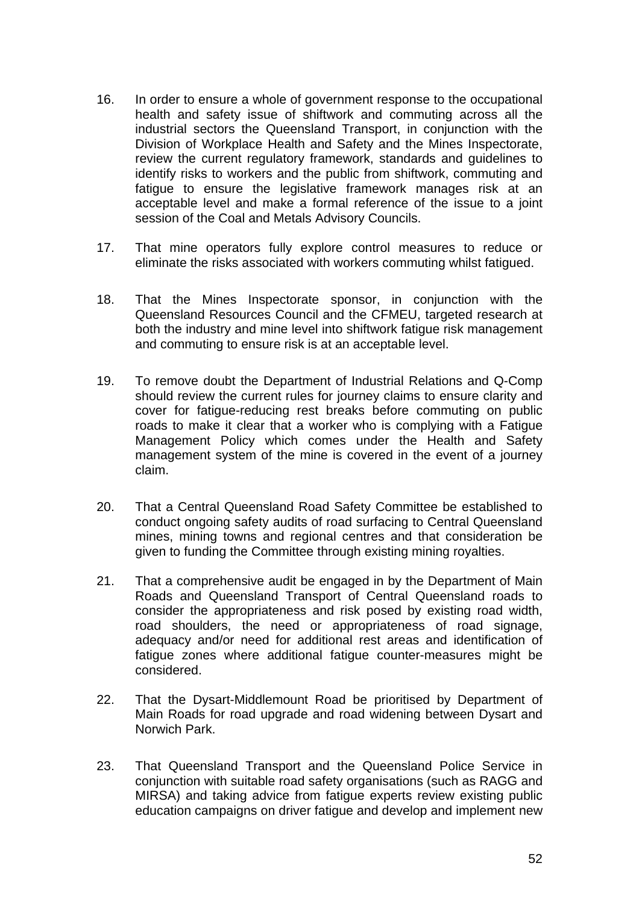- 16. In order to ensure a whole of government response to the occupational health and safety issue of shiftwork and commuting across all the industrial sectors the Queensland Transport, in conjunction with the Division of Workplace Health and Safety and the Mines Inspectorate, review the current regulatory framework, standards and guidelines to identify risks to workers and the public from shiftwork, commuting and fatigue to ensure the legislative framework manages risk at an acceptable level and make a formal reference of the issue to a joint session of the Coal and Metals Advisory Councils.
- 17. That mine operators fully explore control measures to reduce or eliminate the risks associated with workers commuting whilst fatigued.
- 18. That the Mines Inspectorate sponsor, in conjunction with the Queensland Resources Council and the CFMEU, targeted research at both the industry and mine level into shiftwork fatigue risk management and commuting to ensure risk is at an acceptable level.
- 19. To remove doubt the Department of Industrial Relations and Q-Comp should review the current rules for journey claims to ensure clarity and cover for fatigue-reducing rest breaks before commuting on public roads to make it clear that a worker who is complying with a Fatigue Management Policy which comes under the Health and Safety management system of the mine is covered in the event of a journey claim.
- 20. That a Central Queensland Road Safety Committee be established to conduct ongoing safety audits of road surfacing to Central Queensland mines, mining towns and regional centres and that consideration be given to funding the Committee through existing mining royalties.
- 21. That a comprehensive audit be engaged in by the Department of Main Roads and Queensland Transport of Central Queensland roads to consider the appropriateness and risk posed by existing road width, road shoulders, the need or appropriateness of road signage, adequacy and/or need for additional rest areas and identification of fatigue zones where additional fatigue counter-measures might be considered.
- 22. That the Dysart-Middlemount Road be prioritised by Department of Main Roads for road upgrade and road widening between Dysart and Norwich Park.
- 23. That Queensland Transport and the Queensland Police Service in conjunction with suitable road safety organisations (such as RAGG and MIRSA) and taking advice from fatigue experts review existing public education campaigns on driver fatigue and develop and implement new